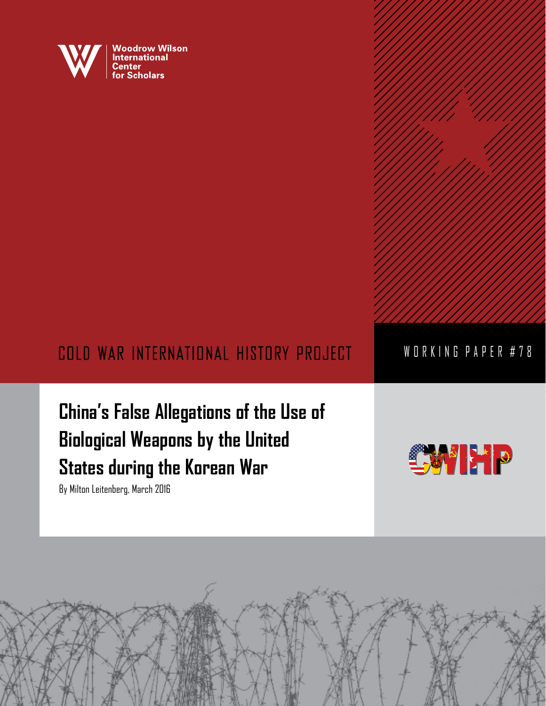

## COLD WAR INTERNATIONAL HISTORY PROJECT

W O R K I N G P A P E R # 7 8

# **China's False Allegations of the Use of Biological Weapons by the United States during the Korean War**



By Milton Leitenberg, March 2016

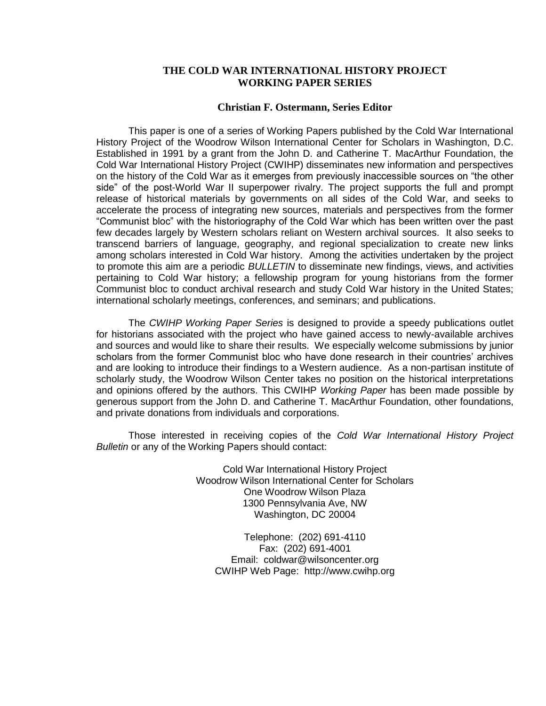#### **THE COLD WAR INTERNATIONAL HISTORY PROJECT WORKING PAPER SERIES**

#### **Christian F. Ostermann, Series Editor**

This paper is one of a series of Working Papers published by the Cold War International History Project of the Woodrow Wilson International Center for Scholars in Washington, D.C. Established in 1991 by a grant from the John D. and Catherine T. MacArthur Foundation, the Cold War International History Project (CWIHP) disseminates new information and perspectives on the history of the Cold War as it emerges from previously inaccessible sources on "the other side" of the post-World War II superpower rivalry. The project supports the full and prompt release of historical materials by governments on all sides of the Cold War, and seeks to accelerate the process of integrating new sources, materials and perspectives from the former "Communist bloc" with the historiography of the Cold War which has been written over the past few decades largely by Western scholars reliant on Western archival sources. It also seeks to transcend barriers of language, geography, and regional specialization to create new links among scholars interested in Cold War history. Among the activities undertaken by the project to promote this aim are a periodic *BULLETIN* to disseminate new findings, views, and activities pertaining to Cold War history; a fellowship program for young historians from the former Communist bloc to conduct archival research and study Cold War history in the United States; international scholarly meetings, conferences, and seminars; and publications.

The *CWIHP Working Paper Series* is designed to provide a speedy publications outlet for historians associated with the project who have gained access to newly-available archives and sources and would like to share their results. We especially welcome submissions by junior scholars from the former Communist bloc who have done research in their countries' archives and are looking to introduce their findings to a Western audience. As a non-partisan institute of scholarly study, the Woodrow Wilson Center takes no position on the historical interpretations and opinions offered by the authors. This CWIHP *Working Paper* has been made possible by generous support from the John D. and Catherine T. MacArthur Foundation, other foundations, and private donations from individuals and corporations.

Those interested in receiving copies of the *Cold War International History Project Bulletin* or any of the Working Papers should contact:

> Cold War International History Project Woodrow Wilson International Center for Scholars One Woodrow Wilson Plaza 1300 Pennsylvania Ave, NW Washington, DC 20004

Telephone: (202) 691-4110 Fax: (202) 691-4001 Email: coldwar@wilsoncenter.org CWIHP Web Page: http://www.cwihp.org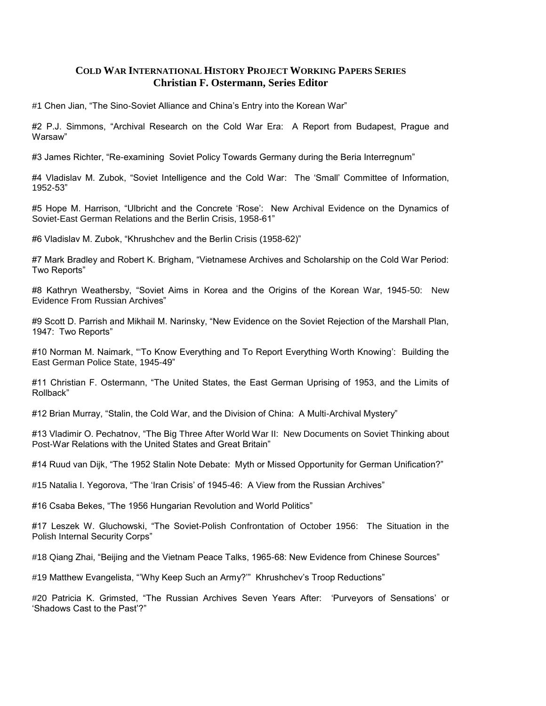#### **COLD WAR INTERNATIONAL HISTORY PROJECT WORKING PAPERS SERIES Christian F. Ostermann, Series Editor**

#1 Chen Jian, "The Sino-Soviet Alliance and China's Entry into the Korean War"

#2 P.J. Simmons, "Archival Research on the Cold War Era: A Report from Budapest, Prague and Warsaw"

#3 James Richter, "Re-examining Soviet Policy Towards Germany during the Beria Interregnum"

#4 Vladislav M. Zubok, "Soviet Intelligence and the Cold War: The 'Small' Committee of Information, 1952-53"

#5 Hope M. Harrison, "Ulbricht and the Concrete 'Rose': New Archival Evidence on the Dynamics of Soviet-East German Relations and the Berlin Crisis, 1958-61"

#6 Vladislav M. Zubok, "Khrushchev and the Berlin Crisis (1958-62)"

#7 Mark Bradley and Robert K. Brigham, "Vietnamese Archives and Scholarship on the Cold War Period: Two Reports"

#8 Kathryn Weathersby, "Soviet Aims in Korea and the Origins of the Korean War, 1945-50: New Evidence From Russian Archives"

#9 Scott D. Parrish and Mikhail M. Narinsky, "New Evidence on the Soviet Rejection of the Marshall Plan, 1947: Two Reports"

#10 Norman M. Naimark, "To Know Everything and To Report Everything Worth Knowing': Building the East German Police State, 1945-49"

#11 Christian F. Ostermann, "The United States, the East German Uprising of 1953, and the Limits of Rollback"

#12 Brian Murray, "Stalin, the Cold War, and the Division of China: A Multi-Archival Mystery"

#13 Vladimir O. Pechatnov, "The Big Three After World War II: New Documents on Soviet Thinking about Post-War Relations with the United States and Great Britain"

#14 Ruud van Dijk, "The 1952 Stalin Note Debate: Myth or Missed Opportunity for German Unification?"

#15 Natalia I. Yegorova, "The 'Iran Crisis' of 1945-46: A View from the Russian Archives"

#16 Csaba Bekes, "The 1956 Hungarian Revolution and World Politics"

#17 Leszek W. Gluchowski, "The Soviet-Polish Confrontation of October 1956: The Situation in the Polish Internal Security Corps"

#18 Qiang Zhai, "Beijing and the Vietnam Peace Talks, 1965-68: New Evidence from Chinese Sources"

#19 Matthew Evangelista, "'Why Keep Such an Army?'" Khrushchev's Troop Reductions"

#20 Patricia K. Grimsted, "The Russian Archives Seven Years After: 'Purveyors of Sensations' or 'Shadows Cast to the Past'?"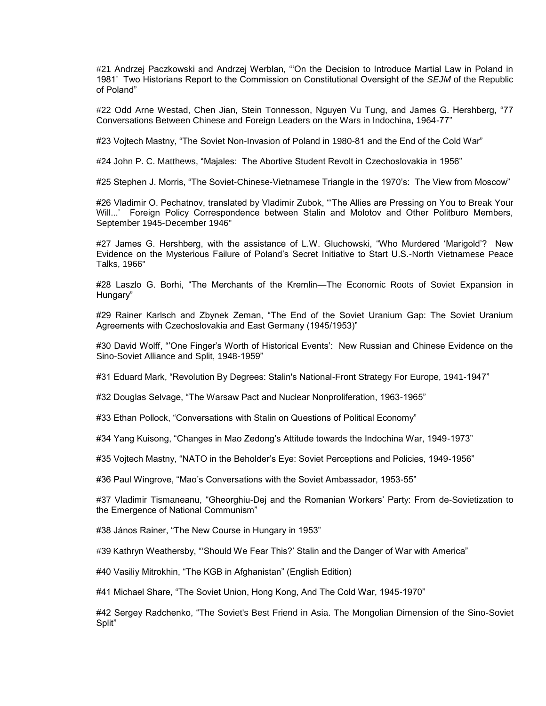#21 Andrzej Paczkowski and Andrzej Werblan, "'On the Decision to Introduce Martial Law in Poland in 1981' Two Historians Report to the Commission on Constitutional Oversight of the *SEJM* of the Republic of Poland"

#22 Odd Arne Westad, Chen Jian, Stein Tonnesson, Nguyen Vu Tung, and James G. Hershberg, "77 Conversations Between Chinese and Foreign Leaders on the Wars in Indochina, 1964-77"

#23 Vojtech Mastny, "The Soviet Non-Invasion of Poland in 1980-81 and the End of the Cold War"

#24 John P. C. Matthews, "Majales: The Abortive Student Revolt in Czechoslovakia in 1956"

#25 Stephen J. Morris, "The Soviet-Chinese-Vietnamese Triangle in the 1970's: The View from Moscow"

#26 Vladimir O. Pechatnov, translated by Vladimir Zubok, "'The Allies are Pressing on You to Break Your Will...' Foreign Policy Correspondence between Stalin and Molotov and Other Politburo Members, September 1945-December 1946"

#27 James G. Hershberg, with the assistance of L.W. Gluchowski, "Who Murdered 'Marigold'? New Evidence on the Mysterious Failure of Poland's Secret Initiative to Start U.S.-North Vietnamese Peace Talks, 1966"

#28 Laszlo G. Borhi, "The Merchants of the Kremlin—The Economic Roots of Soviet Expansion in Hungary"

#29 Rainer Karlsch and Zbynek Zeman, "The End of the Soviet Uranium Gap: The Soviet Uranium Agreements with Czechoslovakia and East Germany (1945/1953)"

#30 David Wolff, "'One Finger's Worth of Historical Events': New Russian and Chinese Evidence on the Sino-Soviet Alliance and Split, 1948-1959"

#31 Eduard Mark, "Revolution By Degrees: Stalin's National-Front Strategy For Europe, 1941-1947"

#32 Douglas Selvage, "The Warsaw Pact and Nuclear Nonproliferation, 1963-1965"

#33 Ethan Pollock, "Conversations with Stalin on Questions of Political Economy"

#34 Yang Kuisong, "Changes in Mao Zedong's Attitude towards the Indochina War, 1949-1973"

#35 Vojtech Mastny, "NATO in the Beholder's Eye: Soviet Perceptions and Policies, 1949-1956"

#36 Paul Wingrove, "Mao's Conversations with the Soviet Ambassador, 1953-55"

#37 Vladimir Tismaneanu, "Gheorghiu-Dej and the Romanian Workers' Party: From de-Sovietization to the Emergence of National Communism"

#38 János Rainer, "The New Course in Hungary in 1953"

#39 Kathryn Weathersby, "'Should We Fear This?' Stalin and the Danger of War with America"

#40 Vasiliy Mitrokhin, "The KGB in Afghanistan" (English Edition)

#41 Michael Share, "The Soviet Union, Hong Kong, And The Cold War, 1945-1970"

#42 Sergey Radchenko, "The Soviet's Best Friend in Asia. The Mongolian Dimension of the Sino-Soviet Split"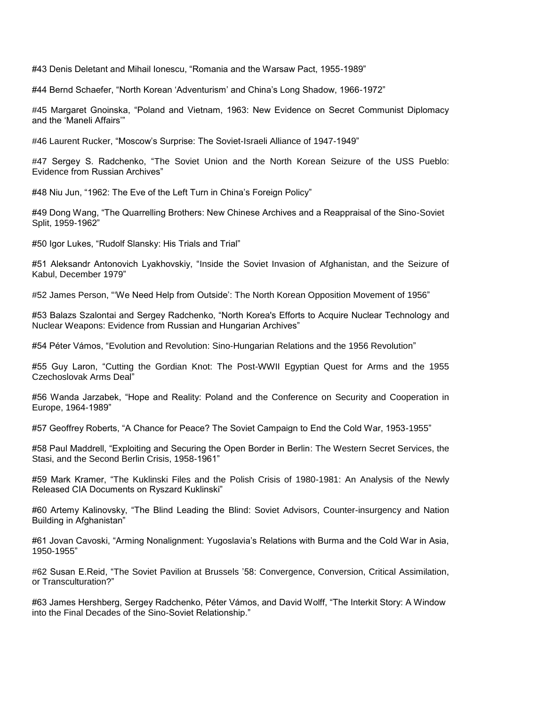#43 Denis Deletant and Mihail Ionescu, "Romania and the Warsaw Pact, 1955-1989"

#44 Bernd Schaefer, "North Korean 'Adventurism' and China's Long Shadow, 1966-1972"

#45 Margaret Gnoinska, "Poland and Vietnam, 1963: New Evidence on Secret Communist Diplomacy and the 'Maneli Affairs'"

#46 Laurent Rucker, "Moscow's Surprise: The Soviet-Israeli Alliance of 1947-1949"

#47 Sergey S. Radchenko, "The Soviet Union and the North Korean Seizure of the USS Pueblo: Evidence from Russian Archives"

#48 Niu Jun, "1962: The Eve of the Left Turn in China's Foreign Policy"

#49 Dong Wang, "The Quarrelling Brothers: New Chinese Archives and a Reappraisal of the Sino-Soviet Split, 1959-1962"

#50 Igor Lukes, "Rudolf Slansky: His Trials and Trial"

#51 Aleksandr Antonovich Lyakhovskiy, "Inside the Soviet Invasion of Afghanistan, and the Seizure of Kabul, December 1979"

#52 James Person, "'We Need Help from Outside': The North Korean Opposition Movement of 1956"

#53 Balazs Szalontai and Sergey Radchenko, "North Korea's Efforts to Acquire Nuclear Technology and Nuclear Weapons: Evidence from Russian and Hungarian Archives"

#54 Péter Vámos, "Evolution and Revolution: Sino-Hungarian Relations and the 1956 Revolution"

#55 Guy Laron, "Cutting the Gordian Knot: The Post-WWII Egyptian Quest for Arms and the 1955 Czechoslovak Arms Deal"

#56 Wanda Jarzabek, "Hope and Reality: Poland and the Conference on Security and Cooperation in Europe, 1964-1989"

#57 Geoffrey Roberts, "A Chance for Peace? The Soviet Campaign to End the Cold War, 1953-1955"

#58 Paul Maddrell, "Exploiting and Securing the Open Border in Berlin: The Western Secret Services, the Stasi, and the Second Berlin Crisis, 1958-1961"

#59 Mark Kramer, "The Kuklinski Files and the Polish Crisis of 1980-1981: An Analysis of the Newly Released CIA Documents on Ryszard Kuklinski"

#60 Artemy Kalinovsky, "The Blind Leading the Blind: Soviet Advisors, Counter-insurgency and Nation Building in Afghanistan"

#61 Jovan Cavoski, "Arming Nonalignment: Yugoslavia's Relations with Burma and the Cold War in Asia, 1950-1955"

#62 Susan E.Reid, "The Soviet Pavilion at Brussels '58: Convergence, Conversion, Critical Assimilation, or Transculturation?"

#63 James Hershberg, Sergey Radchenko, Péter Vámos, and David Wolff, "The Interkit Story: A Window into the Final Decades of the Sino-Soviet Relationship."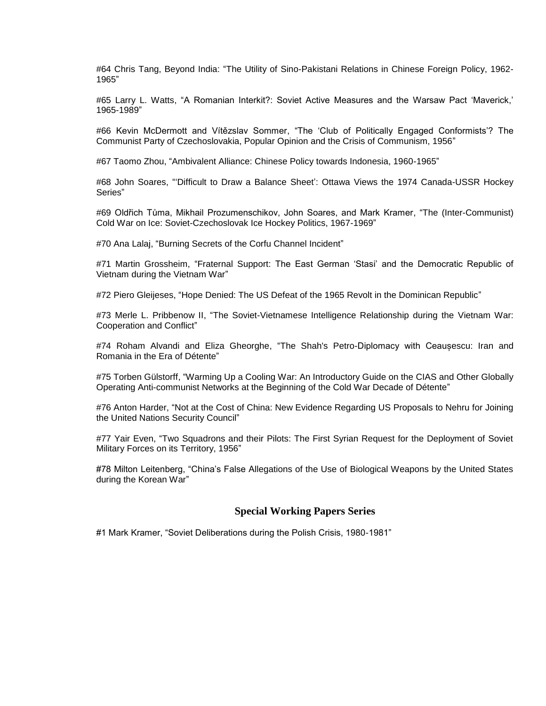#64 Chris Tang, Beyond India: "The Utility of Sino-Pakistani Relations in Chinese Foreign Policy, 1962- 1965"

#65 Larry L. Watts, "A Romanian Interkit?: Soviet Active Measures and the Warsaw Pact 'Maverick,' 1965-1989"

#66 Kevin McDermott and Vítězslav Sommer, "The 'Club of Politically Engaged Conformists'? The Communist Party of Czechoslovakia, Popular Opinion and the Crisis of Communism, 1956"

#67 Taomo Zhou, "Ambivalent Alliance: Chinese Policy towards Indonesia, 1960-1965"

#68 John Soares, "'Difficult to Draw a Balance Sheet': Ottawa Views the 1974 Canada-USSR Hockey Series"

#69 Oldřich Tůma, Mikhail Prozumenschikov, John Soares, and Mark Kramer, "The (Inter-Communist) Cold War on Ice: Soviet-Czechoslovak Ice Hockey Politics, 1967-1969"

#70 Ana Lalaj, "Burning Secrets of the Corfu Channel Incident"

#71 Martin Grossheim, "Fraternal Support: The East German 'Stasi' and the Democratic Republic of Vietnam during the Vietnam War"

#72 Piero Gleijeses, "Hope Denied: The US Defeat of the 1965 Revolt in the Dominican Republic"

#73 Merle L. Pribbenow II, "The Soviet-Vietnamese Intelligence Relationship during the Vietnam War: Cooperation and Conflict"

#74 Roham Alvandi and Eliza Gheorghe, "The Shah's Petro-Diplomacy with Ceaușescu: Iran and Romania in the Era of Détente"

#75 Torben Gülstorff, "Warming Up a Cooling War: An Introductory Guide on the CIAS and Other Globally Operating Anti-communist Networks at the Beginning of the Cold War Decade of Détente"

#76 Anton Harder, "Not at the Cost of China: New Evidence Regarding US Proposals to Nehru for Joining the United Nations Security Council"

#77 Yair Even, "Two Squadrons and their Pilots: The First Syrian Request for the Deployment of Soviet Military Forces on its Territory, 1956"

#78 Milton Leitenberg, "China's False Allegations of the Use of Biological Weapons by the United States during the Korean War"

#### **Special Working Papers Series**

#1 Mark Kramer, "Soviet Deliberations during the Polish Crisis, 1980-1981"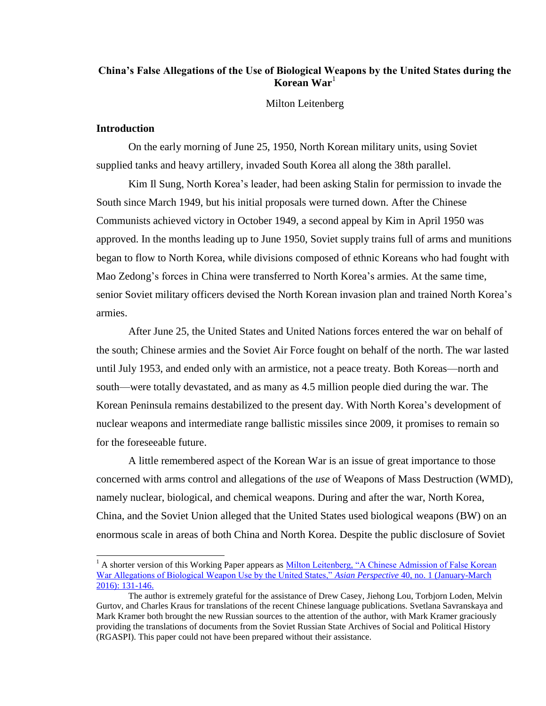## **China's False Allegations of the Use of Biological Weapons by the United States during the Korean War**<sup>1</sup>

Milton Leitenberg

#### **Introduction**

On the early morning of June 25, 1950, North Korean military units, using Soviet supplied tanks and heavy artillery, invaded South Korea all along the 38th parallel.

Kim Il Sung, North Korea's leader, had been asking Stalin for permission to invade the South since March 1949, but his initial proposals were turned down. After the Chinese Communists achieved victory in October 1949, a second appeal by Kim in April 1950 was approved. In the months leading up to June 1950, Soviet supply trains full of arms and munitions began to flow to North Korea, while divisions composed of ethnic Koreans who had fought with Mao Zedong's forces in China were transferred to North Korea's armies. At the same time, senior Soviet military officers devised the North Korean invasion plan and trained North Korea's armies.

After June 25, the United States and United Nations forces entered the war on behalf of the south; Chinese armies and the Soviet Air Force fought on behalf of the north. The war lasted until July 1953, and ended only with an armistice, not a peace treaty. Both Koreas—north and south—were totally devastated, and as many as 4.5 million people died during the war. The Korean Peninsula remains destabilized to the present day. With North Korea's development of nuclear weapons and intermediate range ballistic missiles since 2009, it promises to remain so for the foreseeable future.

A little remembered aspect of the Korean War is an issue of great importance to those concerned with arms control and allegations of the *use* of Weapons of Mass Destruction (WMD), namely nuclear, biological, and chemical weapons. During and after the war, North Korea, China, and the Soviet Union alleged that the United States used biological weapons (BW) on an enormous scale in areas of both China and North Korea. Despite the public disclosure of Soviet

 $<sup>1</sup>$  A shorter version of this Working Paper appears as Milton Leitenberg, "A Chinese Admission of False Korean</sup> [War Allegations of Biological Weapon Use by the United States,"](http://journals.rienner.com/doi/abs/10.5555/0258-9184-40.1.131) *Asian Perspective* 40, no. 1 (January-March [2016\): 131-146.](http://journals.rienner.com/doi/abs/10.5555/0258-9184-40.1.131)

The author is extremely grateful for the assistance of Drew Casey, Jiehong Lou, Torbjorn Loden, Melvin Gurtov, and Charles Kraus for translations of the recent Chinese language publications. Svetlana Savranskaya and Mark Kramer both brought the new Russian sources to the attention of the author, with Mark Kramer graciously providing the translations of documents from the Soviet Russian State Archives of Social and Political History (RGASPI). This paper could not have been prepared without their assistance.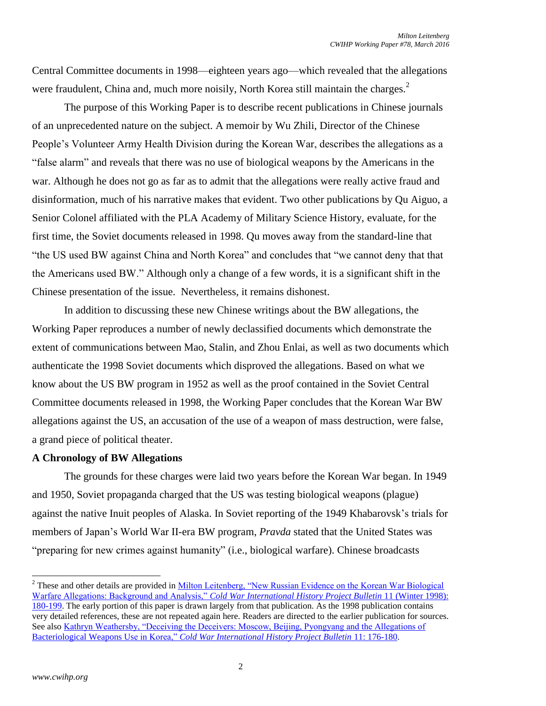Central Committee documents in 1998—eighteen years ago—which revealed that the allegations were fraudulent, China and, much more noisily, North Korea still maintain the charges. $2^2$ 

The purpose of this Working Paper is to describe recent publications in Chinese journals of an unprecedented nature on the subject. A memoir by Wu Zhili, Director of the Chinese People's Volunteer Army Health Division during the Korean War, describes the allegations as a "false alarm" and reveals that there was no use of biological weapons by the Americans in the war. Although he does not go as far as to admit that the allegations were really active fraud and disinformation, much of his narrative makes that evident. Two other publications by Qu Aiguo, a Senior Colonel affiliated with the PLA Academy of Military Science History, evaluate, for the first time, the Soviet documents released in 1998. Qu moves away from the standard-line that "the US used BW against China and North Korea" and concludes that "we cannot deny that that the Americans used BW." Although only a change of a few words, it is a significant shift in the Chinese presentation of the issue. Nevertheless, it remains dishonest.

In addition to discussing these new Chinese writings about the BW allegations, the Working Paper reproduces a number of newly declassified documents which demonstrate the extent of communications between Mao, Stalin, and Zhou Enlai, as well as two documents which authenticate the 1998 Soviet documents which disproved the allegations. Based on what we know about the US BW program in 1952 as well as the proof contained in the Soviet Central Committee documents released in 1998, the Working Paper concludes that the Korean War BW allegations against the US, an accusation of the use of a weapon of mass destruction, were false, a grand piece of political theater.

#### **A Chronology of BW Allegations**

The grounds for these charges were laid two years before the Korean War began. In 1949 and 1950, Soviet propaganda charged that the US was testing biological weapons (plague) against the native Inuit peoples of Alaska. In Soviet reporting of the 1949 Khabarovsk's trials for members of Japan's World War II-era BW program, *Pravda* stated that the United States was "preparing for new crimes against humanity" (i.e., biological warfare). Chinese broadcasts

 $\overline{a}$ 

<sup>&</sup>lt;sup>2</sup> These and other details are provided in Milton Leitenberg, "New Russian Evidence on the Korean War Biological [Warfare Allegations: Background and Analysis,"](https://www.wilsoncenter.org/sites/default/files/CWIHP_Bulletin_11.pdf) *Cold War International History Project Bulletin* 11 (Winter 1998): [180-199.](https://www.wilsoncenter.org/sites/default/files/CWIHP_Bulletin_11.pdf) The early portion of this paper is drawn largely from that publication. As the 1998 publication contains very detailed references, these are not repeated again here. Readers are directed to the earlier publication for sources. See also [Kathryn Weathersby, "Deceiving the Deceivers: Moscow, Beijing, Pyongyang and the Allegations of](https://www.wilsoncenter.org/sites/default/files/CWIHP_Bulletin_11.pdf)  Bacteriological Weapons Use in Korea," *[Cold War International History Project Bulletin](https://www.wilsoncenter.org/sites/default/files/CWIHP_Bulletin_11.pdf)* 11: 176-180.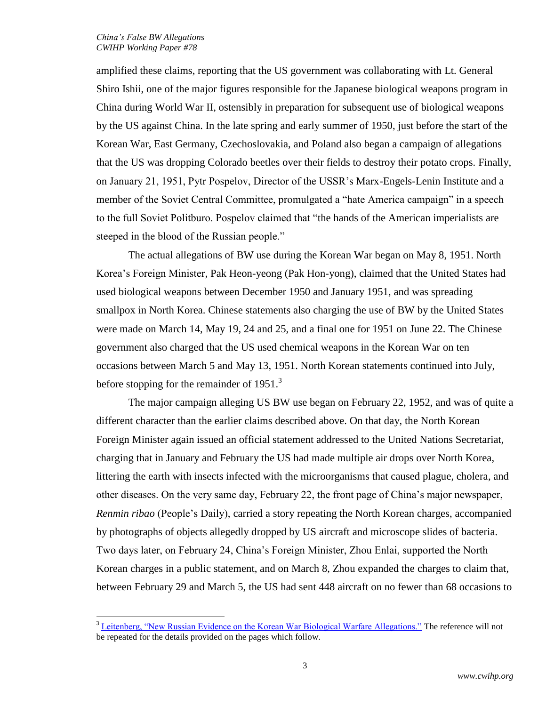amplified these claims, reporting that the US government was collaborating with Lt. General Shiro Ishii, one of the major figures responsible for the Japanese biological weapons program in China during World War II, ostensibly in preparation for subsequent use of biological weapons by the US against China. In the late spring and early summer of 1950, just before the start of the Korean War, East Germany, Czechoslovakia, and Poland also began a campaign of allegations that the US was dropping Colorado beetles over their fields to destroy their potato crops. Finally, on January 21, 1951, Pytr Pospelov, Director of the USSR's Marx-Engels-Lenin Institute and a member of the Soviet Central Committee, promulgated a "hate America campaign" in a speech to the full Soviet Politburo. Pospelov claimed that "the hands of the American imperialists are steeped in the blood of the Russian people."

The actual allegations of BW use during the Korean War began on May 8, 1951. North Korea's Foreign Minister, Pak Heon-yeong (Pak Hon-yong), claimed that the United States had used biological weapons between December 1950 and January 1951, and was spreading smallpox in North Korea. Chinese statements also charging the use of BW by the United States were made on March 14, May 19, 24 and 25, and a final one for 1951 on June 22. The Chinese government also charged that the US used chemical weapons in the Korean War on ten occasions between March 5 and May 13, 1951. North Korean statements continued into July, before stopping for the remainder of  $1951$ .<sup>3</sup>

The major campaign alleging US BW use began on February 22, 1952, and was of quite a different character than the earlier claims described above. On that day, the North Korean Foreign Minister again issued an official statement addressed to the United Nations Secretariat, charging that in January and February the US had made multiple air drops over North Korea, littering the earth with insects infected with the microorganisms that caused plague, cholera, and other diseases. On the very same day, February 22, the front page of China's major newspaper, *Renmin ribao* (People's Daily), carried a story repeating the North Korean charges, accompanied by photographs of objects allegedly dropped by US aircraft and microscope slides of bacteria. Two days later, on February 24, China's Foreign Minister, Zhou Enlai, supported the North Korean charges in a public statement, and on March 8, Zhou expanded the charges to claim that, between February 29 and March 5, the US had sent 448 aircraft on no fewer than 68 occasions to

<sup>&</sup>lt;sup>3</sup> [Leitenberg, "New Russian Evidence on the Korean War Biological Warfare Allegations."](https://www.wilsoncenter.org/sites/default/files/CWIHP_Bulletin_11.pdf) The reference will not be repeated for the details provided on the pages which follow.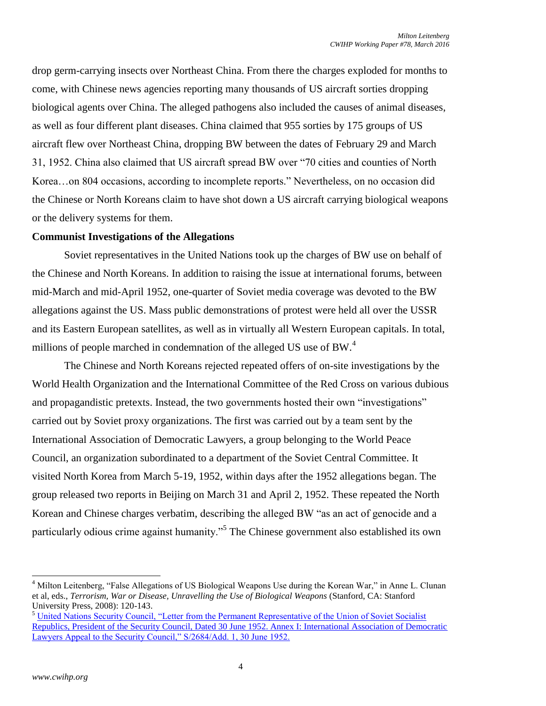drop germ-carrying insects over Northeast China. From there the charges exploded for months to come, with Chinese news agencies reporting many thousands of US aircraft sorties dropping biological agents over China. The alleged pathogens also included the causes of animal diseases, as well as four different plant diseases. China claimed that 955 sorties by 175 groups of US aircraft flew over Northeast China, dropping BW between the dates of February 29 and March 31, 1952. China also claimed that US aircraft spread BW over "70 cities and counties of North Korea…on 804 occasions, according to incomplete reports." Nevertheless, on no occasion did the Chinese or North Koreans claim to have shot down a US aircraft carrying biological weapons or the delivery systems for them.

#### **Communist Investigations of the Allegations**

Soviet representatives in the United Nations took up the charges of BW use on behalf of the Chinese and North Koreans. In addition to raising the issue at international forums, between mid-March and mid-April 1952, one-quarter of Soviet media coverage was devoted to the BW allegations against the US. Mass public demonstrations of protest were held all over the USSR and its Eastern European satellites, as well as in virtually all Western European capitals. In total, millions of people marched in condemnation of the alleged US use of BW.<sup>4</sup>

The Chinese and North Koreans rejected repeated offers of on-site investigations by the World Health Organization and the International Committee of the Red Cross on various dubious and propagandistic pretexts. Instead, the two governments hosted their own "investigations" carried out by Soviet proxy organizations. The first was carried out by a team sent by the International Association of Democratic Lawyers, a group belonging to the World Peace Council, an organization subordinated to a department of the Soviet Central Committee. It visited North Korea from March 5-19, 1952, within days after the 1952 allegations began. The group released two reports in Beijing on March 31 and April 2, 1952. These repeated the North Korean and Chinese charges verbatim, describing the alleged BW "as an act of genocide and a particularly odious crime against humanity."<sup>5</sup> The Chinese government also established its own

 $\overline{a}$ 

<sup>4</sup> Milton Leitenberg, "False Allegations of US Biological Weapons Use during the Korean War," in Anne L. Clunan et al, eds., *Terrorism, War or Disease, Unravelling the Use of Biological Weapons* (Stanford, CA: Stanford University Press, 2008): 120-143.

<sup>&</sup>lt;sup>5</sup> United Nations Security Council, "Letter from the Permanent Representative of the Union of Soviet Socialist [Republics, President of the Security Council, Dated 30 June 1952. Annex I: International Association of Democratic](http://hdl.handle.net/11176/85099)  [Lawyers Appeal to the Security Council," S/2684/Add. 1, 30 June 1952.](http://hdl.handle.net/11176/85099)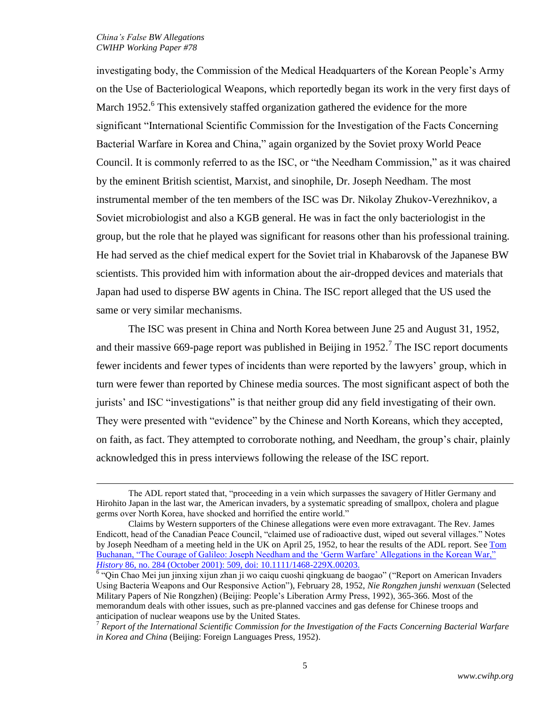$\overline{a}$ 

investigating body, the Commission of the Medical Headquarters of the Korean People's Army on the Use of Bacteriological Weapons, which reportedly began its work in the very first days of March 1952.<sup>6</sup> This extensively staffed organization gathered the evidence for the more significant "International Scientific Commission for the Investigation of the Facts Concerning Bacterial Warfare in Korea and China," again organized by the Soviet proxy World Peace Council. It is commonly referred to as the ISC, or "the Needham Commission," as it was chaired by the eminent British scientist, Marxist, and sinophile, Dr. Joseph Needham. The most instrumental member of the ten members of the ISC was Dr. Nikolay Zhukov-Verezhnikov, a Soviet microbiologist and also a KGB general. He was in fact the only bacteriologist in the group, but the role that he played was significant for reasons other than his professional training. He had served as the chief medical expert for the Soviet trial in Khabarovsk of the Japanese BW scientists. This provided him with information about the air-dropped devices and materials that Japan had used to disperse BW agents in China. The ISC report alleged that the US used the same or very similar mechanisms.

The ISC was present in China and North Korea between June 25 and August 31, 1952, and their massive 669-page report was published in Beijing in  $1952$ .<sup>7</sup> The ISC report documents fewer incidents and fewer types of incidents than were reported by the lawyers' group, which in turn were fewer than reported by Chinese media sources. The most significant aspect of both the jurists' and ISC "investigations" is that neither group did any field investigating of their own. They were presented with "evidence" by the Chinese and North Koreans, which they accepted, on faith, as fact. They attempted to corroborate nothing, and Needham, the group's chair, plainly acknowledged this in press interviews following the release of the ISC report.

The ADL report stated that, "proceeding in a vein which surpasses the savagery of Hitler Germany and Hirohito Japan in the last war, the American invaders, by a systematic spreading of smallpox, cholera and plague germs over North Korea, have shocked and horrified the entire world."

Claims by Western supporters of the Chinese allegations were even more extravagant. The Rev. James Endicott, head of the Canadian Peace Council, "claimed use of radioactive dust, wiped out several villages." Notes by Joseph Needham of a meeting held in the UK on April 25, 1952, to hear the results of the ADL report. See Tom [Buchanan, "The Courage of Galileo: Joseph Needham and the 'Germ Warfare' Allegations in the Korean War,"](http://onlinelibrary.wiley.com/doi/10.1111/1468-229X.00203/abstract)  *History* [86, no. 284 \(October 2001\): 509, doi: 10.1111/1468-229X.00203.](http://onlinelibrary.wiley.com/doi/10.1111/1468-229X.00203/abstract)

<sup>&</sup>lt;sup>6</sup> "Qin Chao Mei jun jinxing xijun zhan ji wo caiqu cuoshi qingkuang de baogao" ("Report on American Invaders Using Bacteria Weapons and Our Responsive Action"), February 28, 1952, *Nie Rongzhen junshi wenxuan* (Selected Military Papers of Nie Rongzhen) (Beijing: People's Liberation Army Press, 1992), 365-366. Most of the memorandum deals with other issues, such as pre-planned vaccines and gas defense for Chinese troops and anticipation of nuclear weapons use by the United States.

<sup>7</sup> *Report of the International Scientific Commission for the Investigation of the Facts Concerning Bacterial Warfare in Korea and China* (Beijing: Foreign Languages Press, 1952).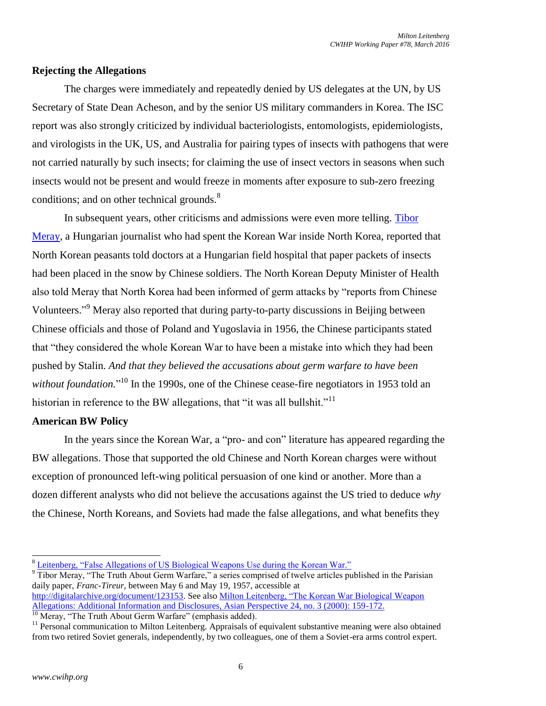#### **Rejecting the Allegations**

The charges were immediately and repeatedly denied by US delegates at the UN, by US Secretary of State Dean Acheson, and by the senior US military commanders in Korea. The ISC report was also strongly criticized by individual bacteriologists, entomologists, epidemiologists, and virologists in the UK, US, and Australia for pairing types of insects with pathogens that were not carried naturally by such insects; for claiming the use of insect vectors in seasons when such insects would not be present and would freeze in moments after exposure to sub-zero freezing conditions; and on other technical grounds.<sup>8</sup>

In subsequent years, other criticisms and admissions were even more telling. [Tibor](http://digitalarchive.wilsoncenter.org/document/123153)  [Meray,](http://digitalarchive.wilsoncenter.org/document/123153) a Hungarian journalist who had spent the Korean War inside North Korea, reported that North Korean peasants told doctors at a Hungarian field hospital that paper packets of insects had been placed in the snow by Chinese soldiers. The North Korean Deputy Minister of Health also told Meray that North Korea had been informed of germ attacks by "reports from Chinese Volunteers."<sup>9</sup> Meray also reported that during party-to-party discussions in Beijing between Chinese officials and those of Poland and Yugoslavia in 1956, the Chinese participants stated that "they considered the whole Korean War to have been a mistake into which they had been pushed by Stalin. *And that they believed the accusations about germ warfare to have been*  without foundation.<sup>"10</sup> In the 1990s, one of the Chinese cease-fire negotiators in 1953 told an historian in reference to the BW allegations, that "it was all bullshit."<sup>11</sup>

#### **American BW Policy**

In the years since the Korean War, a "pro- and con" literature has appeared regarding the BW allegations. Those that supported the old Chinese and North Korean charges were without exception of pronounced left-wing political persuasion of one kind or another. More than a dozen different analysts who did not believe the accusations against the US tried to deduce *why*  the Chinese, North Koreans, and Soviets had made the false allegations, and what benefits they

[Allegations: Additional Information and Disclosures, Asian Perspective 24, no. 3 \(2000\): 159-172.](http://www.jstor.org/stable/42704276?seq=1#page_scan_tab_contents) <sup>10</sup> Meray, "The Truth About Germ Warfare" (emphasis added).

 <sup>8</sup> [Leitenberg, "False Allegations of US Biological Weapons Use during the Korean War."](https://www.wilsoncenter.org/sites/default/files/CWIHP_Bulletin_11.pdf)

<sup>&</sup>lt;sup>9</sup> Tibor Meray, "The Truth About Germ Warfare," a series comprised of twelve articles published in the Parisian daily paper, *Franc-Tireur*, between May 6 and May 19, 1957, accessible at [http://digitalarchive.org/document/123153.](http://digitalarchive.org/document/123153) See also [Milton Leitenberg, "The Korean War Biological Weapon](http://www.jstor.org/stable/42704276?seq=1#page_scan_tab_contents) 

<sup>&</sup>lt;sup>11</sup> Personal communication to Milton Leitenberg. Appraisals of equivalent substantive meaning were also obtained from two retired Soviet generals, independently, by two colleagues, one of them a Soviet-era arms control expert.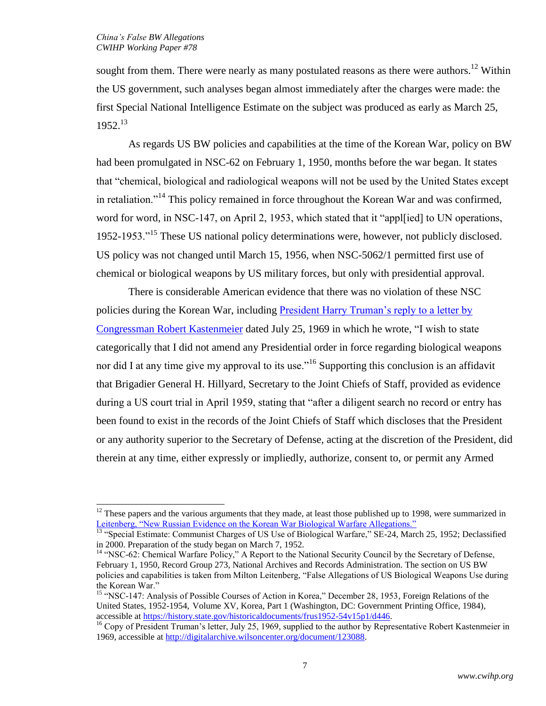sought from them. There were nearly as many postulated reasons as there were authors.<sup>12</sup> Within the US government, such analyses began almost immediately after the charges were made: the first Special National Intelligence Estimate on the subject was produced as early as March 25, 1952.<sup>13</sup>

As regards US BW policies and capabilities at the time of the Korean War, policy on BW had been promulgated in NSC-62 on February 1, 1950, months before the war began. It states that "chemical, biological and radiological weapons will not be used by the United States except in retaliation."<sup>14</sup> This policy remained in force throughout the Korean War and was confirmed, word for word, in NSC-147, on April 2, 1953, which stated that it "apple if to UN operations, 1952-1953."<sup>15</sup> These US national policy determinations were, however, not publicly disclosed. US policy was not changed until March 15, 1956, when NSC-5062/1 permitted first use of chemical or biological weapons by US military forces, but only with presidential approval.

There is considerable American evidence that there was no violation of these NSC policies during the Korean War, including [President Harry Truman's reply to a letter by](http://digitalarchive.wilsoncenter.org/document/123088)  [Congressman Robert Kastenmeier](http://digitalarchive.wilsoncenter.org/document/123088) dated July 25, 1969 in which he wrote, "I wish to state categorically that I did not amend any Presidential order in force regarding biological weapons nor did I at any time give my approval to its use."<sup>16</sup> Supporting this conclusion is an affidavit that Brigadier General H. Hillyard, Secretary to the Joint Chiefs of Staff, provided as evidence during a US court trial in April 1959, stating that "after a diligent search no record or entry has been found to exist in the records of the Joint Chiefs of Staff which discloses that the President or any authority superior to the Secretary of Defense, acting at the discretion of the President, did therein at any time, either expressly or impliedly, authorize, consent to, or permit any Armed

  $12$  These papers and the various arguments that they made, at least those published up to 1998, were summarized in [Leitenberg, "New Russian Evidence on the Korean War Biological Warfare Allegations."](https://www.wilsoncenter.org/sites/default/files/CWIHP_Bulletin_11.pdf)

<sup>&</sup>lt;sup>13</sup> "Special Estimate: Communist Charges of US Use of Biological Warfare," SE-24, March 25, 1952; Declassified in 2000. Preparation of the study began on March 7, 1952.

<sup>&</sup>lt;sup>14</sup> "NSC-62: Chemical Warfare Policy," A Report to the National Security Council by the Secretary of Defense, February 1, 1950, Record Group 273, National Archives and Records Administration. The section on US BW policies and capabilities is taken from Milton Leitenberg, "False Allegations of US Biological Weapons Use during the Korean War."

<sup>&</sup>lt;sup>15</sup> "NSC-147: Analysis of Possible Courses of Action in Korea," December 28, 1953, Foreign Relations of the United States, 1952-1954, Volume XV, Korea, Part 1 (Washington, DC: Government Printing Office, 1984), accessible a[t https://history.state.gov/historicaldocuments/frus1952-54v15p1/d446.](https://history.state.gov/historicaldocuments/frus1952-54v15p1/d446)

<sup>&</sup>lt;sup>16</sup> Copy of President Truman's letter, July 25, 1969, supplied to the author by Representative Robert Kastenmeier in 1969, accessible at [http://digitalarchive.wilsoncenter.org/document/123088.](http://digitalarchive.wilsoncenter.org/document/123088)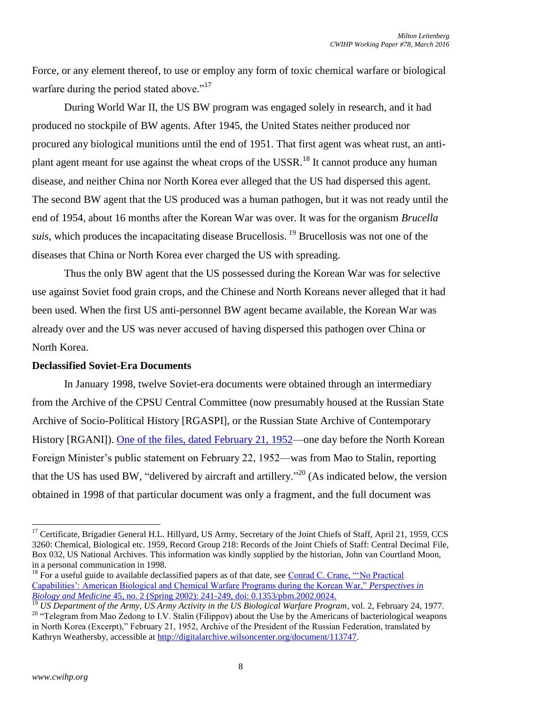Force, or any element thereof, to use or employ any form of toxic chemical warfare or biological warfare during the period stated above."<sup>17</sup>

During World War II, the US BW program was engaged solely in research, and it had produced no stockpile of BW agents. After 1945, the United States neither produced nor procured any biological munitions until the end of 1951. That first agent was wheat rust, an antiplant agent meant for use against the wheat crops of the USSR.<sup>18</sup> It cannot produce any human disease, and neither China nor North Korea ever alleged that the US had dispersed this agent. The second BW agent that the US produced was a human pathogen, but it was not ready until the end of 1954, about 16 months after the Korean War was over. It was for the organism *Brucella suis*, which produces the incapacitating disease Brucellosis.<sup>19</sup> Brucellosis was not one of the diseases that China or North Korea ever charged the US with spreading.

Thus the only BW agent that the US possessed during the Korean War was for selective use against Soviet food grain crops, and the Chinese and North Koreans never alleged that it had been used. When the first US anti-personnel BW agent became available, the Korean War was already over and the US was never accused of having dispersed this pathogen over China or North Korea.

#### **Declassified Soviet-Era Documents**

In January 1998, twelve Soviet-era documents were obtained through an intermediary from the Archive of the CPSU Central Committee (now presumably housed at the Russian State Archive of Socio-Political History [RGASPI], or the Russian State Archive of Contemporary History [RGANI]). [One of the files, dated February 21, 1952—](http://digitalarchive.wilsoncenter.org/document/113747)one day before the North Korean Foreign Minister's public statement on February 22, 1952—was from Mao to Stalin, reporting that the US has used BW, "delivered by aircraft and artillery."<sup>20</sup> (As indicated below, the version obtained in 1998 of that particular document was only a fragment, and the full document was

 $\overline{a}$ 

<sup>&</sup>lt;sup>17</sup> Certificate, Brigadier General H.L. Hillyard, US Army, Secretary of the Joint Chiefs of Staff, April 21, 1959, CCS 3260: Chemical, Biological etc. 1959, Record Group 218: Records of the Joint Chiefs of Staff: Central Decimal File, Box 032, US National Archives. This information was kindly supplied by the historian, John van Courtland Moon, in a personal communication in 1998.

<sup>&</sup>lt;sup>18</sup> For a useful guide to available declassified papers as of that date, see Conrad C. Crane, "No Practical" [Capabilities': American Biological and Chemical Warfare Programs during the Korean War,"](https://muse.jhu.edu/login?auth=0&type=summary&url=/journals/perspectives_in_biology_and_medicine/v045/45.2crane.html) *Perspectives in Biology and Medicine* [45, no. 2 \(Spring 2002\): 241-249, doi: 0.1353/pbm.2002.0024.](https://muse.jhu.edu/login?auth=0&type=summary&url=/journals/perspectives_in_biology_and_medicine/v045/45.2crane.html)

<sup>&</sup>lt;sup>19</sup> *US Department of the Army, US Army Activity in the US Biological Warfare Program, vol. 2, February 24, 1977.* 

<sup>&</sup>lt;sup>20</sup> "Telegram from Mao Zedong to I.V. Stalin (Filippov) about the Use by the Americans of bacteriological weapons in North Korea (Excerpt)," February 21, 1952, Archive of the President of the Russian Federation, translated by Kathryn Weathersby, accessible at [http://digitalarchive.wilsoncenter.org/document/113747.](http://digitalarchive.wilsoncenter.org/document/113747)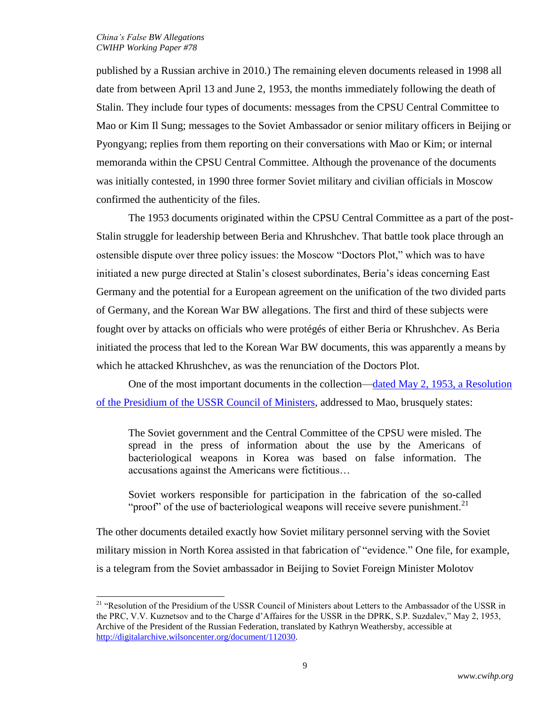published by a Russian archive in 2010.) The remaining eleven documents released in 1998 all date from between April 13 and June 2, 1953, the months immediately following the death of Stalin. They include four types of documents: messages from the CPSU Central Committee to Mao or Kim Il Sung; messages to the Soviet Ambassador or senior military officers in Beijing or Pyongyang; replies from them reporting on their conversations with Mao or Kim; or internal memoranda within the CPSU Central Committee. Although the provenance of the documents was initially contested, in 1990 three former Soviet military and civilian officials in Moscow confirmed the authenticity of the files.

The 1953 documents originated within the CPSU Central Committee as a part of the post-Stalin struggle for leadership between Beria and Khrushchev. That battle took place through an ostensible dispute over three policy issues: the Moscow "Doctors Plot," which was to have initiated a new purge directed at Stalin's closest subordinates, Beria's ideas concerning East Germany and the potential for a European agreement on the unification of the two divided parts of Germany, and the Korean War BW allegations. The first and third of these subjects were fought over by attacks on officials who were protégés of either Beria or Khrushchev. As Beria initiated the process that led to the Korean War BW documents, this was apparently a means by which he attacked Khrushchev, as was the renunciation of the Doctors Plot.

One of the most important documents in the collection—dated May 2, 1953, a Resolution [of the Presidium of the USSR Council of Ministers,](http://digitalarchive.wilsoncenter.org/document/112030) addressed to Mao, brusquely states:

The Soviet government and the Central Committee of the CPSU were misled. The spread in the press of information about the use by the Americans of bacteriological weapons in Korea was based on false information. The accusations against the Americans were fictitious…

Soviet workers responsible for participation in the fabrication of the so-called "proof" of the use of bacteriological weapons will receive severe punishment.<sup>21</sup>

The other documents detailed exactly how Soviet military personnel serving with the Soviet military mission in North Korea assisted in that fabrication of "evidence." One file, for example, is a telegram from the Soviet ambassador in Beijing to Soviet Foreign Minister Molotov

<sup>&</sup>lt;sup>21</sup> "Resolution of the Presidium of the USSR Council of Ministers about Letters to the Ambassador of the USSR in the PRC, V.V. Kuznetsov and to the Charge d'Affaires for the USSR in the DPRK, S.P. Suzdalev," May 2, 1953, Archive of the President of the Russian Federation, translated by Kathryn Weathersby, accessible at [http://digitalarchive.wilsoncenter.org/document/112030.](http://digitalarchive.wilsoncenter.org/document/112030)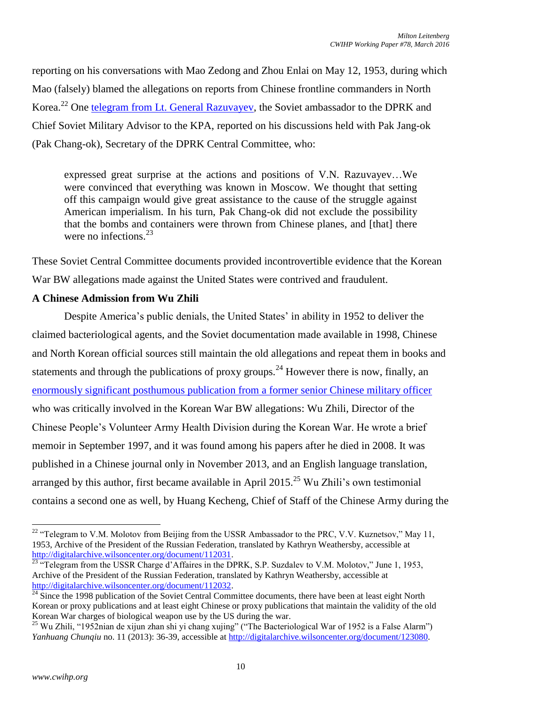reporting on his conversations with Mao Zedong and Zhou Enlai on May 12, 1953, during which Mao (falsely) blamed the allegations on reports from Chinese frontline commanders in North Korea.<sup>22</sup> One [telegram from Lt. General Razuvayev,](http://digitalarchive.wilsoncenter.org/document/112032) the Soviet ambassador to the DPRK and Chief Soviet Military Advisor to the KPA, reported on his discussions held with Pak Jang-ok (Pak Chang-ok), Secretary of the DPRK Central Committee, who:

expressed great surprise at the actions and positions of V.N. Razuvayev…We were convinced that everything was known in Moscow. We thought that setting off this campaign would give great assistance to the cause of the struggle against American imperialism. In his turn, Pak Chang-ok did not exclude the possibility that the bombs and containers were thrown from Chinese planes, and [that] there were no infections. $^{23}$ 

These Soviet Central Committee documents provided incontrovertible evidence that the Korean War BW allegations made against the United States were contrived and fraudulent.

## **A Chinese Admission from Wu Zhili**

Despite America's public denials, the United States' in ability in 1952 to deliver the claimed bacteriological agents, and the Soviet documentation made available in 1998, Chinese and North Korean official sources still maintain the old allegations and repeat them in books and statements and through the publications of proxy groups.<sup>24</sup> However there is now, finally, an [enormously significant posthumous publication from a former senior Chinese military officer](http://digitalarchive.wilsoncenter.org/document/123080) who was critically involved in the Korean War BW allegations: Wu Zhili, Director of the Chinese People's Volunteer Army Health Division during the Korean War. He wrote a brief memoir in September 1997, and it was found among his papers after he died in 2008. It was published in a Chinese journal only in November 2013, and an English language translation, arranged by this author, first became available in April 2015.<sup>25</sup> Wu Zhili's own testimonial contains a second one as well, by Huang Kecheng, Chief of Staff of the Chinese Army during the

 $\overline{a}$  $^{22}$  "Telegram to V.M. Molotov from Beijing from the USSR Ambassador to the PRC, V.V. Kuznetsov," May 11, 1953, Archive of the President of the Russian Federation, translated by Kathryn Weathersby, accessible at [http://digitalarchive.wilsoncenter.org/document/112031.](http://digitalarchive.wilsoncenter.org/document/112031) 

<sup>&</sup>lt;sup>23</sup> "Telegram from the USSR Charge d'Affaires in the DPRK, S.P. Suzdalev to V.M. Molotov," June 1, 1953, Archive of the President of the Russian Federation, translated by Kathryn Weathersby, accessible at [http://digitalarchive.wilsoncenter.org/document/112032.](http://digitalarchive.wilsoncenter.org/document/112032) 

 $^{24}$  Since the 1998 publication of the Soviet Central Committee documents, there have been at least eight North Korean or proxy publications and at least eight Chinese or proxy publications that maintain the validity of the old Korean War charges of biological weapon use by the US during the war.

<sup>25</sup> Wu Zhili, "1952nian de xijun zhan shi yi chang xujing" ("The Bacteriological War of 1952 is a False Alarm") *Yanhuang Chunqiu* no. 11 (2013): 36-39, accessible at [http://digitalarchive.wilsoncenter.org/document/123080.](http://digitalarchive.wilsoncenter.org/document/123080)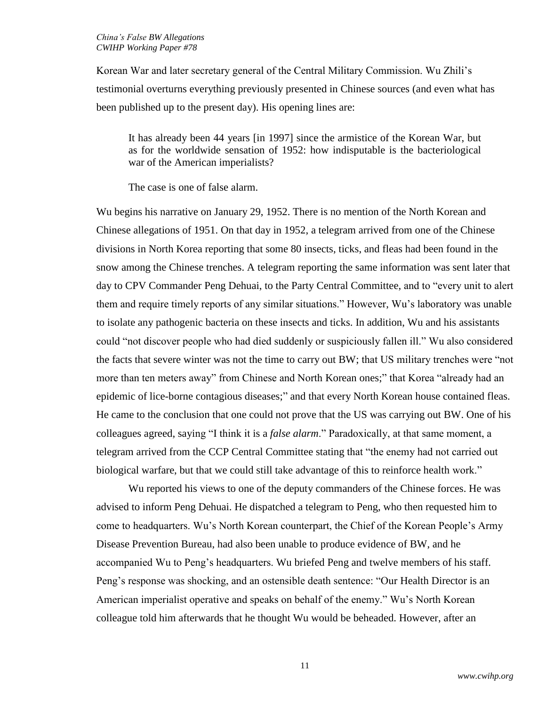Korean War and later secretary general of the Central Military Commission. Wu Zhili's testimonial overturns everything previously presented in Chinese sources (and even what has been published up to the present day). His opening lines are:

It has already been 44 years [in 1997] since the armistice of the Korean War, but as for the worldwide sensation of 1952: how indisputable is the bacteriological war of the American imperialists?

The case is one of false alarm.

Wu begins his narrative on January 29, 1952. There is no mention of the North Korean and Chinese allegations of 1951. On that day in 1952, a telegram arrived from one of the Chinese divisions in North Korea reporting that some 80 insects, ticks, and fleas had been found in the snow among the Chinese trenches. A telegram reporting the same information was sent later that day to CPV Commander Peng Dehuai, to the Party Central Committee, and to "every unit to alert them and require timely reports of any similar situations." However, Wu's laboratory was unable to isolate any pathogenic bacteria on these insects and ticks. In addition, Wu and his assistants could "not discover people who had died suddenly or suspiciously fallen ill." Wu also considered the facts that severe winter was not the time to carry out BW; that US military trenches were "not more than ten meters away" from Chinese and North Korean ones;" that Korea "already had an epidemic of lice-borne contagious diseases;" and that every North Korean house contained fleas. He came to the conclusion that one could not prove that the US was carrying out BW. One of his colleagues agreed, saying "I think it is a *false alarm*." Paradoxically, at that same moment, a telegram arrived from the CCP Central Committee stating that "the enemy had not carried out biological warfare, but that we could still take advantage of this to reinforce health work."

Wu reported his views to one of the deputy commanders of the Chinese forces. He was advised to inform Peng Dehuai. He dispatched a telegram to Peng, who then requested him to come to headquarters. Wu's North Korean counterpart, the Chief of the Korean People's Army Disease Prevention Bureau, had also been unable to produce evidence of BW, and he accompanied Wu to Peng's headquarters. Wu briefed Peng and twelve members of his staff. Peng's response was shocking, and an ostensible death sentence: "Our Health Director is an American imperialist operative and speaks on behalf of the enemy." Wu's North Korean colleague told him afterwards that he thought Wu would be beheaded. However, after an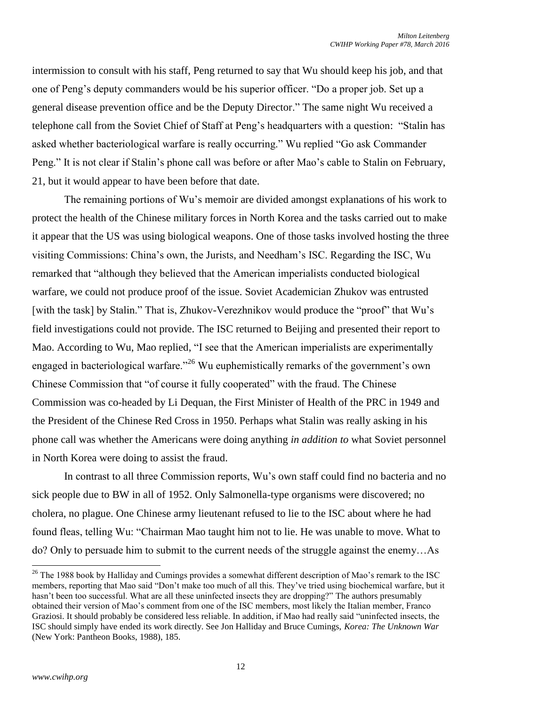intermission to consult with his staff, Peng returned to say that Wu should keep his job, and that one of Peng's deputy commanders would be his superior officer. "Do a proper job. Set up a general disease prevention office and be the Deputy Director." The same night Wu received a telephone call from the Soviet Chief of Staff at Peng's headquarters with a question: "Stalin has asked whether bacteriological warfare is really occurring." Wu replied "Go ask Commander Peng." It is not clear if Stalin's phone call was before or after Mao's cable to Stalin on February, 21, but it would appear to have been before that date.

The remaining portions of Wu's memoir are divided amongst explanations of his work to protect the health of the Chinese military forces in North Korea and the tasks carried out to make it appear that the US was using biological weapons. One of those tasks involved hosting the three visiting Commissions: China's own, the Jurists, and Needham's ISC. Regarding the ISC, Wu remarked that "although they believed that the American imperialists conducted biological warfare, we could not produce proof of the issue. Soviet Academician Zhukov was entrusted [with the task] by Stalin." That is, Zhukov-Verezhnikov would produce the "proof" that Wu's field investigations could not provide. The ISC returned to Beijing and presented their report to Mao. According to Wu, Mao replied, "I see that the American imperialists are experimentally engaged in bacteriological warfare."<sup>26</sup> Wu euphemistically remarks of the government's own Chinese Commission that "of course it fully cooperated" with the fraud. The Chinese Commission was co-headed by Li Dequan, the First Minister of Health of the PRC in 1949 and the President of the Chinese Red Cross in 1950. Perhaps what Stalin was really asking in his phone call was whether the Americans were doing anything *in addition to* what Soviet personnel in North Korea were doing to assist the fraud.

In contrast to all three Commission reports, Wu's own staff could find no bacteria and no sick people due to BW in all of 1952. Only Salmonella-type organisms were discovered; no cholera, no plague. One Chinese army lieutenant refused to lie to the ISC about where he had found fleas, telling Wu: "Chairman Mao taught him not to lie. He was unable to move. What to do? Only to persuade him to submit to the current needs of the struggle against the enemy…As

 $26$  The 1988 book by Halliday and Cumings provides a somewhat different description of Mao's remark to the ISC members, reporting that Mao said "Don't make too much of all this. They've tried using biochemical warfare, but it hasn't been too successful. What are all these uninfected insects they are dropping?" The authors presumably obtained their version of Mao's comment from one of the ISC members, most likely the Italian member, Franco Graziosi. It should probably be considered less reliable. In addition, if Mao had really said "uninfected insects, the ISC should simply have ended its work directly. See Jon Halliday and Bruce Cumings, *Korea: The Unknown War* (New York: Pantheon Books, 1988), 185.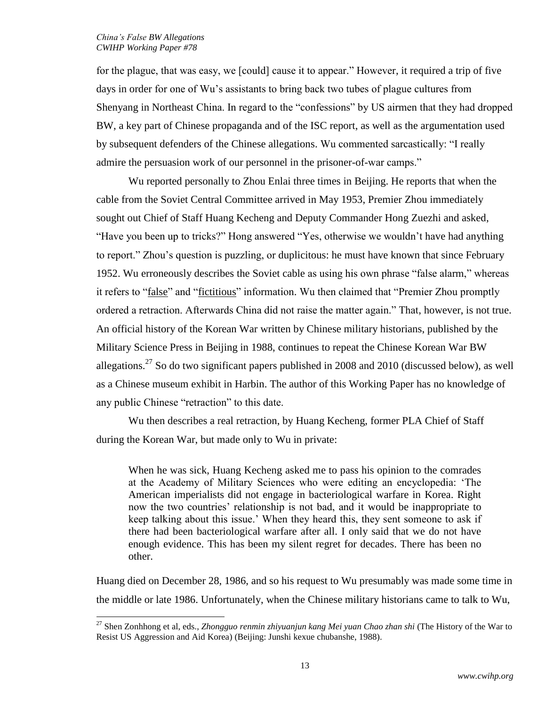for the plague, that was easy, we [could] cause it to appear." However, it required a trip of five days in order for one of Wu's assistants to bring back two tubes of plague cultures from Shenyang in Northeast China. In regard to the "confessions" by US airmen that they had dropped BW, a key part of Chinese propaganda and of the ISC report, as well as the argumentation used by subsequent defenders of the Chinese allegations. Wu commented sarcastically: "I really admire the persuasion work of our personnel in the prisoner-of-war camps."

Wu reported personally to Zhou Enlai three times in Beijing. He reports that when the cable from the Soviet Central Committee arrived in May 1953, Premier Zhou immediately sought out Chief of Staff Huang Kecheng and Deputy Commander Hong Zuezhi and asked, "Have you been up to tricks?" Hong answered "Yes, otherwise we wouldn't have had anything to report." Zhou's question is puzzling, or duplicitous: he must have known that since February 1952. Wu erroneously describes the Soviet cable as using his own phrase "false alarm," whereas it refers to "false" and "fictitious" information. Wu then claimed that "Premier Zhou promptly ordered a retraction. Afterwards China did not raise the matter again." That, however, is not true. An official history of the Korean War written by Chinese military historians, published by the Military Science Press in Beijing in 1988, continues to repeat the Chinese Korean War BW allegations.<sup>27</sup> So do two significant papers published in 2008 and 2010 (discussed below), as well as a Chinese museum exhibit in Harbin. The author of this Working Paper has no knowledge of any public Chinese "retraction" to this date.

Wu then describes a real retraction, by Huang Kecheng, former PLA Chief of Staff during the Korean War, but made only to Wu in private:

When he was sick, Huang Kecheng asked me to pass his opinion to the comrades at the Academy of Military Sciences who were editing an encyclopedia: 'The American imperialists did not engage in bacteriological warfare in Korea. Right now the two countries' relationship is not bad, and it would be inappropriate to keep talking about this issue.' When they heard this, they sent someone to ask if there had been bacteriological warfare after all. I only said that we do not have enough evidence. This has been my silent regret for decades. There has been no other.

Huang died on December 28, 1986, and so his request to Wu presumably was made some time in the middle or late 1986. Unfortunately, when the Chinese military historians came to talk to Wu,

<sup>27</sup> Shen Zonhhong et al, eds., *Zhongguo renmin zhiyuanjun kang Mei yuan Chao zhan shi* (The History of the War to Resist US Aggression and Aid Korea) (Beijing: Junshi kexue chubanshe, 1988).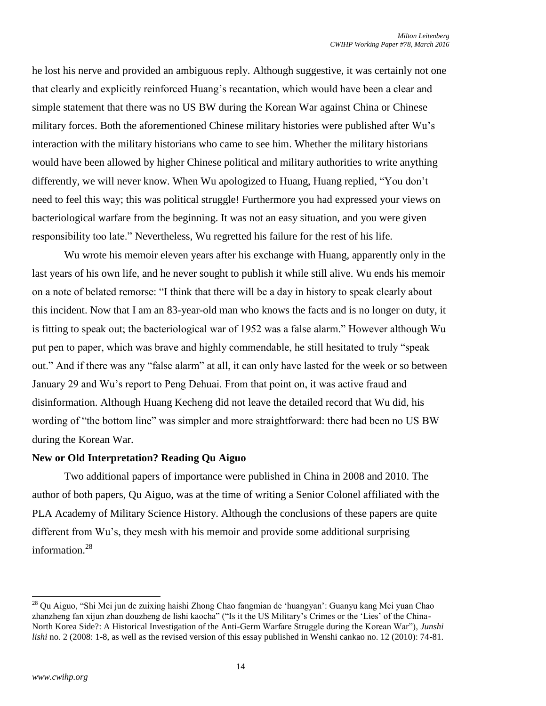he lost his nerve and provided an ambiguous reply. Although suggestive, it was certainly not one that clearly and explicitly reinforced Huang's recantation, which would have been a clear and simple statement that there was no US BW during the Korean War against China or Chinese military forces. Both the aforementioned Chinese military histories were published after Wu's interaction with the military historians who came to see him. Whether the military historians would have been allowed by higher Chinese political and military authorities to write anything differently, we will never know. When Wu apologized to Huang, Huang replied, "You don't need to feel this way; this was political struggle! Furthermore you had expressed your views on bacteriological warfare from the beginning. It was not an easy situation, and you were given responsibility too late." Nevertheless, Wu regretted his failure for the rest of his life.

Wu wrote his memoir eleven years after his exchange with Huang, apparently only in the last years of his own life, and he never sought to publish it while still alive. Wu ends his memoir on a note of belated remorse: "I think that there will be a day in history to speak clearly about this incident. Now that I am an 83-year-old man who knows the facts and is no longer on duty, it is fitting to speak out; the bacteriological war of 1952 was a false alarm." However although Wu put pen to paper, which was brave and highly commendable, he still hesitated to truly "speak out." And if there was any "false alarm" at all, it can only have lasted for the week or so between January 29 and Wu's report to Peng Dehuai. From that point on, it was active fraud and disinformation. Although Huang Kecheng did not leave the detailed record that Wu did, his wording of "the bottom line" was simpler and more straightforward: there had been no US BW during the Korean War.

#### **New or Old Interpretation? Reading Qu Aiguo**

Two additional papers of importance were published in China in 2008 and 2010. The author of both papers, Qu Aiguo, was at the time of writing a Senior Colonel affiliated with the PLA Academy of Military Science History. Although the conclusions of these papers are quite different from Wu's, they mesh with his memoir and provide some additional surprising information.<sup>28</sup>

<sup>28</sup> Qu Aiguo, "Shi Mei jun de zuixing haishi Zhong Chao fangmian de 'huangyan': Guanyu kang Mei yuan Chao zhanzheng fan xijun zhan douzheng de lishi kaocha" ("Is it the US Military's Crimes or the 'Lies' of the China-North Korea Side?: A Historical Investigation of the Anti-Germ Warfare Struggle during the Korean War"), *Junshi lishi* no. 2 (2008: 1-8, as well as the revised version of this essay published in Wenshi cankao no. 12 (2010): 74-81.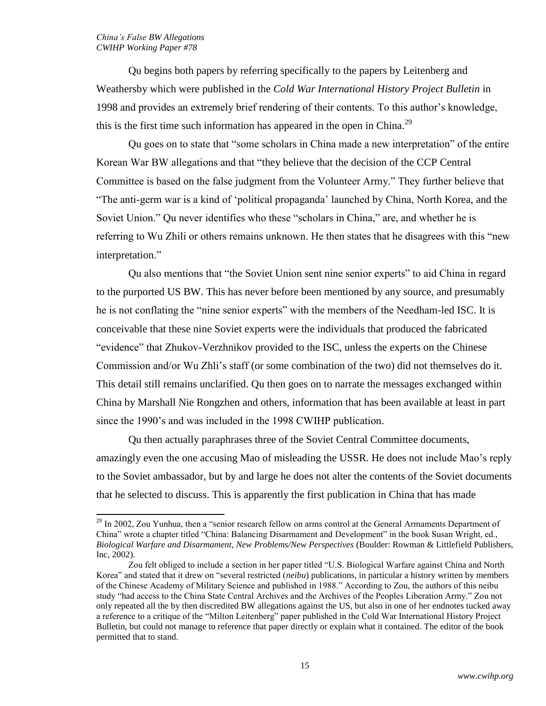$\overline{a}$ 

Qu begins both papers by referring specifically to the papers by Leitenberg and Weathersby which were published in the *Cold War International History Project Bulletin* in 1998 and provides an extremely brief rendering of their contents. To this author's knowledge, this is the first time such information has appeared in the open in China.<sup>29</sup>

Qu goes on to state that "some scholars in China made a new interpretation" of the entire Korean War BW allegations and that "they believe that the decision of the CCP Central Committee is based on the false judgment from the Volunteer Army." They further believe that "The anti-germ war is a kind of 'political propaganda' launched by China, North Korea, and the Soviet Union." Qu never identifies who these "scholars in China," are, and whether he is referring to Wu Zhili or others remains unknown. He then states that he disagrees with this "new interpretation."

Qu also mentions that "the Soviet Union sent nine senior experts" to aid China in regard to the purported US BW. This has never before been mentioned by any source, and presumably he is not conflating the "nine senior experts" with the members of the Needham-led ISC. It is conceivable that these nine Soviet experts were the individuals that produced the fabricated "evidence" that Zhukov-Verzhnikov provided to the ISC, unless the experts on the Chinese Commission and/or Wu Zhli's staff (or some combination of the two) did not themselves do it. This detail still remains unclarified. Qu then goes on to narrate the messages exchanged within China by Marshall Nie Rongzhen and others, information that has been available at least in part since the 1990's and was included in the 1998 CWIHP publication.

Qu then actually paraphrases three of the Soviet Central Committee documents, amazingly even the one accusing Mao of misleading the USSR. He does not include Mao's reply to the Soviet ambassador, but by and large he does not alter the contents of the Soviet documents that he selected to discuss. This is apparently the first publication in China that has made

<sup>&</sup>lt;sup>29</sup> In 2002, Zou Yunhua, then a "senior research fellow on arms control at the General Armaments Department of China" wrote a chapter titled "China: Balancing Disarmament and Development" in the book Susan Wright, ed., *Biological Warfare and Disarmament, New Problems/New Perspectives* (Boulder: Rowman & Littlefield Publishers, Inc, 2002).

Zou felt obliged to include a section in her paper titled "U.S. Biological Warfare against China and North Korea" and stated that it drew on "several restricted (*neibu*) publications, in particular a history written by members of the Chinese Academy of Military Science and published in 1988." According to Zou, the authors of this neibu study "had access to the China State Central Archives and the Archives of the Peoples Liberation Army." Zou not only repeated all the by then discredited BW allegations against the US, but also in one of her endnotes tucked away a reference to a critique of the "Milton Leitenberg" paper published in the Cold War International History Project Bulletin, but could not manage to reference that paper directly or explain what it contained. The editor of the book permitted that to stand.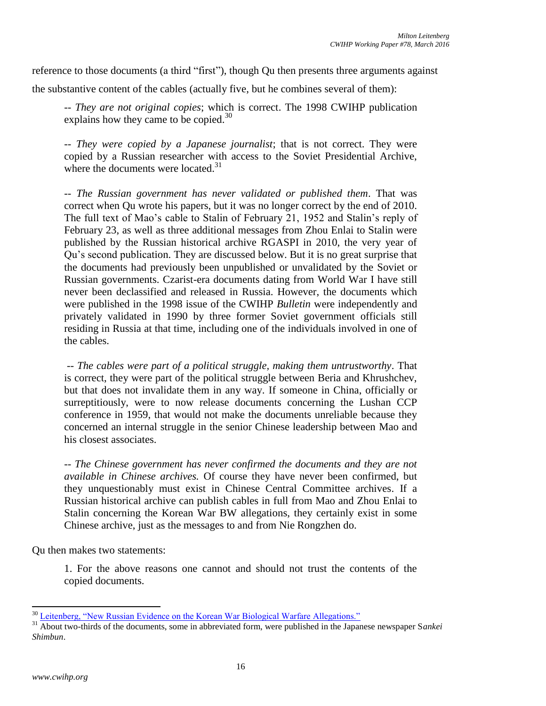reference to those documents (a third "first"), though Qu then presents three arguments against

the substantive content of the cables (actually five, but he combines several of them):

-- *They are not original copies*; which is correct. The 1998 CWIHP publication explains how they came to be copied. $30$ 

-- *They were copied by a Japanese journalist*; that is not correct. They were copied by a Russian researcher with access to the Soviet Presidential Archive, where the documents were located.<sup>31</sup>

-- *The Russian government has never validated or published them*. That was correct when Qu wrote his papers, but it was no longer correct by the end of 2010. The full text of Mao's cable to Stalin of February 21, 1952 and Stalin's reply of February 23, as well as three additional messages from Zhou Enlai to Stalin were published by the Russian historical archive RGASPI in 2010, the very year of Qu's second publication. They are discussed below. But it is no great surprise that the documents had previously been unpublished or unvalidated by the Soviet or Russian governments. Czarist-era documents dating from World War I have still never been declassified and released in Russia. However, the documents which were published in the 1998 issue of the CWIHP *Bulletin* were independently and privately validated in 1990 by three former Soviet government officials still residing in Russia at that time, including one of the individuals involved in one of the cables.

-- *The cables were part of a political struggle, making them untrustworthy*. That is correct, they were part of the political struggle between Beria and Khrushchev, but that does not invalidate them in any way. If someone in China, officially or surreptitiously, were to now release documents concerning the Lushan CCP conference in 1959, that would not make the documents unreliable because they concerned an internal struggle in the senior Chinese leadership between Mao and his closest associates.

-- *The Chinese government has never confirmed the documents and they are not available in Chinese archives.* Of course they have never been confirmed, but they unquestionably must exist in Chinese Central Committee archives. If a Russian historical archive can publish cables in full from Mao and Zhou Enlai to Stalin concerning the Korean War BW allegations, they certainly exist in some Chinese archive, just as the messages to and from Nie Rongzhen do.

Qu then makes two statements:

1. For the above reasons one cannot and should not trust the contents of the copied documents.

 $\overline{a}$ 

<sup>&</sup>lt;sup>30</sup> [Leitenberg, "New Russian Evidence on the Korean War Biological Warfare Allegations."](https://www.wilsoncenter.org/sites/default/files/CWIHP_Bulletin_11.pdf)

<sup>31</sup> About two-thirds of the documents, some in abbreviated form, were published in the Japanese newspaper S*ankei Shimbun*.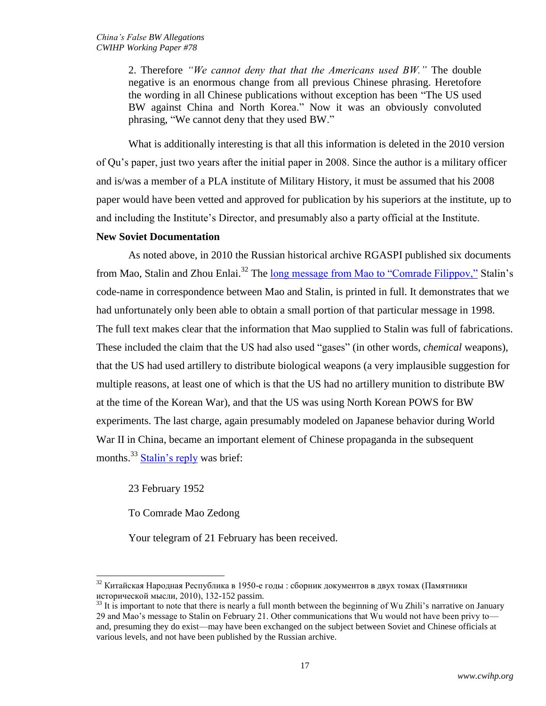2. Therefore *"We cannot deny that that the Americans used BW."* The double negative is an enormous change from all previous Chinese phrasing. Heretofore the wording in all Chinese publications without exception has been "The US used BW against China and North Korea." Now it was an obviously convoluted phrasing, "We cannot deny that they used BW."

What is additionally interesting is that all this information is deleted in the 2010 version of Qu's paper, just two years after the initial paper in 2008. Since the author is a military officer and is/was a member of a PLA institute of Military History, it must be assumed that his 2008 paper would have been vetted and approved for publication by his superiors at the institute, up to and including the Institute's Director, and presumably also a party official at the Institute.

## **New Soviet Documentation**

As noted above, in 2010 the Russian historical archive RGASPI published six documents from Mao, Stalin and Zhou Enlai.<sup>32</sup> The [long message from Mao to "Comrade Filippov,"](http://digitalarchive.wilsoncenter.org/document/123147) Stalin's code-name in correspondence between Mao and Stalin, is printed in full. It demonstrates that we had unfortunately only been able to obtain a small portion of that particular message in 1998. The full text makes clear that the information that Mao supplied to Stalin was full of fabrications. These included the claim that the US had also used "gases" (in other words, *chemical* weapons), that the US had used artillery to distribute biological weapons (a very implausible suggestion for multiple reasons, at least one of which is that the US had no artillery munition to distribute BW at the time of the Korean War), and that the US was using North Korean POWS for BW experiments. The last charge, again presumably modeled on Japanese behavior during World War II in China, became an important element of Chinese propaganda in the subsequent months.<sup>33</sup> [Stalin's reply](http://digitalarchive.wilsoncenter.org/document/123148) was brief:

23 February 1952

To Comrade Mao Zedong

Your telegram of 21 February has been received.

 $\overline{a}$  $^{32}$  Китайская Народная Республика в 1950-е годы : сборник документов в двух томах (Памятники исторической мысли, 2010), 132-152 passim.

 $33$  It is important to note that there is nearly a full month between the beginning of Wu Zhili's narrative on January 29 and Mao's message to Stalin on February 21. Other communications that Wu would not have been privy to and, presuming they do exist—may have been exchanged on the subject between Soviet and Chinese officials at various levels, and not have been published by the Russian archive.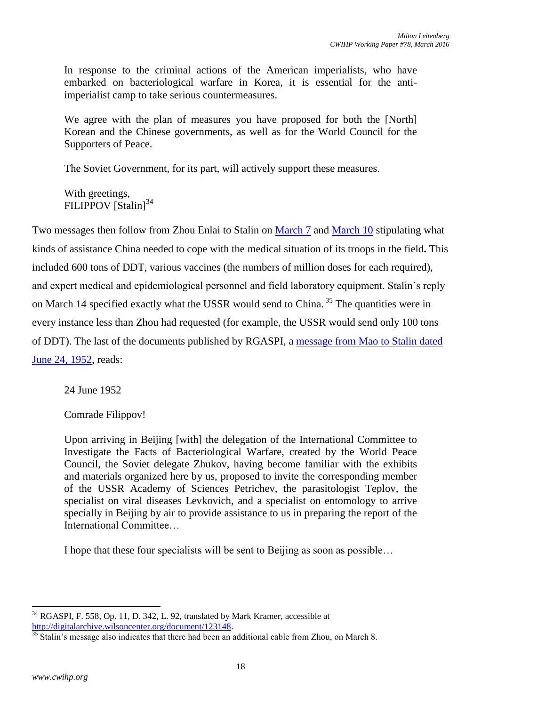In response to the criminal actions of the American imperialists, who have embarked on bacteriological warfare in Korea, it is essential for the antiimperialist camp to take serious countermeasures.

We agree with the plan of measures you have proposed for both the [North] Korean and the Chinese governments, as well as for the World Council for the Supporters of Peace.

The Soviet Government, for its part, will actively support these measures.

With greetings, FILIPPOV [Stalin]<sup>34</sup>

Two messages then follow from Zhou Enlai to Stalin on [March 7](http://digitalarchive.wilsoncenter.org/document/123149) and [March 10](http://digitalarchive.wilsoncenter.org/document/123150) stipulating what kinds of assistance China needed to cope with the medical situation of its troops in the field**.** This included 600 tons of DDT, various vaccines (the numbers of million doses for each required), and expert medical and epidemiological personnel and field laboratory equipment. Stalin's reply on March 14 specified exactly what the USSR would send to China.<sup>35</sup> The quantities were in every instance less than Zhou had requested (for example, the USSR would send only 100 tons of DDT). The last of the documents published by RGASPI, a [message from Mao to Stalin dated](http://digitalarchive.wilsoncenter.org/document/123152)  [June 24, 1952,](http://digitalarchive.wilsoncenter.org/document/123152) reads:

24 June 1952

Comrade Filippov!

Upon arriving in Beijing [with] the delegation of the International Committee to Investigate the Facts of Bacteriological Warfare, created by the World Peace Council, the Soviet delegate Zhukov, having become familiar with the exhibits and materials organized here by us, proposed to invite the corresponding member of the USSR Academy of Sciences Petrichev, the parasitologist Teplov, the specialist on viral diseases Levkovich, and a specialist on entomology to arrive specially in Beijing by air to provide assistance to us in preparing the report of the International Committee…

I hope that these four specialists will be sent to Beijing as soon as possible…

 $\overline{a}$  $34$  RGASPI, F. 558, Op. 11, D. 342, L. 92, translated by Mark Kramer, accessible at [http://digitalarchive.wilsoncenter.org/document/123148.](http://digitalarchive.wilsoncenter.org/document/123148) 

 $\frac{35}{35}$  Stalin's message also indicates that there had been an additional cable from Zhou, on March 8.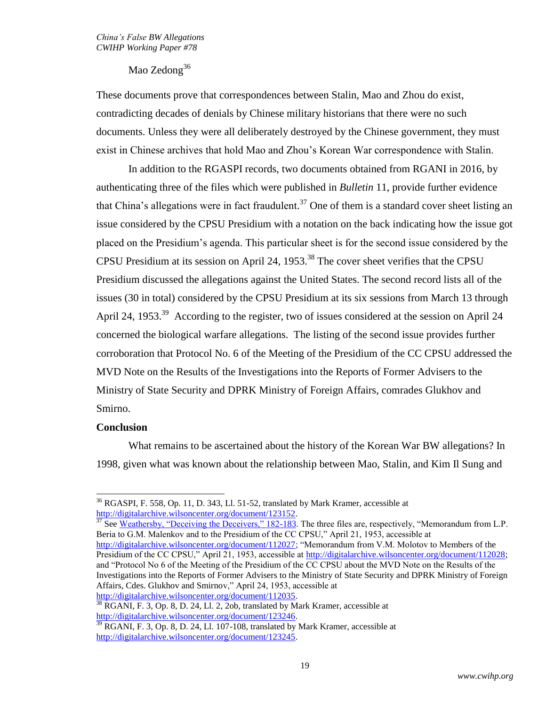## Mao Zedong $36$

These documents prove that correspondences between Stalin, Mao and Zhou do exist, contradicting decades of denials by Chinese military historians that there were no such documents. Unless they were all deliberately destroyed by the Chinese government, they must exist in Chinese archives that hold Mao and Zhou's Korean War correspondence with Stalin.

In addition to the RGASPI records, two documents obtained from RGANI in 2016, by authenticating three of the files which were published in *Bulletin* 11, provide further evidence that China's allegations were in fact fraudulent.<sup>37</sup> One of them is a standard cover sheet listing an issue considered by the CPSU Presidium with a notation on the back indicating how the issue got placed on the Presidium's agenda. This particular sheet is for the second issue considered by the CPSU Presidium at its session on April 24, 1953.<sup>38</sup> The cover sheet verifies that the CPSU Presidium discussed the allegations against the United States. The second record lists all of the issues (30 in total) considered by the CPSU Presidium at its six sessions from March 13 through April 24, 1953.<sup>39</sup> According to the register, two of issues considered at the session on April 24 concerned the biological warfare allegations. The listing of the second issue provides further corroboration that Protocol No. 6 of the Meeting of the Presidium of the CC CPSU addressed the MVD Note on the Results of the Investigations into the Reports of Former Advisers to the Ministry of State Security and DPRK Ministry of Foreign Affairs, comrades Glukhov and Smirno.

#### **Conclusion**

What remains to be ascertained about the history of the Korean War BW allegations? In 1998, given what was known about the relationship between Mao, Stalin, and Kim Il Sung and

 $37$  See [Weathersby, "Deceiving the Deceivers," 182-183.](https://www.wilsoncenter.org/sites/default/files/CWIHP_Bulletin_11.pdf) The three files are, respectively, "Memorandum from L.P. Beria to G.M. Malenkov and to the Presidium of the CC CPSU," April 21, 1953, accessible at

[http://digitalarchive.wilsoncenter.org/document/112027;](http://digitalarchive.wilsoncenter.org/document/112027) "Memorandum from V.M. Molotov to Members of the Presidium of the CC CPSU," April 21, 1953, accessible at [http://digitalarchive.wilsoncenter.org/document/112028;](http://digitalarchive.wilsoncenter.org/document/112028) and "Protocol No 6 of the Meeting of the Presidium of the CC CPSU about the MVD Note on the Results of the Investigations into the Reports of Former Advisers to the Ministry of State Security and DPRK Ministry of Foreign Affairs, Cdes. Glukhov and Smirnov," April 24, 1953, accessible at [http://digitalarchive.wilsoncenter.org/document/112035.](http://digitalarchive.wilsoncenter.org/document/112035) 

 $36$  RGASPI, F. 558, Op. 11, D. 343, Ll. 51-52, translated by Mark Kramer, accessible at http://digitalarchive.wilsoncenter.org/document/123152.

<sup>&</sup>lt;sup>38</sup> RGANI, F. 3, Op. 8, D. 24, Ll. 2, 2ob, translated by Mark Kramer, accessible at [http://digitalarchive.wilsoncenter.org/document/123246.](http://digitalarchive.wilsoncenter.org/document/123246)

 $39$  RGANI, F. 3, Op. 8, D. 24, Ll. 107-108, translated by Mark Kramer, accessible at [http://digitalarchive.wilsoncenter.org/document/123245.](http://digitalarchive.wilsoncenter.org/document/123245)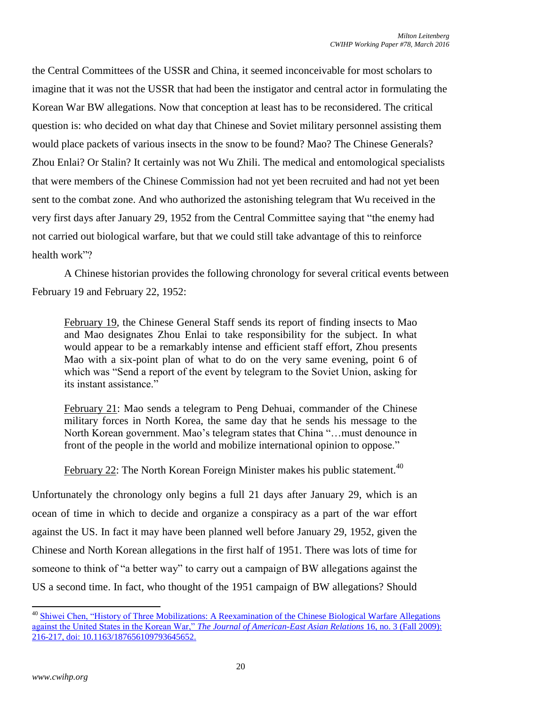the Central Committees of the USSR and China, it seemed inconceivable for most scholars to imagine that it was not the USSR that had been the instigator and central actor in formulating the Korean War BW allegations. Now that conception at least has to be reconsidered. The critical question is: who decided on what day that Chinese and Soviet military personnel assisting them would place packets of various insects in the snow to be found? Mao? The Chinese Generals? Zhou Enlai? Or Stalin? It certainly was not Wu Zhili. The medical and entomological specialists that were members of the Chinese Commission had not yet been recruited and had not yet been sent to the combat zone. And who authorized the astonishing telegram that Wu received in the very first days after January 29, 1952 from the Central Committee saying that "the enemy had not carried out biological warfare, but that we could still take advantage of this to reinforce health work"?

A Chinese historian provides the following chronology for several critical events between February 19 and February 22, 1952:

February 19, the Chinese General Staff sends its report of finding insects to Mao and Mao designates Zhou Enlai to take responsibility for the subject. In what would appear to be a remarkably intense and efficient staff effort, Zhou presents Mao with a six-point plan of what to do on the very same evening, point 6 of which was "Send a report of the event by telegram to the Soviet Union, asking for its instant assistance."

February 21: Mao sends a telegram to Peng Dehuai, commander of the Chinese military forces in North Korea, the same day that he sends his message to the North Korean government. Mao's telegram states that China "…must denounce in front of the people in the world and mobilize international opinion to oppose."

February 22: The North Korean Foreign Minister makes his public statement.<sup>40</sup>

Unfortunately the chronology only begins a full 21 days after January 29, which is an ocean of time in which to decide and organize a conspiracy as a part of the war effort against the US. In fact it may have been planned well before January 29, 1952, given the Chinese and North Korean allegations in the first half of 1951. There was lots of time for someone to think of "a better way" to carry out a campaign of BW allegations against the US a second time. In fact, who thought of the 1951 campaign of BW allegations? Should

 $\overline{a}$ 

<sup>&</sup>lt;sup>40</sup> Shiwei Chen, "History of Three Mobilizations: A Reexamination of the Chinese Biological Warfare Allegations against the United States in the Korean War," *[The Journal of American-East Asian Relations](http://booksandjournals.brillonline.com/content/journals/10.1163/187656109793645652)* 16, no. 3 (Fall 2009): [216-217, doi: 10.1163/187656109793645652.](http://booksandjournals.brillonline.com/content/journals/10.1163/187656109793645652)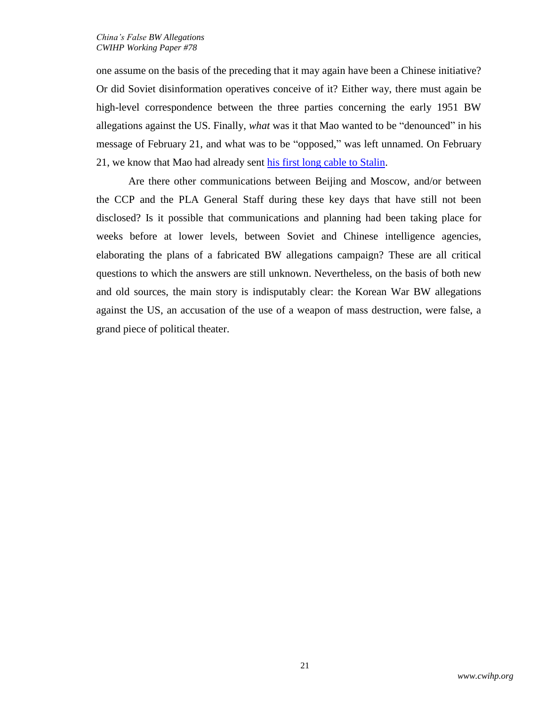one assume on the basis of the preceding that it may again have been a Chinese initiative? Or did Soviet disinformation operatives conceive of it? Either way, there must again be high-level correspondence between the three parties concerning the early 1951 BW allegations against the US. Finally, *what* was it that Mao wanted to be "denounced" in his message of February 21, and what was to be "opposed," was left unnamed. On February 21, we know that Mao had already sent [his first long cable to Stalin.](http://digitalarchive.wilsoncenter.org/document/113747)

Are there other communications between Beijing and Moscow, and/or between the CCP and the PLA General Staff during these key days that have still not been disclosed? Is it possible that communications and planning had been taking place for weeks before at lower levels, between Soviet and Chinese intelligence agencies, elaborating the plans of a fabricated BW allegations campaign? These are all critical questions to which the answers are still unknown. Nevertheless, on the basis of both new and old sources, the main story is indisputably clear: the Korean War BW allegations against the US, an accusation of the use of a weapon of mass destruction, were false, a grand piece of political theater.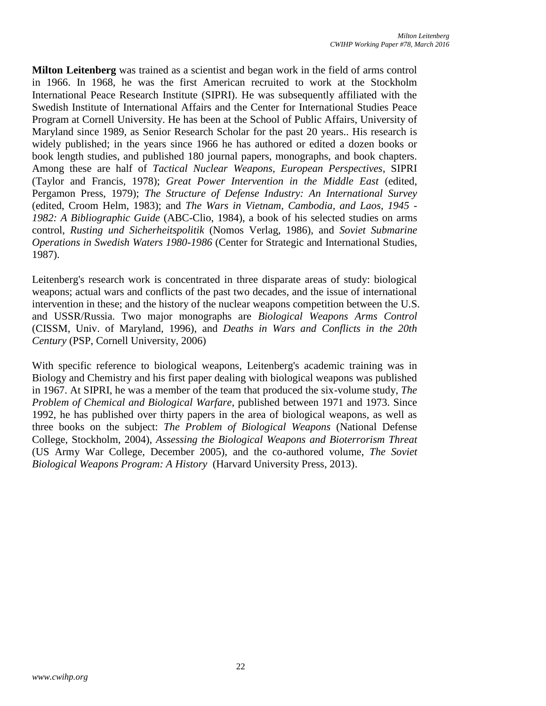**Milton Leitenberg** was trained as a scientist and began work in the field of arms control in 1966. In 1968, he was the first American recruited to work at the Stockholm International Peace Research Institute (SIPRI). He was subsequently affiliated with the Swedish Institute of International Affairs and the Center for International Studies Peace Program at Cornell University. He has been at the School of Public Affairs, University of Maryland since 1989, as Senior Research Scholar for the past 20 years.. His research is widely published; in the years since 1966 he has authored or edited a dozen books or book length studies, and published 180 journal papers, monographs, and book chapters. Among these are half of *Tactical Nuclear Weapons, European Perspectives*, SIPRI (Taylor and Francis, 1978); *Great Power Intervention in the Middle East* (edited, Pergamon Press, 1979); *The Structure of Defense Industry: An International Survey* (edited, Croom Helm, 1983); and *The Wars in Vietnam, Cambodia, and Laos, 1945 - 1982: A Bibliographic Guide* (ABC-Clio, 1984), a book of his selected studies on arms control, *Rusting und Sicherheitspolitik* (Nomos Verlag, 1986), and *Soviet Submarine Operations in Swedish Waters 1980-1986* (Center for Strategic and International Studies, 1987).

Leitenberg's research work is concentrated in three disparate areas of study: biological weapons; actual wars and conflicts of the past two decades, and the issue of international intervention in these; and the history of the nuclear weapons competition between the U.S. and USSR/Russia. Two major monographs are *Biological Weapons Arms Control* (CISSM, Univ. of Maryland, 1996), and *Deaths in Wars and Conflicts in the 20th Century* (PSP, Cornell University, 2006)

With specific reference to biological weapons, Leitenberg's academic training was in Biology and Chemistry and his first paper dealing with biological weapons was published in 1967. At SIPRI, he was a member of the team that produced the six-volume study, *The Problem of Chemical and Biological Warfare*, published between 1971 and 1973. Since 1992, he has published over thirty papers in the area of biological weapons, as well as three books on the subject: *The Problem of Biological Weapons* (National Defense College, Stockholm, 2004), *Assessing the Biological Weapons and Bioterrorism Threat* (US Army War College, December 2005), and the co-authored volume, *The Soviet Biological Weapons Program: A History* (Harvard University Press, 2013).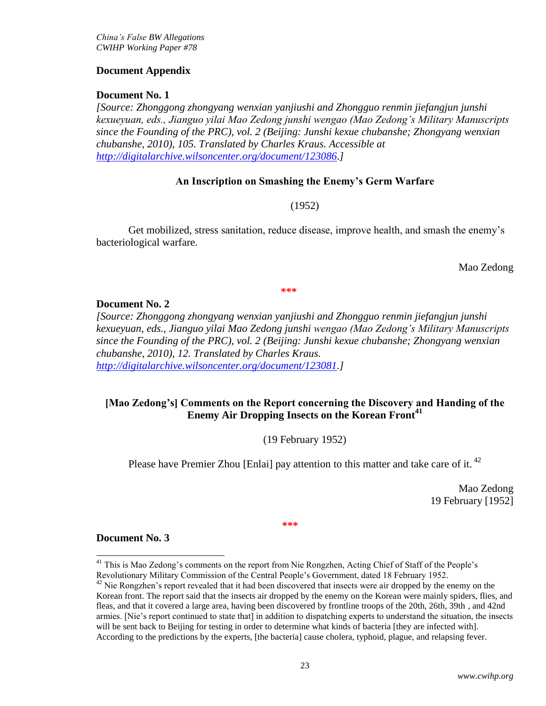## **Document Appendix**

## **Document No. 1**

*[Source: Zhonggong zhongyang wenxian yanjiushi and Zhongguo renmin jiefangjun junshi kexueyuan, eds., Jianguo yilai Mao Zedong junshi wengao (Mao Zedong's Military Manuscripts since the Founding of the PRC), vol. 2 (Beijing: Junshi kexue chubanshe; Zhongyang wenxian chubanshe, 2010), 105. Translated by Charles Kraus. Accessible at [http://digitalarchive.wilsoncenter.org/document/123086.](http://digitalarchive.wilsoncenter.org/document/123086)]*

## **An Inscription on Smashing the Enemy's Germ Warfare**

## (1952)

Get mobilized, stress sanitation, reduce disease, improve health, and smash the enemy's bacteriological warfare.

Mao Zedong

#### **\*\*\***

#### **Document No. 2**

*[Source: Zhonggong zhongyang wenxian yanjiushi and Zhongguo renmin jiefangjun junshi kexueyuan, eds., Jianguo yilai Mao Zedong junshi wengao (Mao Zedong's Military Manuscripts since the Founding of the PRC), vol. 2 (Beijing: Junshi kexue chubanshe; Zhongyang wenxian chubanshe, 2010), 12. Translated by Charles Kraus. [http://digitalarchive.wilsoncenter.org/document/123081.](http://digitalarchive.wilsoncenter.org/document/123081)]*

## **[Mao Zedong's] Comments on the Report concerning the Discovery and Handing of the Enemy Air Dropping Insects on the Korean Front<sup>41</sup>**

(19 February 1952)

Please have Premier Zhou [Enlai] pay attention to this matter and take care of it.  $42$ 

Mao Zedong 19 February [1952]

#### **Document No. 3**

 <sup>41</sup> This is Mao Zedong's comments on the report from Nie Rongzhen, Acting Chief of Staff of the People's Revolutionary Military Commission of the Central People's Government, dated 18 February 1952.

**\*\*\***

 $42$  Nie Rongzhen's report revealed that it had been discovered that insects were air dropped by the enemy on the Korean front. The report said that the insects air dropped by the enemy on the Korean were mainly spiders, flies, and fleas, and that it covered a large area, having been discovered by frontline troops of the 20th, 26th, 39th , and 42nd armies. [Nie's report continued to state that] in addition to dispatching experts to understand the situation, the insects will be sent back to Beijing for testing in order to determine what kinds of bacteria [they are infected with]. According to the predictions by the experts, [the bacteria] cause cholera, typhoid, plague, and relapsing fever.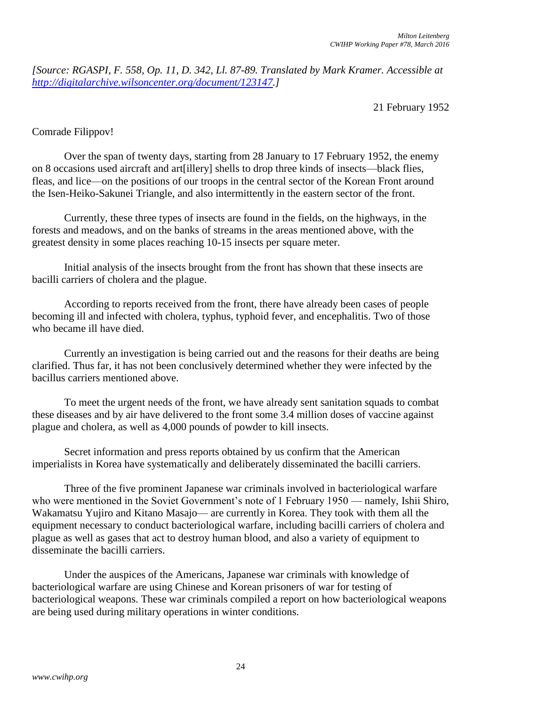*[Source: RGASPI, F. 558, Op. 11, D. 342, Ll. 87-89. Translated by Mark Kramer. Accessible at [http://digitalarchive.wilsoncenter.org/document/123147.](http://digitalarchive.wilsoncenter.org/document/123147)]*

21 February 1952

## Comrade Filippov!

Over the span of twenty days, starting from 28 January to 17 February 1952, the enemy on 8 occasions used aircraft and art[illery] shells to drop three kinds of insects—black flies, fleas, and lice—on the positions of our troops in the central sector of the Korean Front around the Isen-Heiko-Sakunei Triangle, and also intermittently in the eastern sector of the front.

Currently, these three types of insects are found in the fields, on the highways, in the forests and meadows, and on the banks of streams in the areas mentioned above, with the greatest density in some places reaching 10-15 insects per square meter.

Initial analysis of the insects brought from the front has shown that these insects are bacilli carriers of cholera and the plague.

According to reports received from the front, there have already been cases of people becoming ill and infected with cholera, typhus, typhoid fever, and encephalitis. Two of those who became ill have died.

Currently an investigation is being carried out and the reasons for their deaths are being clarified. Thus far, it has not been conclusively determined whether they were infected by the bacillus carriers mentioned above.

To meet the urgent needs of the front, we have already sent sanitation squads to combat these diseases and by air have delivered to the front some 3.4 million doses of vaccine against plague and cholera, as well as 4,000 pounds of powder to kill insects.

Secret information and press reports obtained by us confirm that the American imperialists in Korea have systematically and deliberately disseminated the bacilli carriers.

Three of the five prominent Japanese war criminals involved in bacteriological warfare who were mentioned in the Soviet Government's note of 1 February 1950 — namely, Ishii Shiro, Wakamatsu Yujiro and Kitano Masajo— are currently in Korea. They took with them all the equipment necessary to conduct bacteriological warfare, including bacilli carriers of cholera and plague as well as gases that act to destroy human blood, and also a variety of equipment to disseminate the bacilli carriers.

Under the auspices of the Americans, Japanese war criminals with knowledge of bacteriological warfare are using Chinese and Korean prisoners of war for testing of bacteriological weapons. These war criminals compiled a report on how bacteriological weapons are being used during military operations in winter conditions.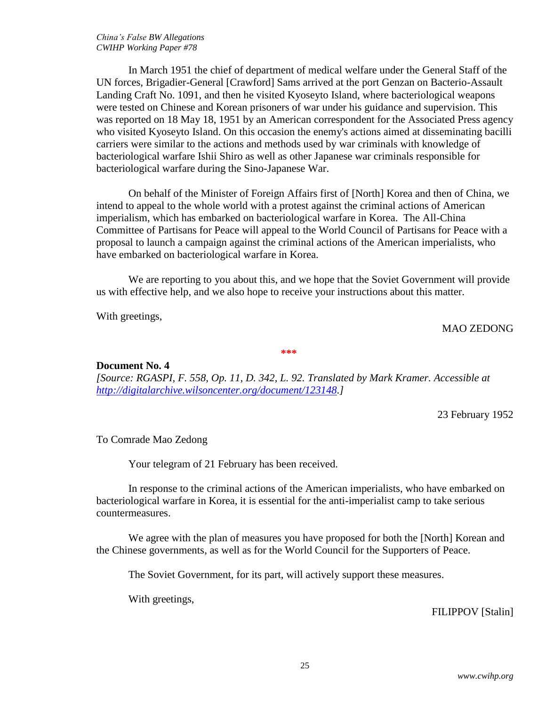In March 1951 the chief of department of medical welfare under the General Staff of the UN forces, Brigadier-General [Crawford] Sams arrived at the port Genzan on Bacterio-Assault Landing Craft No. 1091, and then he visited Kyoseyto Island, where bacteriological weapons were tested on Chinese and Korean prisoners of war under his guidance and supervision. This was reported on 18 May 18, 1951 by an American correspondent for the Associated Press agency who visited Kyoseyto Island. On this occasion the enemy's actions aimed at disseminating bacilli carriers were similar to the actions and methods used by war criminals with knowledge of bacteriological warfare Ishii Shiro as well as other Japanese war criminals responsible for bacteriological warfare during the Sino-Japanese War.

On behalf of the Minister of Foreign Affairs first of [North] Korea and then of China, we intend to appeal to the whole world with a protest against the criminal actions of American imperialism, which has embarked on bacteriological warfare in Korea. The All-China Committee of Partisans for Peace will appeal to the World Council of Partisans for Peace with a proposal to launch a campaign against the criminal actions of the American imperialists, who have embarked on bacteriological warfare in Korea.

We are reporting to you about this, and we hope that the Soviet Government will provide us with effective help, and we also hope to receive your instructions about this matter.

With greetings,

MAO ZEDONG

#### **\*\*\***

#### **Document No. 4**

*[Source: RGASPI, F. 558, Op. 11, D. 342, L. 92. Translated by Mark Kramer. Accessible at [http://digitalarchive.wilsoncenter.org/document/123148.](http://digitalarchive.wilsoncenter.org/document/123148)]*

23 February 1952

To Comrade Mao Zedong

Your telegram of 21 February has been received.

In response to the criminal actions of the American imperialists, who have embarked on bacteriological warfare in Korea, it is essential for the anti-imperialist camp to take serious countermeasures.

We agree with the plan of measures you have proposed for both the [North] Korean and the Chinese governments, as well as for the World Council for the Supporters of Peace.

The Soviet Government, for its part, will actively support these measures.

With greetings,

FILIPPOV [Stalin]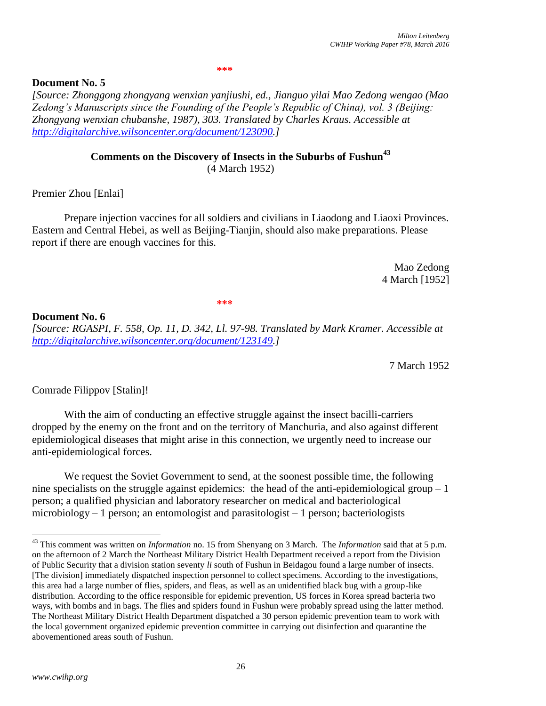## **Document No. 5**

*[Source: Zhonggong zhongyang wenxian yanjiushi, ed., Jianguo yilai Mao Zedong wengao (Mao Zedong's Manuscripts since the Founding of the People's Republic of China), vol. 3 (Beijing: Zhongyang wenxian chubanshe, 1987), 303. Translated by Charles Kraus. Accessible at [http://digitalarchive.wilsoncenter.org/document/123090.](http://digitalarchive.wilsoncenter.org/document/123090)]*

**\*\*\***

#### **Comments on the Discovery of Insects in the Suburbs of Fushun<sup>43</sup>** (4 March 1952)

## Premier Zhou [Enlai]

Prepare injection vaccines for all soldiers and civilians in Liaodong and Liaoxi Provinces. Eastern and Central Hebei, as well as Beijing-Tianjin, should also make preparations. Please report if there are enough vaccines for this.

> Mao Zedong 4 March [1952]

**\*\*\***

#### **Document No. 6**

*[Source: RGASPI, F. 558, Op. 11, D. 342, Ll. 97-98. Translated by Mark Kramer. Accessible at [http://digitalarchive.wilsoncenter.org/document/123149.](http://digitalarchive.wilsoncenter.org/document/123149)]*

7 March 1952

Comrade Filippov [Stalin]!

With the aim of conducting an effective struggle against the insect bacilli-carriers dropped by the enemy on the front and on the territory of Manchuria, and also against different epidemiological diseases that might arise in this connection, we urgently need to increase our anti-epidemiological forces.

We request the Soviet Government to send, at the soonest possible time, the following nine specialists on the struggle against epidemics: the head of the anti-epidemiological group  $-1$ person; a qualified physician and laboratory researcher on medical and bacteriological microbiology – 1 person; an entomologist and parasitologist – 1 person; bacteriologists

<sup>43</sup> This comment was written on *Information* no. 15 from Shenyang on 3 March. The *Information* said that at 5 p.m. on the afternoon of 2 March the Northeast Military District Health Department received a report from the Division of Public Security that a division station seventy *li* south of Fushun in Beidagou found a large number of insects. [The division] immediately dispatched inspection personnel to collect specimens. According to the investigations, this area had a large number of flies, spiders, and fleas, as well as an unidentified black bug with a group-like distribution. According to the office responsible for epidemic prevention, US forces in Korea spread bacteria two ways, with bombs and in bags. The flies and spiders found in Fushun were probably spread using the latter method. The Northeast Military District Health Department dispatched a 30 person epidemic prevention team to work with the local government organized epidemic prevention committee in carrying out disinfection and quarantine the abovementioned areas south of Fushun.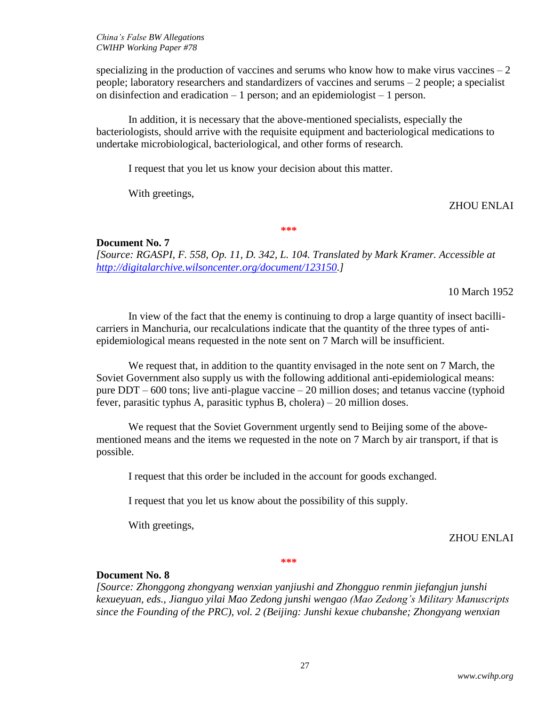specializing in the production of vaccines and serums who know how to make virus vaccines  $-2$ people; laboratory researchers and standardizers of vaccines and serums – 2 people; a specialist on disinfection and eradication – 1 person; and an epidemiologist – 1 person.

In addition, it is necessary that the above-mentioned specialists, especially the bacteriologists, should arrive with the requisite equipment and bacteriological medications to undertake microbiological, bacteriological, and other forms of research.

I request that you let us know your decision about this matter.

With greetings,

ZHOU ENLAI

**\*\*\***

## **Document No. 7**

*[Source: RGASPI, F. 558, Op. 11, D. 342, L. 104. Translated by Mark Kramer. Accessible at [http://digitalarchive.wilsoncenter.org/document/123150.](http://digitalarchive.wilsoncenter.org/document/123150)]*

10 March 1952

In view of the fact that the enemy is continuing to drop a large quantity of insect bacillicarriers in Manchuria, our recalculations indicate that the quantity of the three types of antiepidemiological means requested in the note sent on 7 March will be insufficient.

We request that, in addition to the quantity envisaged in the note sent on 7 March, the Soviet Government also supply us with the following additional anti-epidemiological means: pure DDT – 600 tons; live anti-plague vaccine – 20 million doses; and tetanus vaccine (typhoid fever, parasitic typhus A, parasitic typhus B, cholera) – 20 million doses.

We request that the Soviet Government urgently send to Beijing some of the abovementioned means and the items we requested in the note on 7 March by air transport, if that is possible.

I request that this order be included in the account for goods exchanged.

**\*\*\***

I request that you let us know about the possibility of this supply.

With greetings,

ZHOU ENLAI

## **Document No. 8**

*[Source: Zhonggong zhongyang wenxian yanjiushi and Zhongguo renmin jiefangjun junshi kexueyuan, eds., Jianguo yilai Mao Zedong junshi wengao (Mao Zedong's Military Manuscripts since the Founding of the PRC), vol. 2 (Beijing: Junshi kexue chubanshe; Zhongyang wenxian*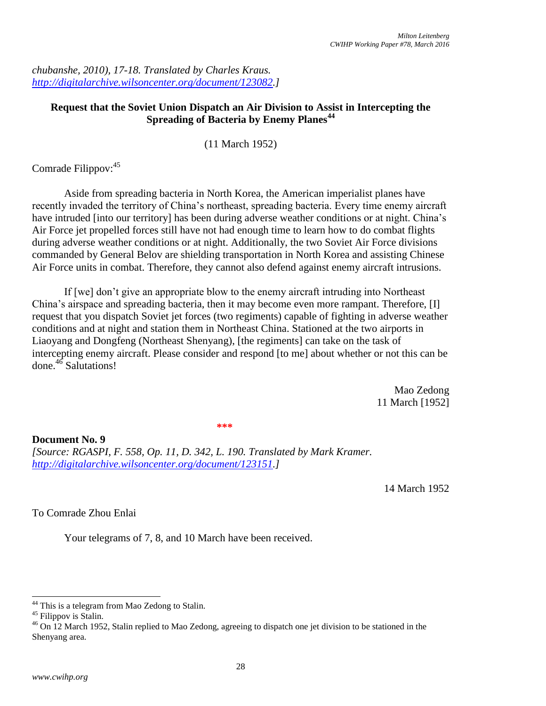*chubanshe, 2010), 17-18. Translated by Charles Kraus. [http://digitalarchive.wilsoncenter.org/document/123082.](http://digitalarchive.wilsoncenter.org/document/123082)]*

## **Request that the Soviet Union Dispatch an Air Division to Assist in Intercepting the Spreading of Bacteria by Enemy Planes<sup>44</sup>**

(11 March 1952)

Comrade Filippov:<sup>45</sup>

Aside from spreading bacteria in North Korea, the American imperialist planes have recently invaded the territory of China's northeast, spreading bacteria. Every time enemy aircraft have intruded [into our territory] has been during adverse weather conditions or at night. China's Air Force jet propelled forces still have not had enough time to learn how to do combat flights during adverse weather conditions or at night. Additionally, the two Soviet Air Force divisions commanded by General Belov are shielding transportation in North Korea and assisting Chinese Air Force units in combat. Therefore, they cannot also defend against enemy aircraft intrusions.

If [we] don't give an appropriate blow to the enemy aircraft intruding into Northeast China's airspace and spreading bacteria, then it may become even more rampant. Therefore, [I] request that you dispatch Soviet jet forces (two regiments) capable of fighting in adverse weather conditions and at night and station them in Northeast China. Stationed at the two airports in Liaoyang and Dongfeng (Northeast Shenyang), [the regiments] can take on the task of intercepting enemy aircraft. Please consider and respond [to me] about whether or not this can be done.<sup>46</sup> Salutations!

> Mao Zedong 11 March [1952]

**\*\*\***

**Document No. 9** *[Source: RGASPI, F. 558, Op. 11, D. 342, L. 190. Translated by Mark Kramer. [http://digitalarchive.wilsoncenter.org/document/123151.](http://digitalarchive.wilsoncenter.org/document/123151)]*

14 March 1952

To Comrade Zhou Enlai

Your telegrams of 7, 8, and 10 March have been received.

<sup>&</sup>lt;sup>44</sup> This is a telegram from Mao Zedong to Stalin.

<sup>&</sup>lt;sup>45</sup> Filippov is Stalin.

<sup>&</sup>lt;sup>46</sup> On 12 March 1952, Stalin replied to Mao Zedong, agreeing to dispatch one jet division to be stationed in the Shenyang area.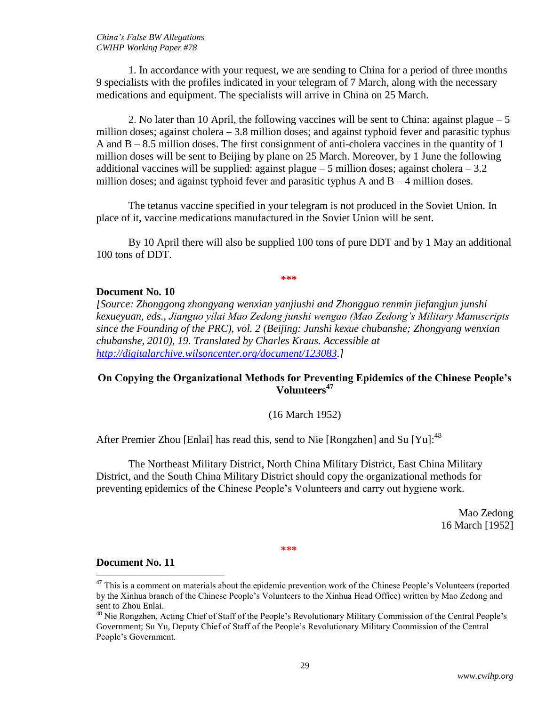1. In accordance with your request, we are sending to China for a period of three months 9 specialists with the profiles indicated in your telegram of 7 March, along with the necessary medications and equipment. The specialists will arrive in China on 25 March.

2. No later than 10 April, the following vaccines will be sent to China: against plague  $-5$ million doses; against cholera  $-3.8$  million doses; and against typhoid fever and parasitic typhus A and  $B - 8.5$  million doses. The first consignment of anti-cholera vaccines in the quantity of 1 million doses will be sent to Beijing by plane on 25 March. Moreover, by 1 June the following additional vaccines will be supplied: against plague  $-5$  million doses; against cholera  $-3.2$ million doses; and against typhoid fever and parasitic typhus A and  $B - 4$  million doses.

The tetanus vaccine specified in your telegram is not produced in the Soviet Union. In place of it, vaccine medications manufactured in the Soviet Union will be sent.

By 10 April there will also be supplied 100 tons of pure DDT and by 1 May an additional 100 tons of DDT.

#### **\*\*\***

### **Document No. 10**

*[Source: Zhonggong zhongyang wenxian yanjiushi and Zhongguo renmin jiefangjun junshi kexueyuan, eds., Jianguo yilai Mao Zedong junshi wengao (Mao Zedong's Military Manuscripts since the Founding of the PRC), vol. 2 (Beijing: Junshi kexue chubanshe; Zhongyang wenxian chubanshe, 2010), 19. Translated by Charles Kraus. Accessible at [http://digitalarchive.wilsoncenter.org/document/123083.](http://digitalarchive.wilsoncenter.org/document/123083)]*

## **On Copying the Organizational Methods for Preventing Epidemics of the Chinese People's Volunteers<sup>47</sup>**

### (16 March 1952)

After Premier Zhou [Enlai] has read this, send to Nie [Rongzhen] and Su [Yu]:  $^{48}$ 

The Northeast Military District, North China Military District, East China Military District, and the South China Military District should copy the organizational methods for preventing epidemics of the Chinese People's Volunteers and carry out hygiene work.

**\*\*\***

Mao Zedong 16 March [1952]

#### **Document No. 11**

 $\overline{a}$ 

 $47$  This is a comment on materials about the epidemic prevention work of the Chinese People's Volunteers (reported by the Xinhua branch of the Chinese People's Volunteers to the Xinhua Head Office) written by Mao Zedong and sent to Zhou Enlai.

<sup>&</sup>lt;sup>48</sup> Nie Rongzhen, Acting Chief of Staff of the People's Revolutionary Military Commission of the Central People's Government; Su Yu, Deputy Chief of Staff of the People's Revolutionary Military Commission of the Central People's Government.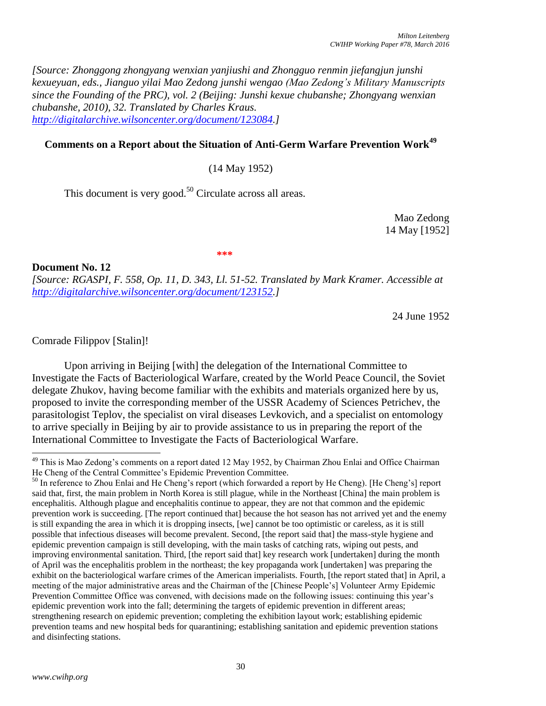*[Source: Zhonggong zhongyang wenxian yanjiushi and Zhongguo renmin jiefangjun junshi kexueyuan, eds., Jianguo yilai Mao Zedong junshi wengao (Mao Zedong's Military Manuscripts since the Founding of the PRC), vol. 2 (Beijing: Junshi kexue chubanshe; Zhongyang wenxian chubanshe, 2010), 32. Translated by Charles Kraus. [http://digitalarchive.wilsoncenter.org/document/123084.](http://digitalarchive.wilsoncenter.org/document/123084)]*

# **Comments on a Report about the Situation of Anti-Germ Warfare Prevention Work<sup>49</sup>**

(14 May 1952)

This document is very good.<sup>50</sup> Circulate across all areas.

Mao Zedong 14 May [1952]

**\*\*\***

**Document No. 12**

*[Source: RGASPI, F. 558, Op. 11, D. 343, Ll. 51-52. Translated by Mark Kramer. Accessible at [http://digitalarchive.wilsoncenter.org/document/123152.](http://digitalarchive.wilsoncenter.org/document/123152)]*

24 June 1952

Comrade Filippov [Stalin]!

Upon arriving in Beijing [with] the delegation of the International Committee to Investigate the Facts of Bacteriological Warfare, created by the World Peace Council, the Soviet delegate Zhukov, having become familiar with the exhibits and materials organized here by us, proposed to invite the corresponding member of the USSR Academy of Sciences Petrichev, the parasitologist Teplov, the specialist on viral diseases Levkovich, and a specialist on entomology to arrive specially in Beijing by air to provide assistance to us in preparing the report of the International Committee to Investigate the Facts of Bacteriological Warfare.

 $\overline{a}$ 

<sup>&</sup>lt;sup>49</sup> This is Mao Zedong's comments on a report dated 12 May 1952, by Chairman Zhou Enlai and Office Chairman He Cheng of the Central Committee's Epidemic Prevention Committee.

<sup>&</sup>lt;sup>50</sup> In reference to Zhou Enlai and He Cheng's report (which forwarded a report by He Cheng). [He Cheng's] report said that, first, the main problem in North Korea is still plague, while in the Northeast [China] the main problem is encephalitis. Although plague and encephalitis continue to appear, they are not that common and the epidemic prevention work is succeeding. [The report continued that] because the hot season has not arrived yet and the enemy is still expanding the area in which it is dropping insects, [we] cannot be too optimistic or careless, as it is still possible that infectious diseases will become prevalent. Second, [the report said that] the mass-style hygiene and epidemic prevention campaign is still developing, with the main tasks of catching rats, wiping out pests, and improving environmental sanitation. Third, [the report said that] key research work [undertaken] during the month of April was the encephalitis problem in the northeast; the key propaganda work [undertaken] was preparing the exhibit on the bacteriological warfare crimes of the American imperialists. Fourth, [the report stated that] in April, a meeting of the major administrative areas and the Chairman of the [Chinese People's] Volunteer Army Epidemic Prevention Committee Office was convened, with decisions made on the following issues: continuing this year's epidemic prevention work into the fall; determining the targets of epidemic prevention in different areas; strengthening research on epidemic prevention; completing the exhibition layout work; establishing epidemic prevention teams and new hospital beds for quarantining; establishing sanitation and epidemic prevention stations and disinfecting stations.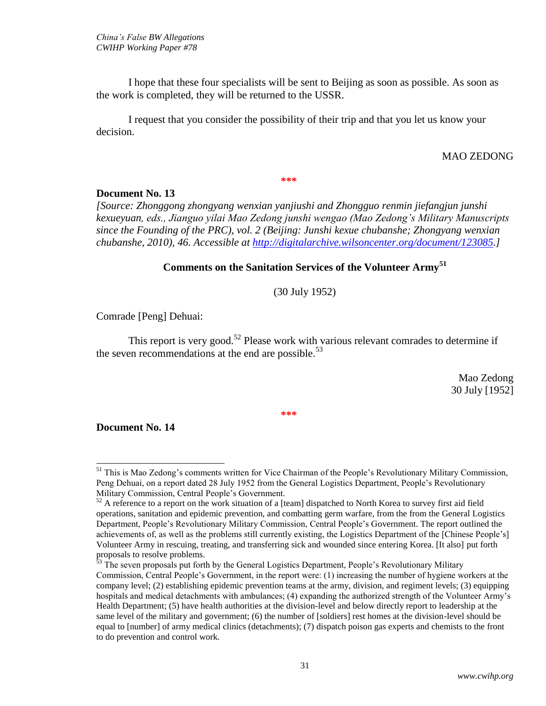*China's False BW Allegations CWIHP Working Paper #78*

I hope that these four specialists will be sent to Beijing as soon as possible. As soon as the work is completed, they will be returned to the USSR.

I request that you consider the possibility of their trip and that you let us know your decision.

**\*\*\***

MAO ZEDONG

### **Document No. 13**

*[Source: Zhonggong zhongyang wenxian yanjiushi and Zhongguo renmin jiefangjun junshi kexueyuan, eds., Jianguo yilai Mao Zedong junshi wengao (Mao Zedong's Military Manuscripts since the Founding of the PRC), vol. 2 (Beijing: Junshi kexue chubanshe; Zhongyang wenxian chubanshe, 2010), 46. Accessible at [http://digitalarchive.wilsoncenter.org/document/123085.](http://digitalarchive.wilsoncenter.org/document/123085)]*

### **Comments on the Sanitation Services of the Volunteer Army<sup>51</sup>**

(30 July 1952)

Comrade [Peng] Dehuai:

This report is very good.<sup>52</sup> Please work with various relevant comrades to determine if the seven recommendations at the end are possible.<sup>53</sup>

> Mao Zedong 30 July [1952]

**\*\*\***

**Document No. 14**

 $\overline{a}$ 

<sup>&</sup>lt;sup>51</sup> This is Mao Zedong's comments written for Vice Chairman of the People's Revolutionary Military Commission, Peng Dehuai, on a report dated 28 July 1952 from the General Logistics Department, People's Revolutionary Military Commission, Central People's Government.

 $52$  A reference to a report on the work situation of a [team] dispatched to North Korea to survey first aid field operations, sanitation and epidemic prevention, and combatting germ warfare, from the from the General Logistics Department, People's Revolutionary Military Commission, Central People's Government. The report outlined the achievements of, as well as the problems still currently existing, the Logistics Department of the [Chinese People's] Volunteer Army in rescuing, treating, and transferring sick and wounded since entering Korea. [It also] put forth proposals to resolve problems.

 $53$  The seven proposals put forth by the General Logistics Department, People's Revolutionary Military Commission, Central People's Government, in the report were: (1) increasing the number of hygiene workers at the company level; (2) establishing epidemic prevention teams at the army, division, and regiment levels; (3) equipping hospitals and medical detachments with ambulances; (4) expanding the authorized strength of the Volunteer Army's Health Department; (5) have health authorities at the division-level and below directly report to leadership at the same level of the military and government; (6) the number of [soldiers] rest homes at the division-level should be equal to [number] of army medical clinics (detachments); (7) dispatch poison gas experts and chemists to the front to do prevention and control work.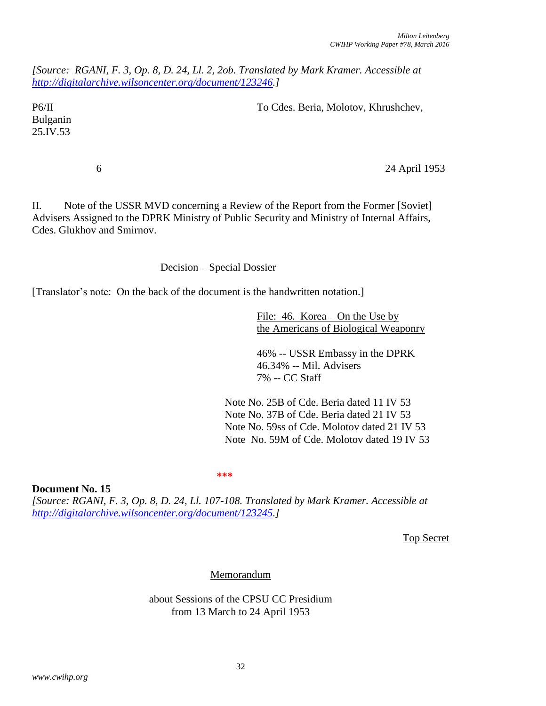*[Source: RGANI, F. 3, Op. 8, D. 24, Ll. 2, 2ob. Translated by Mark Kramer. Accessible at [http://digitalarchive.wilsoncenter.org/document/123246.](http://digitalarchive.wilsoncenter.org/document/123246)]*

Bulganin 25.IV.53

P6/II To Cdes. Beria, Molotov, Khrushchev,

6 24 April 1953

II. Note of the USSR MVD concerning a Review of the Report from the Former [Soviet] Advisers Assigned to the DPRK Ministry of Public Security and Ministry of Internal Affairs, Cdes. Glukhov and Smirnov.

Decision – Special Dossier

[Translator's note: On the back of the document is the handwritten notation.]

File: 46. Korea – On the Use by the Americans of Biological Weaponry

46% -- USSR Embassy in the DPRK 46.34% -- Mil. Advisers 7% -- CC Staff

Note No. 25B of Cde. Beria dated 11 IV 53 Note No. 37B of Cde. Beria dated 21 IV 53 Note No. 59ss of Cde. Molotov dated 21 IV 53 Note No. 59M of Cde. Molotov dated 19 IV 53

**\*\*\***

**Document No. 15** *[Source: RGANI, F. 3, Op. 8, D. 24, Ll. 107-108. Translated by Mark Kramer. Accessible at [http://digitalarchive.wilsoncenter.org/document/123245.](http://digitalarchive.wilsoncenter.org/document/123245)]*

Top Secret

Memorandum

about Sessions of the CPSU CC Presidium from 13 March to 24 April 1953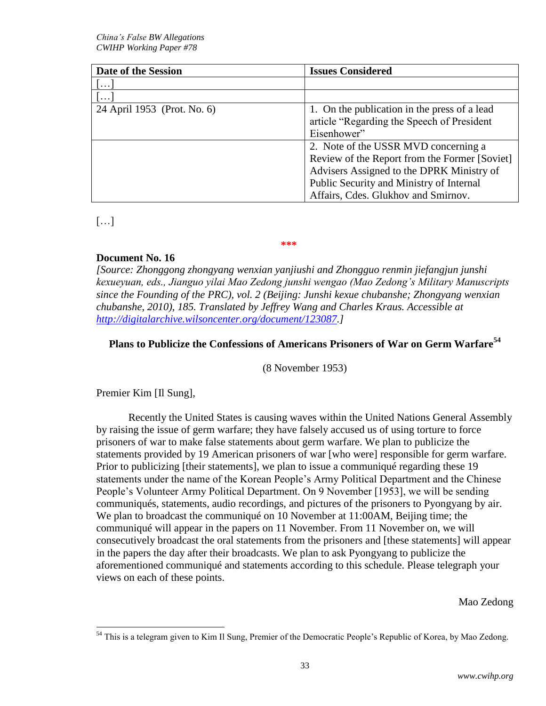| Date of the Session         | <b>Issues Considered</b>                      |
|-----------------------------|-----------------------------------------------|
|                             |                                               |
| $\ldots$                    |                                               |
| 24 April 1953 (Prot. No. 6) | 1. On the publication in the press of a lead  |
|                             | article "Regarding the Speech of President"   |
|                             | Eisenhower"                                   |
|                             | 2. Note of the USSR MVD concerning a          |
|                             | Review of the Report from the Former [Soviet] |
|                             | Advisers Assigned to the DPRK Ministry of     |
|                             | Public Security and Ministry of Internal      |
|                             | Affairs, Cdes. Glukhov and Smirnov.           |

[…]

#### **\*\*\***

## **Document No. 16**

*[Source: Zhonggong zhongyang wenxian yanjiushi and Zhongguo renmin jiefangjun junshi kexueyuan, eds., Jianguo yilai Mao Zedong junshi wengao (Mao Zedong's Military Manuscripts since the Founding of the PRC), vol. 2 (Beijing: Junshi kexue chubanshe; Zhongyang wenxian chubanshe, 2010), 185. Translated by Jeffrey Wang and Charles Kraus. Accessible at [http://digitalarchive.wilsoncenter.org/document/123087.](http://digitalarchive.wilsoncenter.org/document/123087)]*

# **Plans to Publicize the Confessions of Americans Prisoners of War on Germ Warfare<sup>54</sup>**

(8 November 1953)

Premier Kim [Il Sung],

Recently the United States is causing waves within the United Nations General Assembly by raising the issue of germ warfare; they have falsely accused us of using torture to force prisoners of war to make false statements about germ warfare. We plan to publicize the statements provided by 19 American prisoners of war [who were] responsible for germ warfare. Prior to publicizing [their statements], we plan to issue a communiqué regarding these 19 statements under the name of the Korean People's Army Political Department and the Chinese People's Volunteer Army Political Department. On 9 November [1953], we will be sending communiqués, statements, audio recordings, and pictures of the prisoners to Pyongyang by air. We plan to broadcast the communique on 10 November at 11:00AM, Beijing time; the communiqué will appear in the papers on 11 November. From 11 November on, we will consecutively broadcast the oral statements from the prisoners and [these statements] will appear in the papers the day after their broadcasts. We plan to ask Pyongyang to publicize the aforementioned communiqué and statements according to this schedule. Please telegraph your views on each of these points.

Mao Zedong

 <sup>54</sup> This is a telegram given to Kim Il Sung, Premier of the Democratic People's Republic of Korea, by Mao Zedong.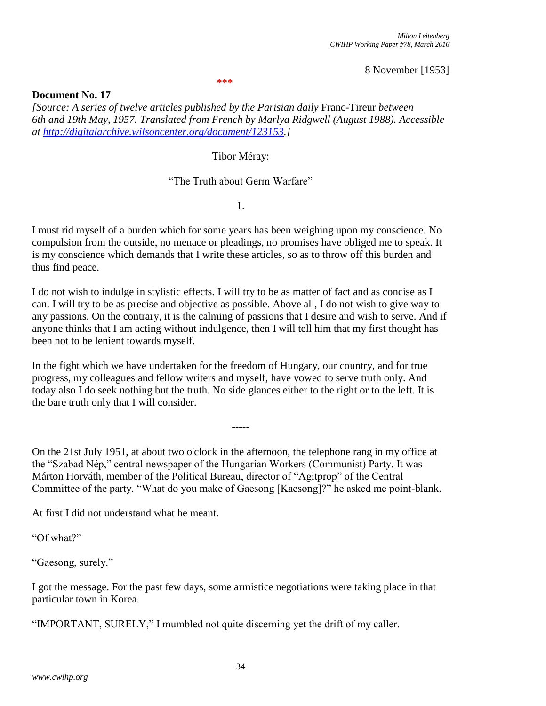8 November [1953]

**\*\*\***

**Document No. 17** *[Source: A series of twelve articles published by the Parisian daily* Franc-Tireur *between 6th and 19th May, 1957. Translated from French by Marlya Ridgwell (August 1988). Accessible at [http://digitalarchive.wilsoncenter.org/document/123153.](http://digitalarchive.wilsoncenter.org/document/123153)]*

Tibor Méray:

# "The Truth about Germ Warfare"

1.

I must rid myself of a burden which for some years has been weighing upon my conscience. No compulsion from the outside, no menace or pleadings, no promises have obliged me to speak. It is my conscience which demands that I write these articles, so as to throw off this burden and thus find peace.

I do not wish to indulge in stylistic effects. I will try to be as matter of fact and as concise as I can. I will try to be as precise and objective as possible. Above all, I do not wish to give way to any passions. On the contrary, it is the calming of passions that I desire and wish to serve. And if anyone thinks that I am acting without indulgence, then I will tell him that my first thought has been not to be lenient towards myself.

In the fight which we have undertaken for the freedom of Hungary, our country, and for true progress, my colleagues and fellow writers and myself, have vowed to serve truth only. And today also I do seek nothing but the truth. No side glances either to the right or to the left. It is the bare truth only that I will consider.

On the 21st July 1951, at about two o'clock in the afternoon, the telephone rang in my office at the "Szabad Nép," central newspaper of the Hungarian Workers (Communist) Party. It was Márton Horváth, member of the Political Bureau, director of "Agitprop" of the Central Committee of the party. "What do you make of Gaesong [Kaesong]?" he asked me point-blank.

-----

At first I did not understand what he meant.

"Of what?"

"Gaesong, surely."

I got the message. For the past few days, some armistice negotiations were taking place in that particular town in Korea.

"IMPORTANT, SURELY," I mumbled not quite discerning yet the drift of my caller.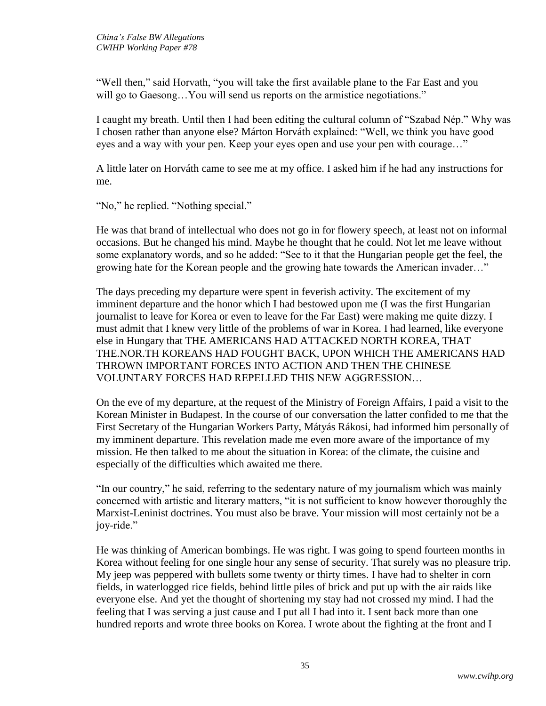"Well then," said Horvath, "you will take the first available plane to the Far East and you will go to Gaesong...You will send us reports on the armistice negotiations."

I caught my breath. Until then I had been editing the cultural column of "Szabad Nép." Why was I chosen rather than anyone else? Márton Horváth explained: "Well, we think you have good eyes and a way with your pen. Keep your eyes open and use your pen with courage…"

A little later on Horváth came to see me at my office. I asked him if he had any instructions for me.

"No," he replied. "Nothing special."

He was that brand of intellectual who does not go in for flowery speech, at least not on informal occasions. But he changed his mind. Maybe he thought that he could. Not let me leave without some explanatory words, and so he added: "See to it that the Hungarian people get the feel, the growing hate for the Korean people and the growing hate towards the American invader…"

The days preceding my departure were spent in feverish activity. The excitement of my imminent departure and the honor which I had bestowed upon me (I was the first Hungarian journalist to leave for Korea or even to leave for the Far East) were making me quite dizzy. I must admit that I knew very little of the problems of war in Korea. I had learned, like everyone else in Hungary that THE AMERICANS HAD ATTACKED NORTH KOREA, THAT THE.NOR.TH KOREANS HAD FOUGHT BACK, UPON WHICH THE AMERICANS HAD THROWN IMPORTANT FORCES INTO ACTION AND THEN THE CHINESE VOLUNTARY FORCES HAD REPELLED THIS NEW AGGRESSION…

On the eve of my departure, at the request of the Ministry of Foreign Affairs, I paid a visit to the Korean Minister in Budapest. In the course of our conversation the latter confided to me that the First Secretary of the Hungarian Workers Party, Mátyás Rákosi, had informed him personally of my imminent departure. This revelation made me even more aware of the importance of my mission. He then talked to me about the situation in Korea: of the climate, the cuisine and especially of the difficulties which awaited me there.

"In our country," he said, referring to the sedentary nature of my journalism which was mainly concerned with artistic and literary matters, "it is not sufficient to know however thoroughly the Marxist-Leninist doctrines. You must also be brave. Your mission will most certainly not be a joy-ride."

He was thinking of American bombings. He was right. I was going to spend fourteen months in Korea without feeling for one single hour any sense of security. That surely was no pleasure trip. My jeep was peppered with bullets some twenty or thirty times. I have had to shelter in corn fields, in waterlogged rice fields, behind little piles of brick and put up with the air raids like everyone else. And yet the thought of shortening my stay had not crossed my mind. I had the feeling that I was serving a just cause and I put all I had into it. I sent back more than one hundred reports and wrote three books on Korea. I wrote about the fighting at the front and I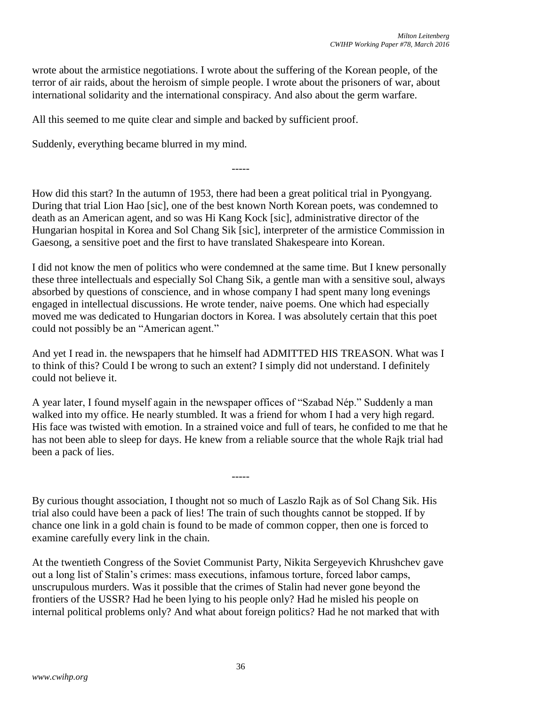wrote about the armistice negotiations. I wrote about the suffering of the Korean people, of the terror of air raids, about the heroism of simple people. I wrote about the prisoners of war, about international solidarity and the international conspiracy. And also about the germ warfare.

All this seemed to me quite clear and simple and backed by sufficient proof.

Suddenly, everything became blurred in my mind.

How did this start? In the autumn of 1953, there had been a great political trial in Pyongyang. During that trial Lion Hao [sic], one of the best known North Korean poets, was condemned to death as an American agent, and so was Hi Kang Kock [sic], administrative director of the Hungarian hospital in Korea and Sol Chang Sik [sic], interpreter of the armistice Commission in Gaesong, a sensitive poet and the first to have translated Shakespeare into Korean.

-----

I did not know the men of politics who were condemned at the same time. But I knew personally these three intellectuals and especially Sol Chang Sik, a gentle man with a sensitive soul, always absorbed by questions of conscience, and in whose company I had spent many long evenings engaged in intellectual discussions. He wrote tender, naive poems. One which had especially moved me was dedicated to Hungarian doctors in Korea. I was absolutely certain that this poet could not possibly be an "American agent."

And yet I read in. the newspapers that he himself had ADMITTED HIS TREASON. What was I to think of this? Could I be wrong to such an extent? I simply did not understand. I definitely could not believe it.

A year later, I found myself again in the newspaper offices of "Szabad Nép." Suddenly a man walked into my office. He nearly stumbled. It was a friend for whom I had a very high regard. His face was twisted with emotion. In a strained voice and full of tears, he confided to me that he has not been able to sleep for days. He knew from a reliable source that the whole Rajk trial had been a pack of lies.

-----

By curious thought association, I thought not so much of Laszlo Rajk as of Sol Chang Sik. His trial also could have been a pack of lies! The train of such thoughts cannot be stopped. If by chance one link in a gold chain is found to be made of common copper, then one is forced to examine carefully every link in the chain.

At the twentieth Congress of the Soviet Communist Party, Nikita Sergeyevich Khrushchev gave out a long list of Stalin's crimes: mass executions, infamous torture, forced labor camps, unscrupulous murders. Was it possible that the crimes of Stalin had never gone beyond the frontiers of the USSR? Had he been lying to his people only? Had he misled his people on internal political problems only? And what about foreign politics? Had he not marked that with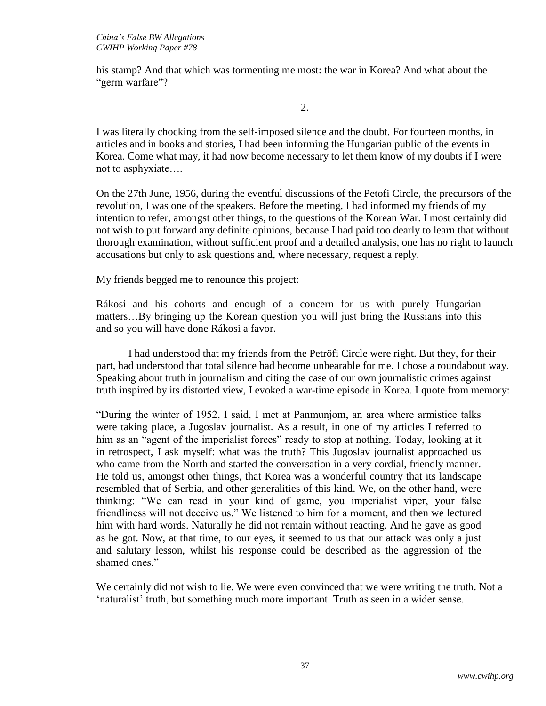his stamp? And that which was tormenting me most: the war in Korea? And what about the "germ warfare"?

I was literally chocking from the self-imposed silence and the doubt. For fourteen months, in articles and in books and stories, I had been informing the Hungarian public of the events in Korea. Come what may, it had now become necessary to let them know of my doubts if I were not to asphyxiate….

On the 27th June, 1956, during the eventful discussions of the Petofi Circle, the precursors of the revolution, I was one of the speakers. Before the meeting, I had informed my friends of my intention to refer, amongst other things, to the questions of the Korean War. I most certainly did not wish to put forward any definite opinions, because I had paid too dearly to learn that without thorough examination, without sufficient proof and a detailed analysis, one has no right to launch accusations but only to ask questions and, where necessary, request a reply.

My friends begged me to renounce this project:

Rákosi and his cohorts and enough of a concern for us with purely Hungarian matters…By bringing up the Korean question you will just bring the Russians into this and so you will have done Rákosi a favor.

I had understood that my friends from the Petröfi Circle were right. But they, for their part, had understood that total silence had become unbearable for me. I chose a roundabout way. Speaking about truth in journalism and citing the case of our own journalistic crimes against truth inspired by its distorted view, I evoked a war-time episode in Korea. I quote from memory:

"During the winter of 1952, I said, I met at Panmunjom, an area where armistice talks were taking place, a Jugoslav journalist. As a result, in one of my articles I referred to him as an "agent of the imperialist forces" ready to stop at nothing. Today, looking at it in retrospect, I ask myself: what was the truth? This Jugoslav journalist approached us who came from the North and started the conversation in a very cordial, friendly manner. He told us, amongst other things, that Korea was a wonderful country that its landscape resembled that of Serbia, and other generalities of this kind. We, on the other hand, were thinking: "We can read in your kind of game, you imperialist viper, your false friendliness will not deceive us." We listened to him for a moment, and then we lectured him with hard words. Naturally he did not remain without reacting. And he gave as good as he got. Now, at that time, to our eyes, it seemed to us that our attack was only a just and salutary lesson, whilst his response could be described as the aggression of the shamed ones."

We certainly did not wish to lie. We were even convinced that we were writing the truth. Not a 'naturalist' truth, but something much more important. Truth as seen in a wider sense.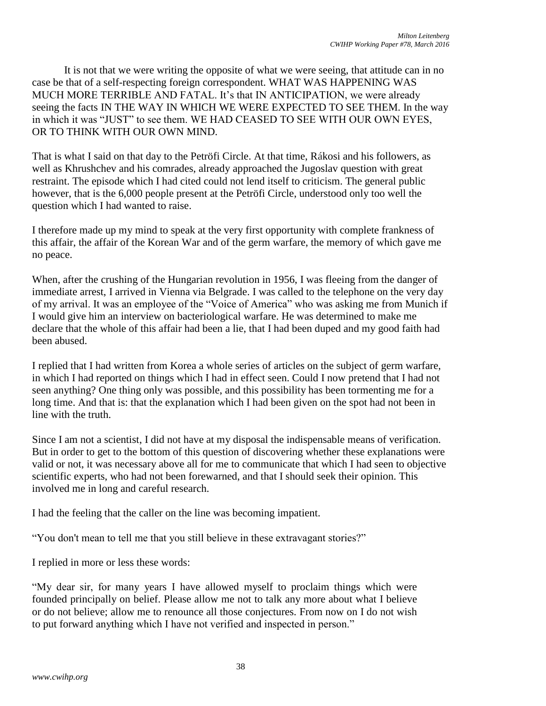It is not that we were writing the opposite of what we were seeing, that attitude can in no case be that of a self-respecting foreign correspondent. WHAT WAS HAPPENING WAS MUCH MORE TERRIBLE AND FATAL. It's that IN ANTICIPATION, we were already seeing the facts IN THE WAY IN WHICH WE WERE EXPECTED TO SEE THEM. In the way in which it was "JUST" to see them. WE HAD CEASED TO SEE WITH OUR OWN EYES, OR TO THINK WITH OUR OWN MIND.

That is what I said on that day to the Petröfi Circle. At that time, Rákosi and his followers, as well as Khrushchev and his comrades, already approached the Jugoslav question with great restraint. The episode which I had cited could not lend itself to criticism. The general public however, that is the 6,000 people present at the Petröfi Circle, understood only too well the question which I had wanted to raise.

I therefore made up my mind to speak at the very first opportunity with complete frankness of this affair, the affair of the Korean War and of the germ warfare, the memory of which gave me no peace.

When, after the crushing of the Hungarian revolution in 1956, I was fleeing from the danger of immediate arrest, I arrived in Vienna via Belgrade. I was called to the telephone on the very day of my arrival. It was an employee of the "Voice of America" who was asking me from Munich if I would give him an interview on bacteriological warfare. He was determined to make me declare that the whole of this affair had been a lie, that I had been duped and my good faith had been abused.

I replied that I had written from Korea a whole series of articles on the subject of germ warfare, in which I had reported on things which I had in effect seen. Could I now pretend that I had not seen anything? One thing only was possible, and this possibility has been tormenting me for a long time. And that is: that the explanation which I had been given on the spot had not been in line with the truth.

Since I am not a scientist, I did not have at my disposal the indispensable means of verification. But in order to get to the bottom of this question of discovering whether these explanations were valid or not, it was necessary above all for me to communicate that which I had seen to objective scientific experts, who had not been forewarned, and that I should seek their opinion. This involved me in long and careful research.

I had the feeling that the caller on the line was becoming impatient.

"You don't mean to tell me that you still believe in these extravagant stories?"

I replied in more or less these words:

"My dear sir, for many years I have allowed myself to proclaim things which were founded principally on belief. Please allow me not to talk any more about what I believe or do not believe; allow me to renounce all those conjectures. From now on I do not wish to put forward anything which I have not verified and inspected in person."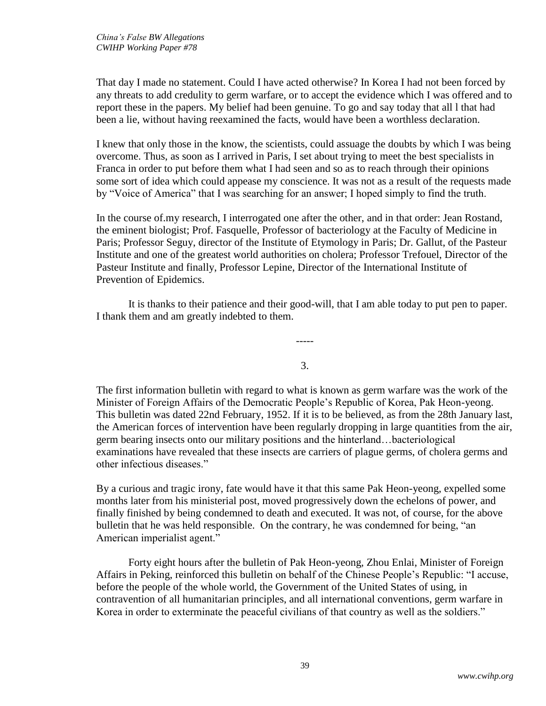That day I made no statement. Could I have acted otherwise? In Korea I had not been forced by any threats to add credulity to germ warfare, or to accept the evidence which I was offered and to report these in the papers. My belief had been genuine. To go and say today that all l that had been a lie, without having reexamined the facts, would have been a worthless declaration.

I knew that only those in the know, the scientists, could assuage the doubts by which I was being overcome. Thus, as soon as I arrived in Paris, I set about trying to meet the best specialists in Franca in order to put before them what I had seen and so as to reach through their opinions some sort of idea which could appease my conscience. It was not as a result of the requests made by "Voice of America" that I was searching for an answer; I hoped simply to find the truth.

In the course of.my research, I interrogated one after the other, and in that order: Jean Rostand, the eminent biologist; Prof. Fasquelle, Professor of bacteriology at the Faculty of Medicine in Paris; Professor Seguy, director of the Institute of Etymology in Paris; Dr. Gallut, of the Pasteur Institute and one of the greatest world authorities on cholera; Professor Trefouel, Director of the Pasteur Institute and finally, Professor Lepine, Director of the International Institute of Prevention of Epidemics.

It is thanks to their patience and their good-will, that I am able today to put pen to paper. I thank them and am greatly indebted to them.

3.

-----

The first information bulletin with regard to what is known as germ warfare was the work of the Minister of Foreign Affairs of the Democratic People's Republic of Korea, Pak Heon-yeong. This bulletin was dated 22nd February, 1952. If it is to be believed, as from the 28th January last, the American forces of intervention have been regularly dropping in large quantities from the air, germ bearing insects onto our military positions and the hinterland…bacteriological examinations have revealed that these insects are carriers of plague germs, of cholera germs and other infectious diseases."

By a curious and tragic irony, fate would have it that this same Pak Heon-yeong, expelled some months later from his ministerial post, moved progressively down the echelons of power, and finally finished by being condemned to death and executed. It was not, of course, for the above bulletin that he was held responsible. On the contrary, he was condemned for being, "an American imperialist agent."

Forty eight hours after the bulletin of Pak Heon-yeong, Zhou Enlai, Minister of Foreign Affairs in Peking, reinforced this bulletin on behalf of the Chinese People's Republic: "I accuse, before the people of the whole world, the Government of the United States of using, in contravention of all humanitarian principles, and all international conventions, germ warfare in Korea in order to exterminate the peaceful civilians of that country as well as the soldiers."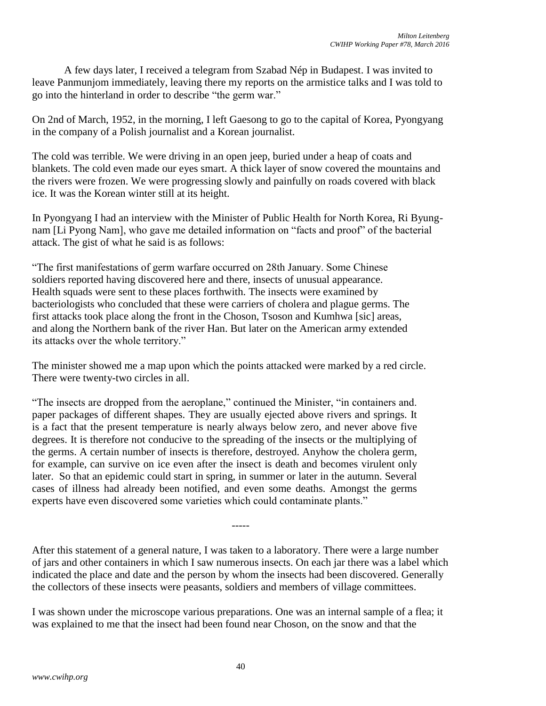A few days later, I received a telegram from Szabad Nép in Budapest. I was invited to leave Panmunjom immediately, leaving there my reports on the armistice talks and I was told to go into the hinterland in order to describe "the germ war."

On 2nd of March, 1952, in the morning, I left Gaesong to go to the capital of Korea, Pyongyang in the company of a Polish journalist and a Korean journalist.

The cold was terrible. We were driving in an open jeep, buried under a heap of coats and blankets. The cold even made our eyes smart. A thick layer of snow covered the mountains and the rivers were frozen. We were progressing slowly and painfully on roads covered with black ice. It was the Korean winter still at its height.

In Pyongyang I had an interview with the Minister of Public Health for North Korea, Ri Byungnam [Li Pyong Nam], who gave me detailed information on "facts and proof" of the bacterial attack. The gist of what he said is as follows:

"The first manifestations of germ warfare occurred on 28th January. Some Chinese soldiers reported having discovered here and there, insects of unusual appearance. Health squads were sent to these places forthwith. The insects were examined by bacteriologists who concluded that these were carriers of cholera and plague germs. The first attacks took place along the front in the Choson, Tsoson and Kumhwa [sic] areas, and along the Northern bank of the river Han. But later on the American army extended its attacks over the whole territory."

The minister showed me a map upon which the points attacked were marked by a red circle. There were twenty-two circles in all.

"The insects are dropped from the aeroplane," continued the Minister, "in containers and. paper packages of different shapes. They are usually ejected above rivers and springs. It is a fact that the present temperature is nearly always below zero, and never above five degrees. It is therefore not conducive to the spreading of the insects or the multiplying of the germs. A certain number of insects is therefore, destroyed. Anyhow the cholera germ, for example, can survive on ice even after the insect is death and becomes virulent only later. So that an epidemic could start in spring, in summer or later in the autumn. Several cases of illness had already been notified, and even some deaths. Amongst the germs experts have even discovered some varieties which could contaminate plants."

After this statement of a general nature, I was taken to a laboratory. There were a large number of jars and other containers in which I saw numerous insects. On each jar there was a label which indicated the place and date and the person by whom the insects had been discovered. Generally the collectors of these insects were peasants, soldiers and members of village committees.

-----

I was shown under the microscope various preparations. One was an internal sample of a flea; it was explained to me that the insect had been found near Choson, on the snow and that the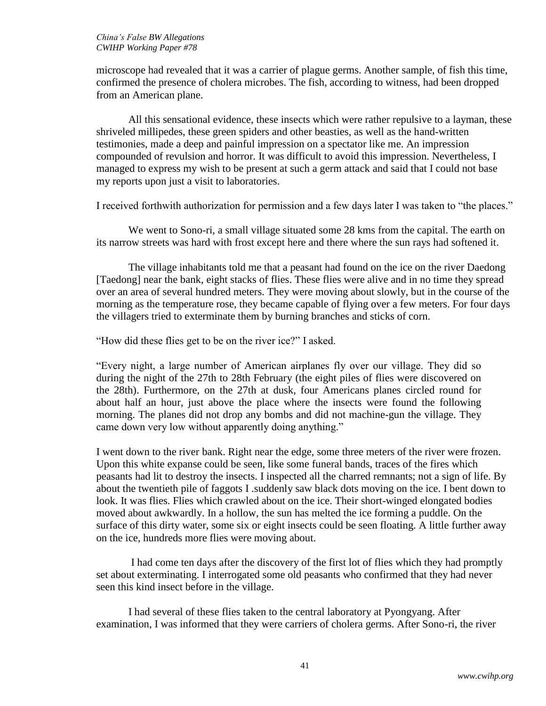microscope had revealed that it was a carrier of plague germs. Another sample, of fish this time, confirmed the presence of cholera microbes. The fish, according to witness, had been dropped from an American plane.

All this sensational evidence, these insects which were rather repulsive to a layman, these shriveled millipedes, these green spiders and other beasties, as well as the hand-written testimonies, made a deep and painful impression on a spectator like me. An impression compounded of revulsion and horror. It was difficult to avoid this impression. Nevertheless, I managed to express my wish to be present at such a germ attack and said that I could not base my reports upon just a visit to laboratories.

I received forthwith authorization for permission and a few days later I was taken to "the places."

We went to Sono-ri, a small village situated some 28 kms from the capital. The earth on its narrow streets was hard with frost except here and there where the sun rays had softened it.

The village inhabitants told me that a peasant had found on the ice on the river Daedong [Taedong] near the bank, eight stacks of flies. These flies were alive and in no time they spread over an area of several hundred meters. They were moving about slowly, but in the course of the morning as the temperature rose, they became capable of flying over a few meters. For four days the villagers tried to exterminate them by burning branches and sticks of corn.

"How did these flies get to be on the river ice?" I asked.

"Every night, a large number of American airplanes fly over our village. They did so during the night of the 27th to 28th February (the eight piles of flies were discovered on the 28th). Furthermore, on the 27th at dusk, four Americans planes circled round for about half an hour, just above the place where the insects were found the following morning. The planes did not drop any bombs and did not machine-gun the village. They came down very low without apparently doing anything."

I went down to the river bank. Right near the edge, some three meters of the river were frozen. Upon this white expanse could be seen, like some funeral bands, traces of the fires which peasants had lit to destroy the insects. I inspected all the charred remnants; not a sign of life. By about the twentieth pile of faggots I .suddenly saw black dots moving on the ice. I bent down to look. It was flies. Flies which crawled about on the ice. Their short-winged elongated bodies moved about awkwardly. In a hollow, the sun has melted the ice forming a puddle. On the surface of this dirty water, some six or eight insects could be seen floating. A little further away on the ice, hundreds more flies were moving about.

I had come ten days after the discovery of the first lot of flies which they had promptly set about exterminating. I interrogated some old peasants who confirmed that they had never seen this kind insect before in the village.

I had several of these flies taken to the central laboratory at Pyongyang. After examination, I was informed that they were carriers of cholera germs. After Sono-ri, the river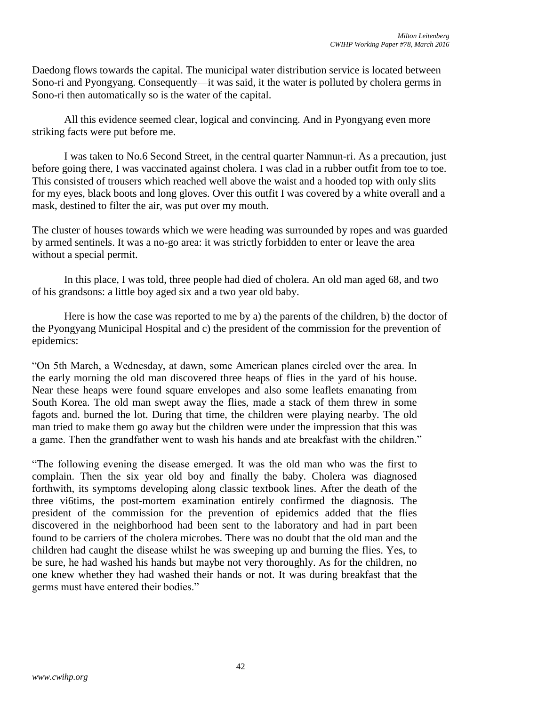Daedong flows towards the capital. The municipal water distribution service is located between Sono-ri and Pyongyang. Consequently—it was said, it the water is polluted by cholera germs in Sono-ri then automatically so is the water of the capital.

All this evidence seemed clear, logical and convincing. And in Pyongyang even more striking facts were put before me.

I was taken to No.6 Second Street, in the central quarter Namnun-ri. As a precaution, just before going there, I was vaccinated against cholera. I was clad in a rubber outfit from toe to toe. This consisted of trousers which reached well above the waist and a hooded top with only slits for my eyes, black boots and long gloves. Over this outfit I was covered by a white overall and a mask, destined to filter the air, was put over my mouth.

The cluster of houses towards which we were heading was surrounded by ropes and was guarded by armed sentinels. It was a no-go area: it was strictly forbidden to enter or leave the area without a special permit.

In this place, I was told, three people had died of cholera. An old man aged 68, and two of his grandsons: a little boy aged six and a two year old baby.

Here is how the case was reported to me by a) the parents of the children, b) the doctor of the Pyongyang Municipal Hospital and c) the president of the commission for the prevention of epidemics:

"On 5th March, a Wednesday, at dawn, some American planes circled over the area. In the early morning the old man discovered three heaps of flies in the yard of his house. Near these heaps were found square envelopes and also some leaflets emanating from South Korea. The old man swept away the flies, made a stack of them threw in some fagots and. burned the lot. During that time, the children were playing nearby. The old man tried to make them go away but the children were under the impression that this was a game. Then the grandfather went to wash his hands and ate breakfast with the children."

"The following evening the disease emerged. It was the old man who was the first to complain. Then the six year old boy and finally the baby. Cholera was diagnosed forthwith, its symptoms developing along classic textbook lines. After the death of the three vi6tims, the post-mortem examination entirely confirmed the diagnosis. The president of the commission for the prevention of epidemics added that the flies discovered in the neighborhood had been sent to the laboratory and had in part been found to be carriers of the cholera microbes. There was no doubt that the old man and the children had caught the disease whilst he was sweeping up and burning the flies. Yes, to be sure, he had washed his hands but maybe not very thoroughly. As for the children, no one knew whether they had washed their hands or not. It was during breakfast that the germs must have entered their bodies."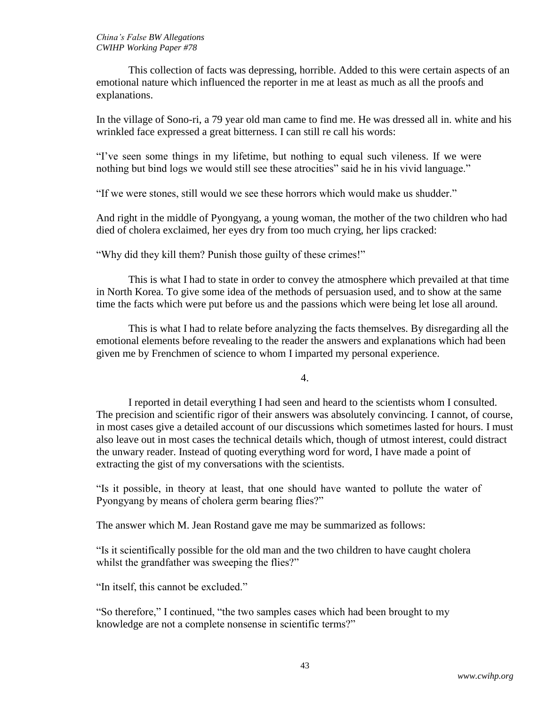This collection of facts was depressing, horrible. Added to this were certain aspects of an emotional nature which influenced the reporter in me at least as much as all the proofs and explanations.

In the village of Sono-ri, a 79 year old man came to find me. He was dressed all in. white and his wrinkled face expressed a great bitterness. I can still re call his words:

"I've seen some things in my lifetime, but nothing to equal such vileness. If we were nothing but bind logs we would still see these atrocities" said he in his vivid language."

"If we were stones, still would we see these horrors which would make us shudder."

And right in the middle of Pyongyang, a young woman, the mother of the two children who had died of cholera exclaimed, her eyes dry from too much crying, her lips cracked:

"Why did they kill them? Punish those guilty of these crimes!"

This is what I had to state in order to convey the atmosphere which prevailed at that time in North Korea. To give some idea of the methods of persuasion used, and to show at the same time the facts which were put before us and the passions which were being let lose all around.

This is what I had to relate before analyzing the facts themselves. By disregarding all the emotional elements before revealing to the reader the answers and explanations which had been given me by Frenchmen of science to whom I imparted my personal experience.

4.

I reported in detail everything I had seen and heard to the scientists whom I consulted. The precision and scientific rigor of their answers was absolutely convincing. I cannot, of course, in most cases give a detailed account of our discussions which sometimes lasted for hours. I must also leave out in most cases the technical details which, though of utmost interest, could distract the unwary reader. Instead of quoting everything word for word, I have made a point of extracting the gist of my conversations with the scientists.

"Is it possible, in theory at least, that one should have wanted to pollute the water of Pyongyang by means of cholera germ bearing flies?"

The answer which M. Jean Rostand gave me may be summarized as follows:

"Is it scientifically possible for the old man and the two children to have caught cholera whilst the grandfather was sweeping the flies?"

"In itself, this cannot be excluded."

"So therefore," I continued, "the two samples cases which had been brought to my knowledge are not a complete nonsense in scientific terms?"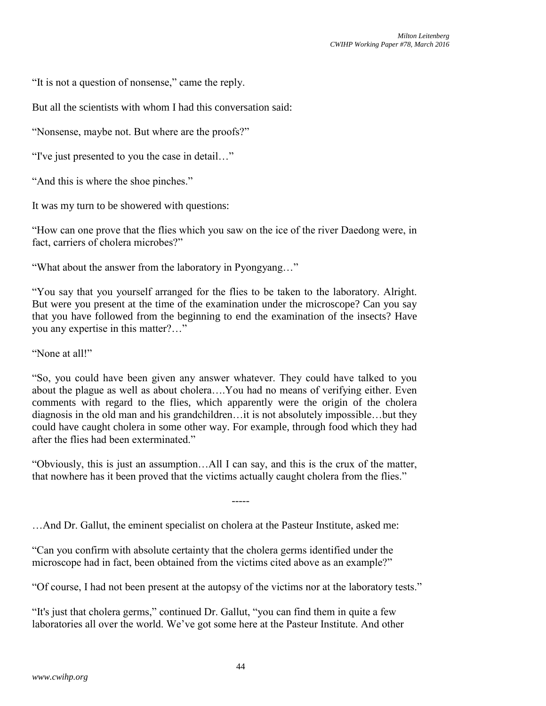"It is not a question of nonsense," came the reply.

But all the scientists with whom I had this conversation said:

"Nonsense, maybe not. But where are the proofs?"

"I've just presented to you the case in detail…"

"And this is where the shoe pinches."

It was my turn to be showered with questions:

"How can one prove that the flies which you saw on the ice of the river Daedong were, in fact, carriers of cholera microbes?"

"What about the answer from the laboratory in Pyongyang…"

"You say that you yourself arranged for the flies to be taken to the laboratory. Alright. But were you present at the time of the examination under the microscope? Can you say that you have followed from the beginning to end the examination of the insects? Have you any expertise in this matter?…"

"None at all!"

"So, you could have been given any answer whatever. They could have talked to you about the plague as well as about cholera….You had no means of verifying either. Even comments with regard to the flies, which apparently were the origin of the cholera diagnosis in the old man and his grandchildren…it is not absolutely impossible…but they could have caught cholera in some other way. For example, through food which they had after the flies had been exterminated."

"Obviously, this is just an assumption…All I can say, and this is the crux of the matter, that nowhere has it been proved that the victims actually caught cholera from the flies."

-----

…And Dr. Gallut, the eminent specialist on cholera at the Pasteur Institute, asked me:

"Can you confirm with absolute certainty that the cholera germs identified under the microscope had in fact, been obtained from the victims cited above as an example?"

"Of course, I had not been present at the autopsy of the victims nor at the laboratory tests."

"It's just that cholera germs," continued Dr. Gallut, "you can find them in quite a few laboratories all over the world. We've got some here at the Pasteur Institute. And other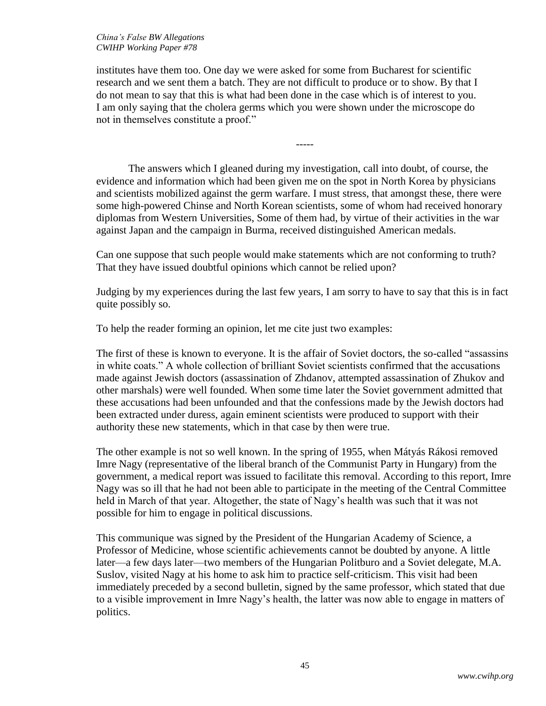institutes have them too. One day we were asked for some from Bucharest for scientific research and we sent them a batch. They are not difficult to produce or to show. By that I do not mean to say that this is what had been done in the case which is of interest to you. I am only saying that the cholera germs which you were shown under the microscope do not in themselves constitute a proof."

The answers which I gleaned during my investigation, call into doubt, of course, the evidence and information which had been given me on the spot in North Korea by physicians and scientists mobilized against the germ warfare. I must stress, that amongst these, there were some high-powered Chinse and North Korean scientists, some of whom had received honorary diplomas from Western Universities, Some of them had, by virtue of their activities in the war against Japan and the campaign in Burma, received distinguished American medals.

-----

Can one suppose that such people would make statements which are not conforming to truth? That they have issued doubtful opinions which cannot be relied upon?

Judging by my experiences during the last few years, I am sorry to have to say that this is in fact quite possibly so.

To help the reader forming an opinion, let me cite just two examples:

The first of these is known to everyone. It is the affair of Soviet doctors, the so-called "assassins in white coats." A whole collection of brilliant Soviet scientists confirmed that the accusations made against Jewish doctors (assassination of Zhdanov, attempted assassination of Zhukov and other marshals) were well founded. When some time later the Soviet government admitted that these accusations had been unfounded and that the confessions made by the Jewish doctors had been extracted under duress, again eminent scientists were produced to support with their authority these new statements, which in that case by then were true.

The other example is not so well known. In the spring of 1955, when Mátyás Rákosi removed Imre Nagy (representative of the liberal branch of the Communist Party in Hungary) from the government, a medical report was issued to facilitate this removal. According to this report, Imre Nagy was so ill that he had not been able to participate in the meeting of the Central Committee held in March of that year. Altogether, the state of Nagy's health was such that it was not possible for him to engage in political discussions.

This communique was signed by the President of the Hungarian Academy of Science, a Professor of Medicine, whose scientific achievements cannot be doubted by anyone. A little later—a few days later—two members of the Hungarian Politburo and a Soviet delegate, M.A. Suslov, visited Nagy at his home to ask him to practice self-criticism. This visit had been immediately preceded by a second bulletin, signed by the same professor, which stated that due to a visible improvement in Imre Nagy's health, the latter was now able to engage in matters of politics.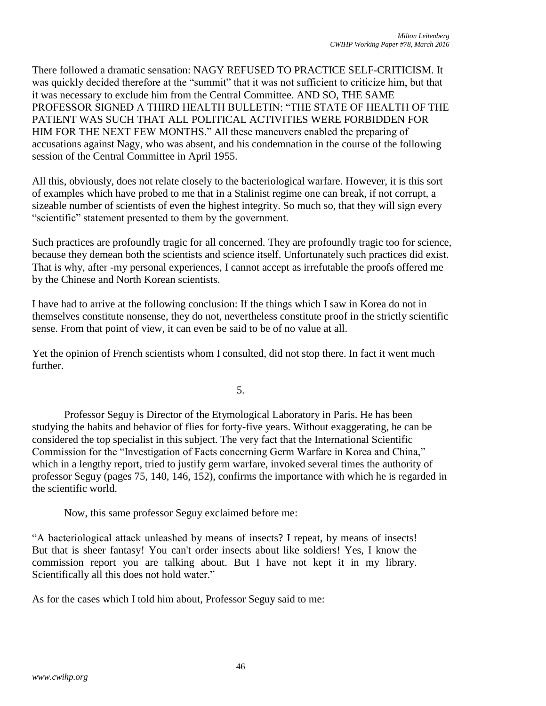There followed a dramatic sensation: NAGY REFUSED TO PRACTICE SELF-CRITICISM. It was quickly decided therefore at the "summit" that it was not sufficient to criticize him, but that it was necessary to exclude him from the Central Committee. AND SO, THE SAME PROFESSOR SIGNED A THIRD HEALTH BULLETIN: "THE STATE OF HEALTH OF THE PATIENT WAS SUCH THAT ALL POLITICAL ACTIVITIES WERE FORBIDDEN FOR HIM FOR THE NEXT FEW MONTHS." All these maneuvers enabled the preparing of accusations against Nagy, who was absent, and his condemnation in the course of the following session of the Central Committee in April 1955.

All this, obviously, does not relate closely to the bacteriological warfare. However, it is this sort of examples which have probed to me that in a Stalinist regime one can break, if not corrupt, a sizeable number of scientists of even the highest integrity. So much so, that they will sign every "scientific" statement presented to them by the government.

Such practices are profoundly tragic for all concerned. They are profoundly tragic too for science, because they demean both the scientists and science itself. Unfortunately such practices did exist. That is why, after -my personal experiences, I cannot accept as irrefutable the proofs offered me by the Chinese and North Korean scientists.

I have had to arrive at the following conclusion: If the things which I saw in Korea do not in themselves constitute nonsense, they do not, nevertheless constitute proof in the strictly scientific sense. From that point of view, it can even be said to be of no value at all.

Yet the opinion of French scientists whom I consulted, did not stop there. In fact it went much further.

5.

Professor Seguy is Director of the Etymological Laboratory in Paris. He has been studying the habits and behavior of flies for forty-five years. Without exaggerating, he can be considered the top specialist in this subject. The very fact that the International Scientific Commission for the "Investigation of Facts concerning Germ Warfare in Korea and China," which in a lengthy report, tried to justify germ warfare, invoked several times the authority of professor Seguy (pages 75, 140, 146, 152), confirms the importance with which he is regarded in the scientific world.

Now, this same professor Seguy exclaimed before me:

"A bacteriological attack unleashed by means of insects? I repeat, by means of insects! But that is sheer fantasy! You can't order insects about like soldiers! Yes, I know the commission report you are talking about. But I have not kept it in my library. Scientifically all this does not hold water."

As for the cases which I told him about, Professor Seguy said to me: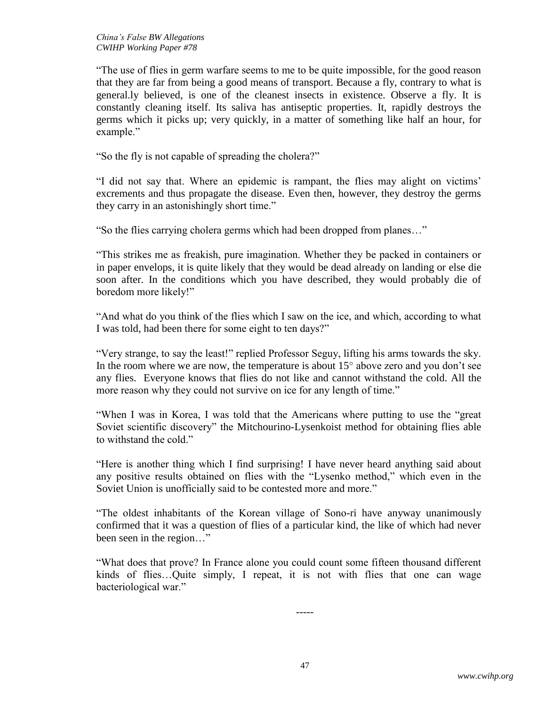"The use of flies in germ warfare seems to me to be quite impossible, for the good reason that they are far from being a good means of transport. Because a fly, contrary to what is general.ly believed, is one of the cleanest insects in existence. Observe a fly. It is constantly cleaning itself. Its saliva has antiseptic properties. It, rapidly destroys the germs which it picks up; very quickly, in a matter of something like half an hour, for example."

"So the fly is not capable of spreading the cholera?"

"I did not say that. Where an epidemic is rampant, the flies may alight on victims' excrements and thus propagate the disease. Even then, however, they destroy the germs they carry in an astonishingly short time."

"So the flies carrying cholera germs which had been dropped from planes…"

"This strikes me as freakish, pure imagination. Whether they be packed in containers or in paper envelops, it is quite likely that they would be dead already on landing or else die soon after. In the conditions which you have described, they would probably die of boredom more likely!"

"And what do you think of the flies which I saw on the ice, and which, according to what I was told, had been there for some eight to ten days?"

"Very strange, to say the least!" replied Professor Seguy, lifting his arms towards the sky. In the room where we are now, the temperature is about  $15^{\circ}$  above zero and you don't see any flies. Everyone knows that flies do not like and cannot withstand the cold. All the more reason why they could not survive on ice for any length of time."

"When I was in Korea, I was told that the Americans where putting to use the "great Soviet scientific discovery" the Mitchourino-Lysenkoist method for obtaining flies able to withstand the cold."

"Here is another thing which I find surprising! I have never heard anything said about any positive results obtained on flies with the "Lysenko method," which even in the Soviet Union is unofficially said to be contested more and more."

"The oldest inhabitants of the Korean village of Sono-ri have anyway unanimously confirmed that it was a question of flies of a particular kind, the like of which had never been seen in the region…"

"What does that prove? In France alone you could count some fifteen thousand different kinds of flies…Quite simply, I repeat, it is not with flies that one can wage bacteriological war."

-----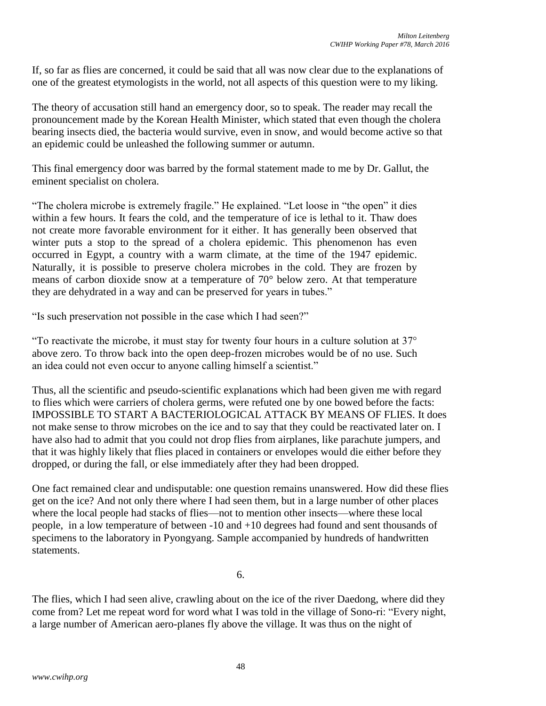If, so far as flies are concerned, it could be said that all was now clear due to the explanations of one of the greatest etymologists in the world, not all aspects of this question were to my liking.

The theory of accusation still hand an emergency door, so to speak. The reader may recall the pronouncement made by the Korean Health Minister, which stated that even though the cholera bearing insects died, the bacteria would survive, even in snow, and would become active so that an epidemic could be unleashed the following summer or autumn.

This final emergency door was barred by the formal statement made to me by Dr. Gallut, the eminent specialist on cholera.

"The cholera microbe is extremely fragile." He explained. "Let loose in "the open" it dies within a few hours. It fears the cold, and the temperature of ice is lethal to it. Thaw does not create more favorable environment for it either. It has generally been observed that winter puts a stop to the spread of a cholera epidemic. This phenomenon has even occurred in Egypt, a country with a warm climate, at the time of the 1947 epidemic. Naturally, it is possible to preserve cholera microbes in the cold. They are frozen by means of carbon dioxide snow at a temperature of 70° below zero. At that temperature they are dehydrated in a way and can be preserved for years in tubes."

"Is such preservation not possible in the case which I had seen?"

"To reactivate the microbe, it must stay for twenty four hours in a culture solution at 37° above zero. To throw back into the open deep-frozen microbes would be of no use. Such an idea could not even occur to anyone calling himself a scientist."

Thus, all the scientific and pseudo-scientific explanations which had been given me with regard to flies which were carriers of cholera germs, were refuted one by one bowed before the facts: IMPOSSIBLE TO START A BACTERIOLOGICAL ATTACK BY MEANS OF FLIES. It does not make sense to throw microbes on the ice and to say that they could be reactivated later on. I have also had to admit that you could not drop flies from airplanes, like parachute jumpers, and that it was highly likely that flies placed in containers or envelopes would die either before they dropped, or during the fall, or else immediately after they had been dropped.

One fact remained clear and undisputable: one question remains unanswered. How did these flies get on the ice? And not only there where I had seen them, but in a large number of other places where the local people had stacks of flies—not to mention other insects—where these local people, in a low temperature of between -10 and +10 degrees had found and sent thousands of specimens to the laboratory in Pyongyang. Sample accompanied by hundreds of handwritten statements.

6.

The flies, which I had seen alive, crawling about on the ice of the river Daedong, where did they come from? Let me repeat word for word what I was told in the village of Sono-ri: "Every night, a large number of American aero-planes fly above the village. It was thus on the night of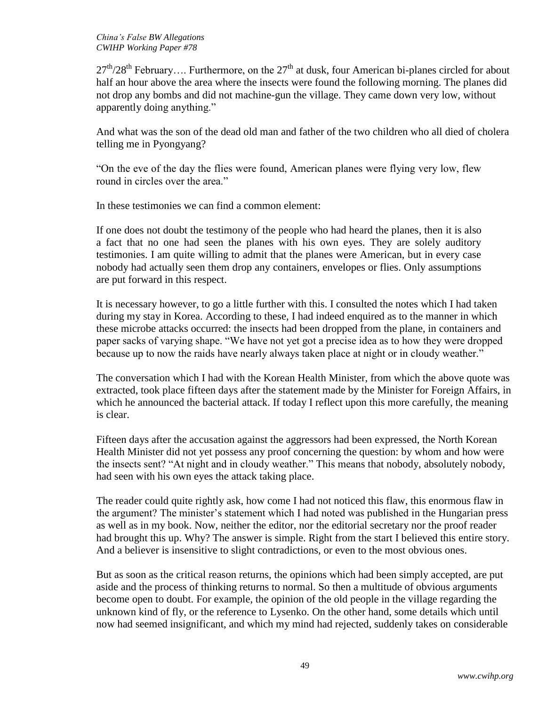$27<sup>th</sup>/28<sup>th</sup>$  February…. Furthermore, on the  $27<sup>th</sup>$  at dusk, four American bi-planes circled for about half an hour above the area where the insects were found the following morning. The planes did not drop any bombs and did not machine-gun the village. They came down very low, without apparently doing anything."

And what was the son of the dead old man and father of the two children who all died of cholera telling me in Pyongyang?

"On the eve of the day the flies were found, American planes were flying very low, flew round in circles over the area."

In these testimonies we can find a common element:

If one does not doubt the testimony of the people who had heard the planes, then it is also a fact that no one had seen the planes with his own eyes. They are solely auditory testimonies. I am quite willing to admit that the planes were American, but in every case nobody had actually seen them drop any containers, envelopes or flies. Only assumptions are put forward in this respect.

It is necessary however, to go a little further with this. I consulted the notes which I had taken during my stay in Korea. According to these, I had indeed enquired as to the manner in which these microbe attacks occurred: the insects had been dropped from the plane, in containers and paper sacks of varying shape. "We have not yet got a precise idea as to how they were dropped because up to now the raids have nearly always taken place at night or in cloudy weather."

The conversation which I had with the Korean Health Minister, from which the above quote was extracted, took place fifteen days after the statement made by the Minister for Foreign Affairs, in which he announced the bacterial attack. If today I reflect upon this more carefully, the meaning is clear.

Fifteen days after the accusation against the aggressors had been expressed, the North Korean Health Minister did not yet possess any proof concerning the question: by whom and how were the insects sent? "At night and in cloudy weather." This means that nobody, absolutely nobody, had seen with his own eyes the attack taking place.

The reader could quite rightly ask, how come I had not noticed this flaw, this enormous flaw in the argument? The minister's statement which I had noted was published in the Hungarian press as well as in my book. Now, neither the editor, nor the editorial secretary nor the proof reader had brought this up. Why? The answer is simple. Right from the start I believed this entire story. And a believer is insensitive to slight contradictions, or even to the most obvious ones.

But as soon as the critical reason returns, the opinions which had been simply accepted, are put aside and the process of thinking returns to normal. So then a multitude of obvious arguments become open to doubt. For example, the opinion of the old people in the village regarding the unknown kind of fly, or the reference to Lysenko. On the other hand, some details which until now had seemed insignificant, and which my mind had rejected, suddenly takes on considerable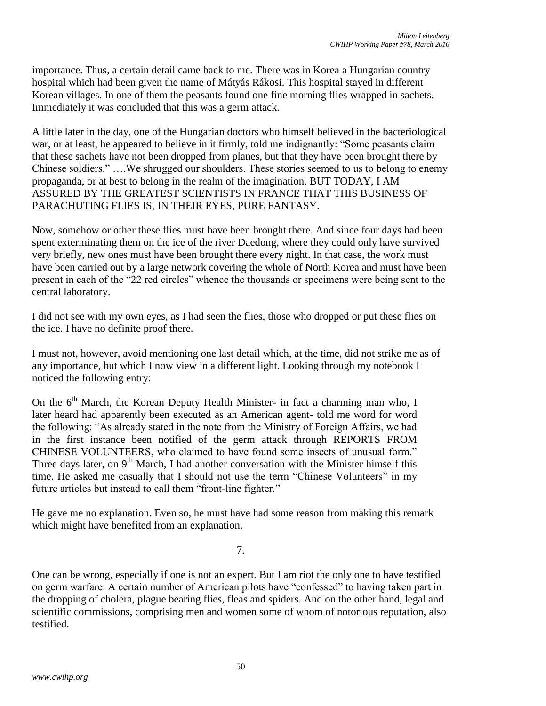importance. Thus, a certain detail came back to me. There was in Korea a Hungarian country hospital which had been given the name of Mátyás Rákosi. This hospital stayed in different Korean villages. In one of them the peasants found one fine morning flies wrapped in sachets. Immediately it was concluded that this was a germ attack.

A little later in the day, one of the Hungarian doctors who himself believed in the bacteriological war, or at least, he appeared to believe in it firmly, told me indignantly: "Some peasants claim that these sachets have not been dropped from planes, but that they have been brought there by Chinese soldiers." ….We shrugged our shoulders. These stories seemed to us to belong to enemy propaganda, or at best to belong in the realm of the imagination. BUT TODAY, I AM ASSURED BY THE GREATEST SCIENTISTS IN FRANCE THAT THIS BUSINESS OF PARACHUTING FLIES IS, IN THEIR EYES, PURE FANTASY.

Now, somehow or other these flies must have been brought there. And since four days had been spent exterminating them on the ice of the river Daedong, where they could only have survived very briefly, new ones must have been brought there every night. In that case, the work must have been carried out by a large network covering the whole of North Korea and must have been present in each of the "22 red circles" whence the thousands or specimens were being sent to the central laboratory.

I did not see with my own eyes, as I had seen the flies, those who dropped or put these flies on the ice. I have no definite proof there.

I must not, however, avoid mentioning one last detail which, at the time, did not strike me as of any importance, but which I now view in a different light. Looking through my notebook I noticed the following entry:

On the  $6<sup>th</sup>$  March, the Korean Deputy Health Minister- in fact a charming man who, I later heard had apparently been executed as an American agent- told me word for word the following: "As already stated in the note from the Ministry of Foreign Affairs, we had in the first instance been notified of the germ attack through REPORTS FROM CHINESE VOLUNTEERS, who claimed to have found some insects of unusual form." Three days later, on  $9<sup>th</sup>$  March, I had another conversation with the Minister himself this time. He asked me casually that I should not use the term "Chinese Volunteers" in my future articles but instead to call them "front-line fighter."

He gave me no explanation. Even so, he must have had some reason from making this remark which might have benefited from an explanation.

7.

One can be wrong, especially if one is not an expert. But I am riot the only one to have testified on germ warfare. A certain number of American pilots have "confessed" to having taken part in the dropping of cholera, plague bearing flies, fleas and spiders. And on the other hand, legal and scientific commissions, comprising men and women some of whom of notorious reputation, also testified.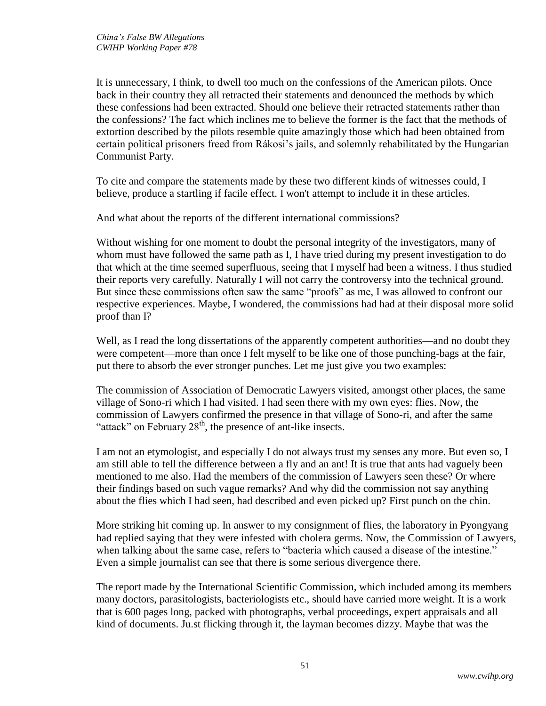It is unnecessary, I think, to dwell too much on the confessions of the American pilots. Once back in their country they all retracted their statements and denounced the methods by which these confessions had been extracted. Should one believe their retracted statements rather than the confessions? The fact which inclines me to believe the former is the fact that the methods of extortion described by the pilots resemble quite amazingly those which had been obtained from certain political prisoners freed from Rákosi's jails, and solemnly rehabilitated by the Hungarian Communist Party.

To cite and compare the statements made by these two different kinds of witnesses could, I believe, produce a startling if facile effect. I won't attempt to include it in these articles.

And what about the reports of the different international commissions?

Without wishing for one moment to doubt the personal integrity of the investigators, many of whom must have followed the same path as I, I have tried during my present investigation to do that which at the time seemed superfluous, seeing that I myself had been a witness. I thus studied their reports very carefully. Naturally I will not carry the controversy into the technical ground. But since these commissions often saw the same "proofs" as me, I was allowed to confront our respective experiences. Maybe, I wondered, the commissions had had at their disposal more solid proof than I?

Well, as I read the long dissertations of the apparently competent authorities—and no doubt they were competent—more than once I felt myself to be like one of those punching-bags at the fair, put there to absorb the ever stronger punches. Let me just give you two examples:

The commission of Association of Democratic Lawyers visited, amongst other places, the same village of Sono-ri which I had visited. I had seen there with my own eyes: flies. Now, the commission of Lawyers confirmed the presence in that village of Sono-ri, and after the same "attack" on February  $28<sup>th</sup>$ , the presence of ant-like insects.

I am not an etymologist, and especially I do not always trust my senses any more. But even so, I am still able to tell the difference between a fly and an ant! It is true that ants had vaguely been mentioned to me also. Had the members of the commission of Lawyers seen these? Or where their findings based on such vague remarks? And why did the commission not say anything about the flies which I had seen, had described and even picked up? First punch on the chin.

More striking hit coming up. In answer to my consignment of flies, the laboratory in Pyongyang had replied saying that they were infested with cholera germs. Now, the Commission of Lawyers, when talking about the same case, refers to "bacteria which caused a disease of the intestine." Even a simple journalist can see that there is some serious divergence there.

The report made by the International Scientific Commission, which included among its members many doctors, parasitologists, bacteriologists etc., should have carried more weight. It is a work that is 600 pages long, packed with photographs, verbal proceedings, expert appraisals and all kind of documents. Ju.st flicking through it, the layman becomes dizzy. Maybe that was the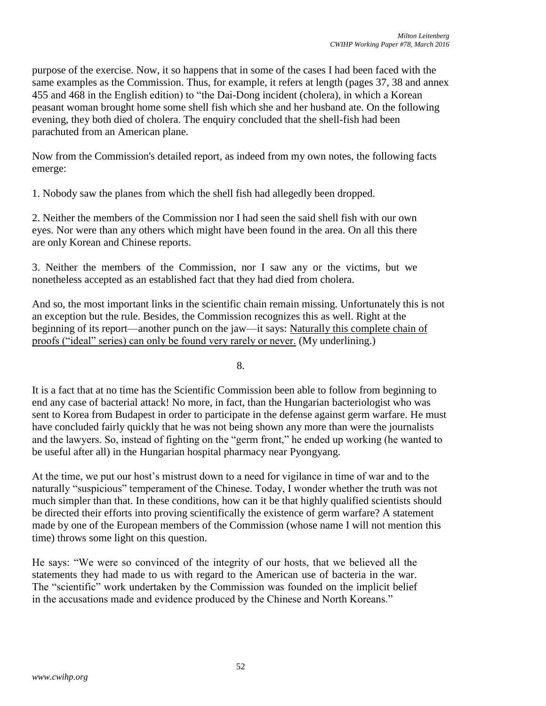purpose of the exercise. Now, it so happens that in some of the cases I had been faced with the same examples as the Commission. Thus, for example, it refers at length (pages 37, 38 and annex 455 and 468 in the English edition) to "the Dai-Dong incident (cholera), in which a Korean peasant woman brought home some shell fish which she and her husband ate. On the following evening, they both died of cholera. The enquiry concluded that the shell-fish had been parachuted from an American plane.

Now from the Commission's detailed report, as indeed from my own notes, the following facts emerge:

1. Nobody saw the planes from which the shell fish had allegedly been dropped.

2. Neither the members of the Commission nor I had seen the said shell fish with our own eyes. Nor were than any others which might have been found in the area. On all this there are only Korean and Chinese reports.

3. Neither the members of the Commission, nor I saw any or the victims, but we nonetheless accepted as an established fact that they had died from cholera.

And so, the most important links in the scientific chain remain missing. Unfortunately this is not an exception but the rule. Besides, the Commission recognizes this as well. Right at the beginning of its report—another punch on the jaw—it says: Naturally this complete chain of proofs ("ideal" series) can only be found very rarely or never. (My underlining.)

8.

It is a fact that at no time has the Scientific Commission been able to follow from beginning to end any case of bacterial attack! No more, in fact, than the Hungarian bacteriologist who was sent to Korea from Budapest in order to participate in the defense against germ warfare. He must have concluded fairly quickly that he was not being shown any more than were the journalists and the lawyers. So, instead of fighting on the "germ front," he ended up working (he wanted to be useful after all) in the Hungarian hospital pharmacy near Pyongyang.

At the time, we put our host's mistrust down to a need for vigilance in time of war and to the naturally "suspicious" temperament of the Chinese. Today, I wonder whether the truth was not much simpler than that. In these conditions, how can it be that highly qualified scientists should be directed their efforts into proving scientifically the existence of germ warfare? A statement made by one of the European members of the Commission (whose name I will not mention this time) throws some light on this question.

He says: "We were so convinced of the integrity of our hosts, that we believed all the statements they had made to us with regard to the American use of bacteria in the war. The "scientific" work undertaken by the Commission was founded on the implicit belief in the accusations made and evidence produced by the Chinese and North Koreans."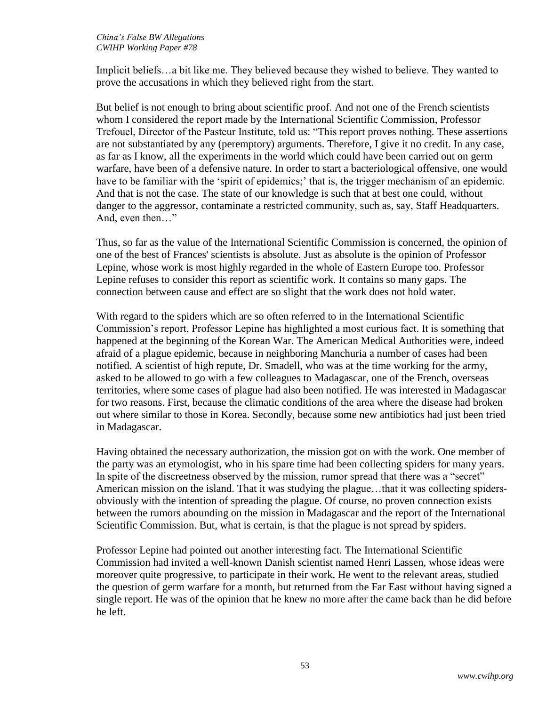#### *China's False BW Allegations CWIHP Working Paper #78*

Implicit beliefs…a bit like me. They believed because they wished to believe. They wanted to prove the accusations in which they believed right from the start.

But belief is not enough to bring about scientific proof. And not one of the French scientists whom I considered the report made by the International Scientific Commission, Professor Trefouel, Director of the Pasteur Institute, told us: "This report proves nothing. These assertions are not substantiated by any (peremptory) arguments. Therefore, I give it no credit. In any case, as far as I know, all the experiments in the world which could have been carried out on germ warfare, have been of a defensive nature. In order to start a bacteriological offensive, one would have to be familiar with the 'spirit of epidemics;' that is, the trigger mechanism of an epidemic. And that is not the case. The state of our knowledge is such that at best one could, without danger to the aggressor, contaminate a restricted community, such as, say, Staff Headquarters. And, even then…"

Thus, so far as the value of the International Scientific Commission is concerned, the opinion of one of the best of Frances' scientists is absolute. Just as absolute is the opinion of Professor Lepine, whose work is most highly regarded in the whole of Eastern Europe too. Professor Lepine refuses to consider this report as scientific work. It contains so many gaps. The connection between cause and effect are so slight that the work does not hold water.

With regard to the spiders which are so often referred to in the International Scientific Commission's report, Professor Lepine has highlighted a most curious fact. It is something that happened at the beginning of the Korean War. The American Medical Authorities were, indeed afraid of a plague epidemic, because in neighboring Manchuria a number of cases had been notified. A scientist of high repute, Dr. Smadell, who was at the time working for the army, asked to be allowed to go with a few colleagues to Madagascar, one of the French, overseas territories, where some cases of plague had also been notified. He was interested in Madagascar for two reasons. First, because the climatic conditions of the area where the disease had broken out where similar to those in Korea. Secondly, because some new antibiotics had just been tried in Madagascar.

Having obtained the necessary authorization, the mission got on with the work. One member of the party was an etymologist, who in his spare time had been collecting spiders for many years. In spite of the discreetness observed by the mission, rumor spread that there was a "secret" American mission on the island. That it was studying the plague...that it was collecting spidersobviously with the intention of spreading the plague. Of course, no proven connection exists between the rumors abounding on the mission in Madagascar and the report of the International Scientific Commission. But, what is certain, is that the plague is not spread by spiders.

Professor Lepine had pointed out another interesting fact. The International Scientific Commission had invited a well-known Danish scientist named Henri Lassen, whose ideas were moreover quite progressive, to participate in their work. He went to the relevant areas, studied the question of germ warfare for a month, but returned from the Far East without having signed a single report. He was of the opinion that he knew no more after the came back than he did before he left.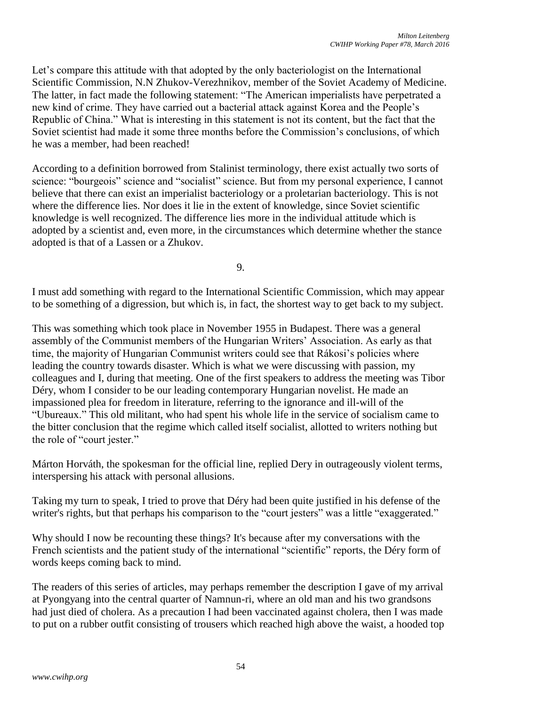Let's compare this attitude with that adopted by the only bacteriologist on the International Scientific Commission, N.N Zhukov-Verezhnikov, member of the Soviet Academy of Medicine. The latter, in fact made the following statement: "The American imperialists have perpetrated a new kind of crime. They have carried out a bacterial attack against Korea and the People's Republic of China." What is interesting in this statement is not its content, but the fact that the Soviet scientist had made it some three months before the Commission's conclusions, of which he was a member, had been reached!

According to a definition borrowed from Stalinist terminology, there exist actually two sorts of science: "bourgeois" science and "socialist" science. But from my personal experience, I cannot believe that there can exist an imperialist bacteriology or a proletarian bacteriology. This is not where the difference lies. Nor does it lie in the extent of knowledge, since Soviet scientific knowledge is well recognized. The difference lies more in the individual attitude which is adopted by a scientist and, even more, in the circumstances which determine whether the stance adopted is that of a Lassen or a Zhukov.

9.

I must add something with regard to the International Scientific Commission, which may appear to be something of a digression, but which is, in fact, the shortest way to get back to my subject.

This was something which took place in November 1955 in Budapest. There was a general assembly of the Communist members of the Hungarian Writers' Association. As early as that time, the majority of Hungarian Communist writers could see that Rákosi's policies where leading the country towards disaster. Which is what we were discussing with passion, my colleagues and I, during that meeting. One of the first speakers to address the meeting was Tibor Déry, whom I consider to be our leading contemporary Hungarian novelist. He made an impassioned plea for freedom in literature, referring to the ignorance and ill-will of the "Ubureaux." This old militant, who had spent his whole life in the service of socialism came to the bitter conclusion that the regime which called itself socialist, allotted to writers nothing but the role of "court jester."

Márton Horváth, the spokesman for the official line, replied Dery in outrageously violent terms, interspersing his attack with personal allusions.

Taking my turn to speak, I tried to prove that Déry had been quite justified in his defense of the writer's rights, but that perhaps his comparison to the "court jesters" was a little "exaggerated."

Why should I now be recounting these things? It's because after my conversations with the French scientists and the patient study of the international "scientific" reports, the Déry form of words keeps coming back to mind.

The readers of this series of articles, may perhaps remember the description I gave of my arrival at Pyongyang into the central quarter of Namnun-ri, where an old man and his two grandsons had just died of cholera. As a precaution I had been vaccinated against cholera, then I was made to put on a rubber outfit consisting of trousers which reached high above the waist, a hooded top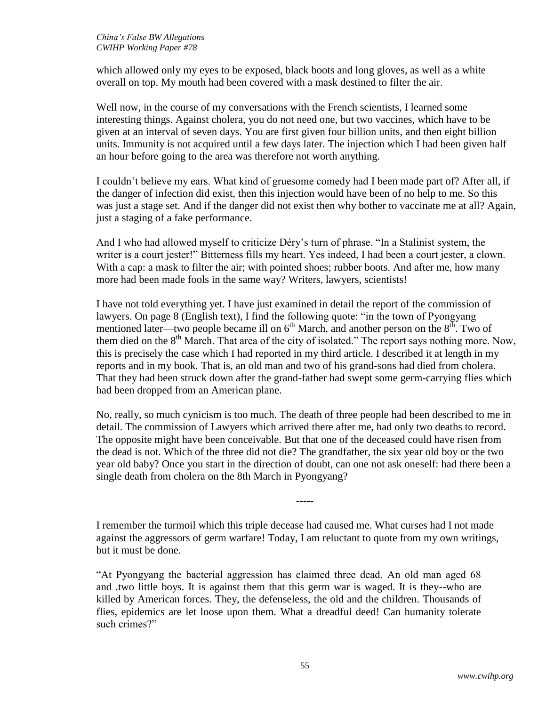which allowed only my eyes to be exposed, black boots and long gloves, as well as a white overall on top. My mouth had been covered with a mask destined to filter the air.

Well now, in the course of my conversations with the French scientists, I learned some interesting things. Against cholera, you do not need one, but two vaccines, which have to be given at an interval of seven days. You are first given four billion units, and then eight billion units. Immunity is not acquired until a few days later. The injection which I had been given half an hour before going to the area was therefore not worth anything.

I couldn't believe my ears. What kind of gruesome comedy had I been made part of? After all, if the danger of infection did exist, then this injection would have been of no help to me. So this was just a stage set. And if the danger did not exist then why bother to vaccinate me at all? Again, just a staging of a fake performance.

And I who had allowed myself to criticize Déry's turn of phrase. "In a Stalinist system, the writer is a court jester!" Bitterness fills my heart. Yes indeed, I had been a court jester, a clown. With a cap: a mask to filter the air; with pointed shoes; rubber boots. And after me, how many more had been made fools in the same way? Writers, lawyers, scientists!

I have not told everything yet. I have just examined in detail the report of the commission of lawyers. On page 8 (English text), I find the following quote: "in the town of Pyongyang mentioned later—two people became ill on  $6<sup>th</sup>$  March, and another person on the  $8<sup>th</sup>$ . Two of them died on the  $8<sup>th</sup>$  March. That area of the city of isolated." The report says nothing more. Now, this is precisely the case which I had reported in my third article. I described it at length in my reports and in my book. That is, an old man and two of his grand-sons had died from cholera. That they had been struck down after the grand-father had swept some germ-carrying flies which had been dropped from an American plane.

No, really, so much cynicism is too much. The death of three people had been described to me in detail. The commission of Lawyers which arrived there after me, had only two deaths to record. The opposite might have been conceivable. But that one of the deceased could have risen from the dead is not. Which of the three did not die? The grandfather, the six year old boy or the two year old baby? Once you start in the direction of doubt, can one not ask oneself: had there been a single death from cholera on the 8th March in Pyongyang?

-----

I remember the turmoil which this triple decease had caused me. What curses had I not made against the aggressors of germ warfare! Today, I am reluctant to quote from my own writings, but it must be done.

"At Pyongyang the bacterial aggression has claimed three dead. An old man aged 68 and .two little boys. It is against them that this germ war is waged. It is they--who are killed by American forces. They, the defenseless, the old and the children. Thousands of flies, epidemics are let loose upon them. What a dreadful deed! Can humanity tolerate such crimes?"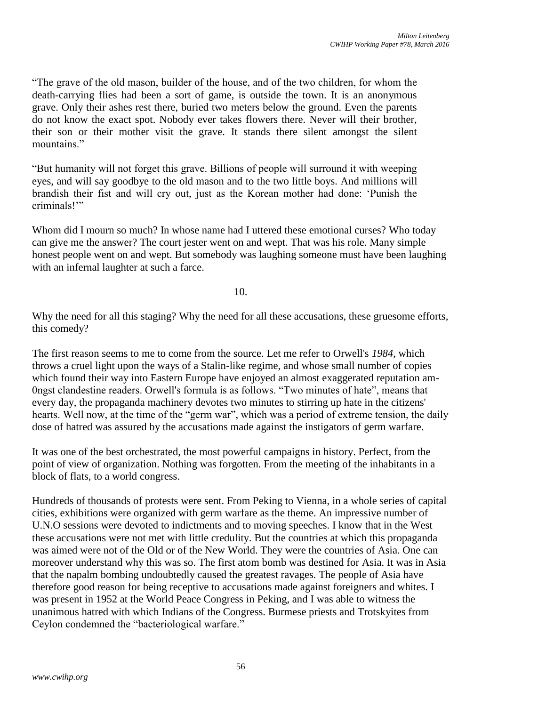"The grave of the old mason, builder of the house, and of the two children, for whom the death-carrying flies had been a sort of game, is outside the town. It is an anonymous grave. Only their ashes rest there, buried two meters below the ground. Even the parents do not know the exact spot. Nobody ever takes flowers there. Never will their brother, their son or their mother visit the grave. It stands there silent amongst the silent mountains<sup>"</sup>

"But humanity will not forget this grave. Billions of people will surround it with weeping eyes, and will say goodbye to the old mason and to the two little boys. And millions will brandish their fist and will cry out, just as the Korean mother had done: 'Punish the criminals!"

Whom did I mourn so much? In whose name had I uttered these emotional curses? Who today can give me the answer? The court jester went on and wept. That was his role. Many simple honest people went on and wept. But somebody was laughing someone must have been laughing with an infernal laughter at such a farce.

10.

Why the need for all this staging? Why the need for all these accusations, these gruesome efforts, this comedy?

The first reason seems to me to come from the source. Let me refer to Orwell's *1984*, which throws a cruel light upon the ways of a Stalin-like regime, and whose small number of copies which found their way into Eastern Europe have enjoyed an almost exaggerated reputation am-0ngst clandestine readers. Orwell's formula is as follows. "Two minutes of hate", means that every day, the propaganda machinery devotes two minutes to stirring up hate in the citizens' hearts. Well now, at the time of the "germ war", which was a period of extreme tension, the daily dose of hatred was assured by the accusations made against the instigators of germ warfare.

It was one of the best orchestrated, the most powerful campaigns in history. Perfect, from the point of view of organization. Nothing was forgotten. From the meeting of the inhabitants in a block of flats, to a world congress.

Hundreds of thousands of protests were sent. From Peking to Vienna, in a whole series of capital cities, exhibitions were organized with germ warfare as the theme. An impressive number of U.N.O sessions were devoted to indictments and to moving speeches. I know that in the West these accusations were not met with little credulity. But the countries at which this propaganda was aimed were not of the Old or of the New World. They were the countries of Asia. One can moreover understand why this was so. The first atom bomb was destined for Asia. It was in Asia that the napalm bombing undoubtedly caused the greatest ravages. The people of Asia have therefore good reason for being receptive to accusations made against foreigners and whites. I was present in 1952 at the World Peace Congress in Peking, and I was able to witness the unanimous hatred with which Indians of the Congress. Burmese priests and Trotskyites from Ceylon condemned the "bacteriological warfare."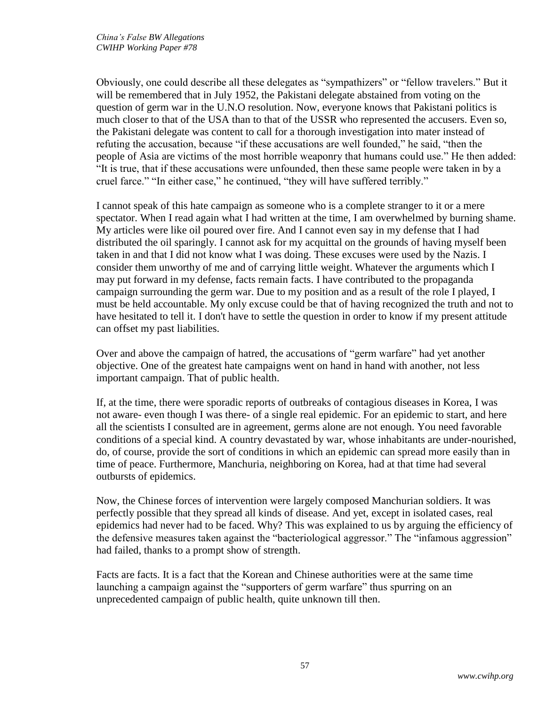Obviously, one could describe all these delegates as "sympathizers" or "fellow travelers." But it will be remembered that in July 1952, the Pakistani delegate abstained from voting on the question of germ war in the U.N.O resolution. Now, everyone knows that Pakistani politics is much closer to that of the USA than to that of the USSR who represented the accusers. Even so, the Pakistani delegate was content to call for a thorough investigation into mater instead of refuting the accusation, because "if these accusations are well founded," he said, "then the people of Asia are victims of the most horrible weaponry that humans could use." He then added: "It is true, that if these accusations were unfounded, then these same people were taken in by a cruel farce." "In either case," he continued, "they will have suffered terribly."

I cannot speak of this hate campaign as someone who is a complete stranger to it or a mere spectator. When I read again what I had written at the time, I am overwhelmed by burning shame. My articles were like oil poured over fire. And I cannot even say in my defense that I had distributed the oil sparingly. I cannot ask for my acquittal on the grounds of having myself been taken in and that I did not know what I was doing. These excuses were used by the Nazis. I consider them unworthy of me and of carrying little weight. Whatever the arguments which I may put forward in my defense, facts remain facts. I have contributed to the propaganda campaign surrounding the germ war. Due to my position and as a result of the role I played, I must be held accountable. My only excuse could be that of having recognized the truth and not to have hesitated to tell it. I don't have to settle the question in order to know if my present attitude can offset my past liabilities.

Over and above the campaign of hatred, the accusations of "germ warfare" had yet another objective. One of the greatest hate campaigns went on hand in hand with another, not less important campaign. That of public health.

If, at the time, there were sporadic reports of outbreaks of contagious diseases in Korea, I was not aware- even though I was there- of a single real epidemic. For an epidemic to start, and here all the scientists I consulted are in agreement, germs alone are not enough. You need favorable conditions of a special kind. A country devastated by war, whose inhabitants are under-nourished, do, of course, provide the sort of conditions in which an epidemic can spread more easily than in time of peace. Furthermore, Manchuria, neighboring on Korea, had at that time had several outbursts of epidemics.

Now, the Chinese forces of intervention were largely composed Manchurian soldiers. It was perfectly possible that they spread all kinds of disease. And yet, except in isolated cases, real epidemics had never had to be faced. Why? This was explained to us by arguing the efficiency of the defensive measures taken against the "bacteriological aggressor." The "infamous aggression" had failed, thanks to a prompt show of strength.

Facts are facts. It is a fact that the Korean and Chinese authorities were at the same time launching a campaign against the "supporters of germ warfare" thus spurring on an unprecedented campaign of public health, quite unknown till then.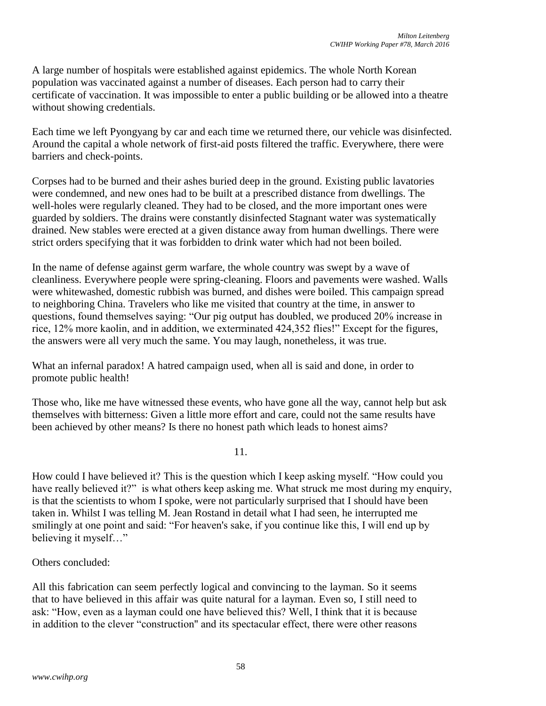A large number of hospitals were established against epidemics. The whole North Korean population was vaccinated against a number of diseases. Each person had to carry their certificate of vaccination. It was impossible to enter a public building or be allowed into a theatre without showing credentials.

Each time we left Pyongyang by car and each time we returned there, our vehicle was disinfected. Around the capital a whole network of first-aid posts filtered the traffic. Everywhere, there were barriers and check-points.

Corpses had to be burned and their ashes buried deep in the ground. Existing public lavatories were condemned, and new ones had to be built at a prescribed distance from dwellings. The well-holes were regularly cleaned. They had to be closed, and the more important ones were guarded by soldiers. The drains were constantly disinfected Stagnant water was systematically drained. New stables were erected at a given distance away from human dwellings. There were strict orders specifying that it was forbidden to drink water which had not been boiled.

In the name of defense against germ warfare, the whole country was swept by a wave of cleanliness. Everywhere people were spring-cleaning. Floors and pavements were washed. Walls were whitewashed, domestic rubbish was burned, and dishes were boiled. This campaign spread to neighboring China. Travelers who like me visited that country at the time, in answer to questions, found themselves saying: "Our pig output has doubled, we produced 20% increase in rice, 12% more kaolin, and in addition, we exterminated 424,352 flies!" Except for the figures, the answers were all very much the same. You may laugh, nonetheless, it was true.

What an infernal paradox! A hatred campaign used, when all is said and done, in order to promote public health!

Those who, like me have witnessed these events, who have gone all the way, cannot help but ask themselves with bitterness: Given a little more effort and care, could not the same results have been achieved by other means? Is there no honest path which leads to honest aims?

11.

How could I have believed it? This is the question which I keep asking myself. "How could you have really believed it?" is what others keep asking me. What struck me most during my enquiry, is that the scientists to whom I spoke, were not particularly surprised that I should have been taken in. Whilst I was telling M. Jean Rostand in detail what I had seen, he interrupted me smilingly at one point and said: "For heaven's sake, if you continue like this, I will end up by believing it myself…"

Others concluded:

All this fabrication can seem perfectly logical and convincing to the layman. So it seems that to have believed in this affair was quite natural for a layman. Even so, I still need to ask: "How, even as a layman could one have believed this? Well, I think that it is because in addition to the clever "construction'' and its spectacular effect, there were other reasons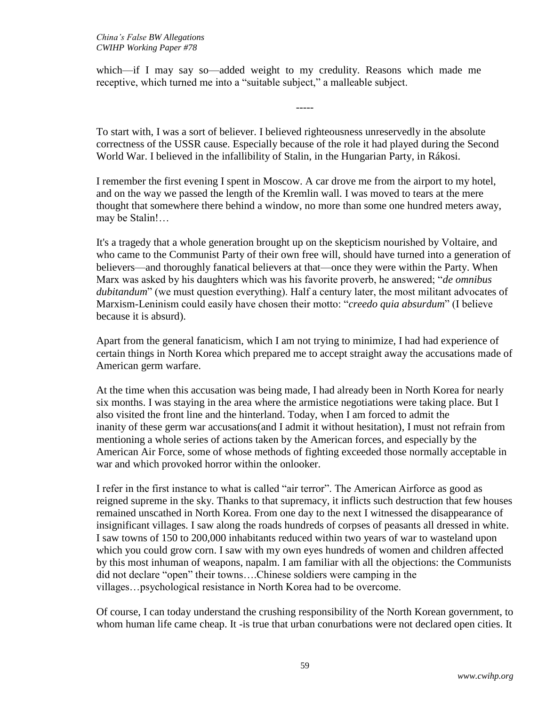which—if I may say so—added weight to my credulity. Reasons which made me receptive, which turned me into a "suitable subject," a malleable subject.

To start with, I was a sort of believer. I believed righteousness unreservedly in the absolute correctness of the USSR cause. Especially because of the role it had played during the Second World War. I believed in the infallibility of Stalin, in the Hungarian Party, in Rákosi.

-----

I remember the first evening I spent in Moscow. A car drove me from the airport to my hotel, and on the way we passed the length of the Kremlin wall. I was moved to tears at the mere thought that somewhere there behind a window, no more than some one hundred meters away, may be Stalin!…

It's a tragedy that a whole generation brought up on the skepticism nourished by Voltaire, and who came to the Communist Party of their own free will, should have turned into a generation of believers—and thoroughly fanatical believers at that—once they were within the Party. When Marx was asked by his daughters which was his favorite proverb, he answered; "*de omnibus dubitandum*" (we must question everything). Half a century later, the most militant advocates of Marxism-Leninism could easily have chosen their motto: "*creedo quia absurdum*" (I believe because it is absurd).

Apart from the general fanaticism, which I am not trying to minimize, I had had experience of certain things in North Korea which prepared me to accept straight away the accusations made of American germ warfare.

At the time when this accusation was being made, I had already been in North Korea for nearly six months. I was staying in the area where the armistice negotiations were taking place. But I also visited the front line and the hinterland. Today, when I am forced to admit the inanity of these germ war accusations(and I admit it without hesitation), I must not refrain from mentioning a whole series of actions taken by the American forces, and especially by the American Air Force, some of whose methods of fighting exceeded those normally acceptable in war and which provoked horror within the onlooker.

I refer in the first instance to what is called "air terror". The American Airforce as good as reigned supreme in the sky. Thanks to that supremacy, it inflicts such destruction that few houses remained unscathed in North Korea. From one day to the next I witnessed the disappearance of insignificant villages. I saw along the roads hundreds of corpses of peasants all dressed in white. I saw towns of 150 to 200,000 inhabitants reduced within two years of war to wasteland upon which you could grow corn. I saw with my own eyes hundreds of women and children affected by this most inhuman of weapons, napalm. I am familiar with all the objections: the Communists did not declare "open" their towns….Chinese soldiers were camping in the villages…psychological resistance in North Korea had to be overcome.

Of course, I can today understand the crushing responsibility of the North Korean government, to whom human life came cheap. It -is true that urban conurbations were not declared open cities. It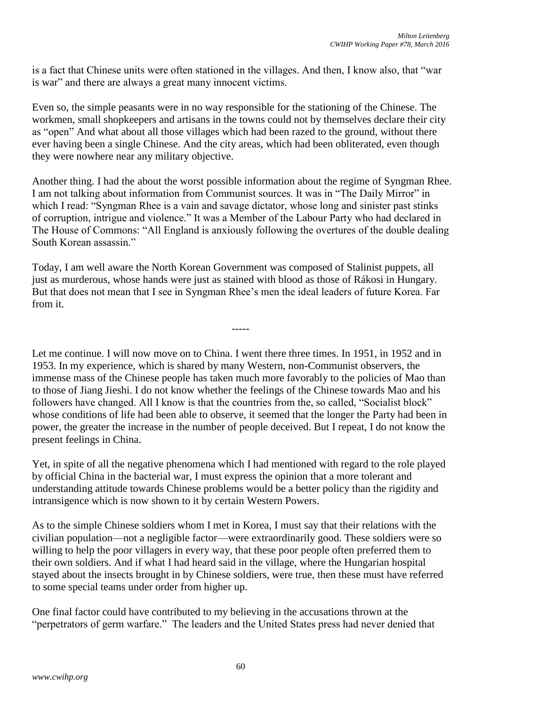is a fact that Chinese units were often stationed in the villages. And then, I know also, that "war is war" and there are always a great many innocent victims.

Even so, the simple peasants were in no way responsible for the stationing of the Chinese. The workmen, small shopkeepers and artisans in the towns could not by themselves declare their city as "open" And what about all those villages which had been razed to the ground, without there ever having been a single Chinese. And the city areas, which had been obliterated, even though they were nowhere near any military objective.

Another thing. I had the about the worst possible information about the regime of Syngman Rhee. I am not talking about information from Communist sources. It was in "The Daily Mirror" in which I read: "Syngman Rhee is a vain and savage dictator, whose long and sinister past stinks of corruption, intrigue and violence." It was a Member of the Labour Party who had declared in The House of Commons: "All England is anxiously following the overtures of the double dealing South Korean assassin."

Today, I am well aware the North Korean Government was composed of Stalinist puppets, all just as murderous, whose hands were just as stained with blood as those of Rákosi in Hungary. But that does not mean that I see in Syngman Rhee's men the ideal leaders of future Korea. Far from it.

-----

Let me continue. I will now move on to China. I went there three times. In 1951, in 1952 and in 1953. In my experience, which is shared by many Western, non-Communist observers, the immense mass of the Chinese people has taken much more favorably to the policies of Mao than to those of Jiang Jieshi. I do not know whether the feelings of the Chinese towards Mao and his followers have changed. All I know is that the countries from the, so called, "Socialist block" whose conditions of life had been able to observe, it seemed that the longer the Party had been in power, the greater the increase in the number of people deceived. But I repeat, I do not know the present feelings in China.

Yet, in spite of all the negative phenomena which I had mentioned with regard to the role played by official China in the bacterial war, I must express the opinion that a more tolerant and understanding attitude towards Chinese problems would be a better policy than the rigidity and intransigence which is now shown to it by certain Western Powers.

As to the simple Chinese soldiers whom I met in Korea, I must say that their relations with the civilian population—not a negligible factor—were extraordinarily good. These soldiers were so willing to help the poor villagers in every way, that these poor people often preferred them to their own soldiers. And if what I had heard said in the village, where the Hungarian hospital stayed about the insects brought in by Chinese soldiers, were true, then these must have referred to some special teams under order from higher up.

One final factor could have contributed to my believing in the accusations thrown at the "perpetrators of germ warfare." The leaders and the United States press had never denied that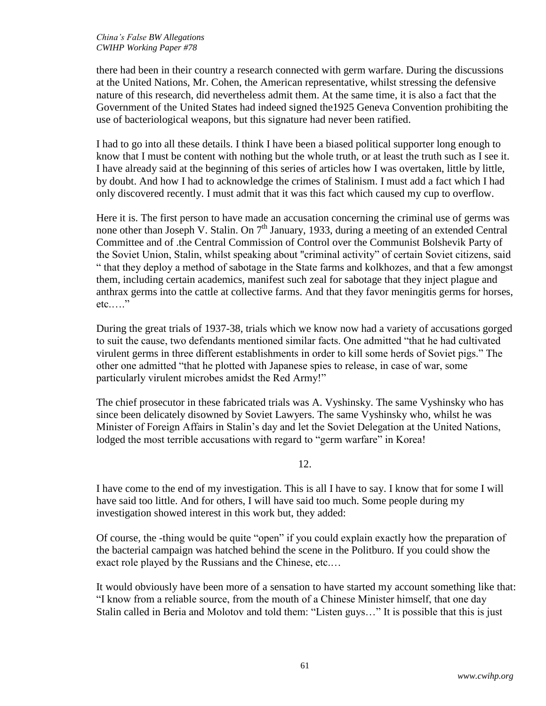there had been in their country a research connected with germ warfare. During the discussions at the United Nations, Mr. Cohen, the American representative, whilst stressing the defensive nature of this research, did nevertheless admit them. At the same time, it is also a fact that the Government of the United States had indeed signed the1925 Geneva Convention prohibiting the use of bacteriological weapons, but this signature had never been ratified.

I had to go into all these details. I think I have been a biased political supporter long enough to know that I must be content with nothing but the whole truth, or at least the truth such as I see it. I have already said at the beginning of this series of articles how I was overtaken, little by little, by doubt. And how I had to acknowledge the crimes of Stalinism. I must add a fact which I had only discovered recently. I must admit that it was this fact which caused my cup to overflow.

Here it is. The first person to have made an accusation concerning the criminal use of germs was none other than Joseph V. Stalin. On 7<sup>th</sup> January, 1933, during a meeting of an extended Central Committee and of .the Central Commission of Control over the Communist Bolshevik Party of the Soviet Union, Stalin, whilst speaking about ''criminal activity" of certain Soviet citizens, said " that they deploy a method of sabotage in the State farms and kolkhozes, and that a few amongst them, including certain academics, manifest such zeal for sabotage that they inject plague and anthrax germs into the cattle at collective farms. And that they favor meningitis germs for horses, etc.…."

During the great trials of 1937-38, trials which we know now had a variety of accusations gorged to suit the cause, two defendants mentioned similar facts. One admitted "that he had cultivated virulent germs in three different establishments in order to kill some herds of Soviet pigs." The other one admitted "that he plotted with Japanese spies to release, in case of war, some particularly virulent microbes amidst the Red Army!"

The chief prosecutor in these fabricated trials was A. Vyshinsky. The same Vyshinsky who has since been delicately disowned by Soviet Lawyers. The same Vyshinsky who, whilst he was Minister of Foreign Affairs in Stalin's day and let the Soviet Delegation at the United Nations, lodged the most terrible accusations with regard to "germ warfare" in Korea!

12.

I have come to the end of my investigation. This is all I have to say. I know that for some I will have said too little. And for others, I will have said too much. Some people during my investigation showed interest in this work but, they added:

Of course, the -thing would be quite "open" if you could explain exactly how the preparation of the bacterial campaign was hatched behind the scene in the Politburo. If you could show the exact role played by the Russians and the Chinese, etc.…

It would obviously have been more of a sensation to have started my account something like that: "I know from a reliable source, from the mouth of a Chinese Minister himself, that one day Stalin called in Beria and Molotov and told them: "Listen guys…" It is possible that this is just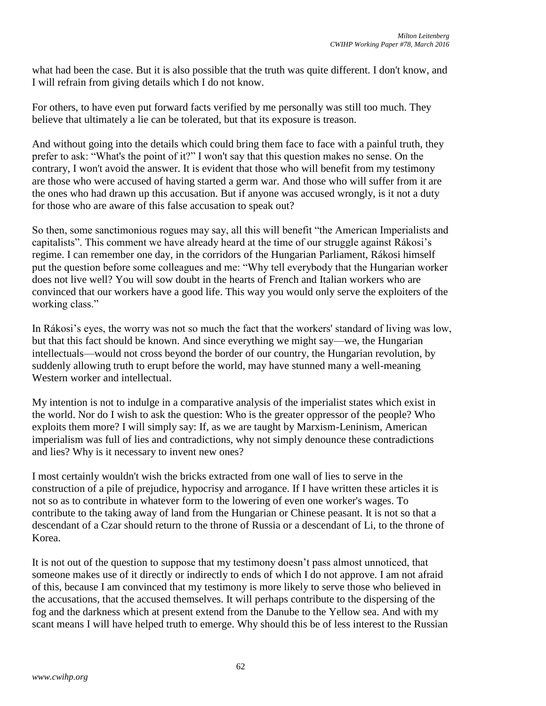what had been the case. But it is also possible that the truth was quite different. I don't know, and I will refrain from giving details which I do not know.

For others, to have even put forward facts verified by me personally was still too much. They believe that ultimately a lie can be tolerated, but that its exposure is treason.

And without going into the details which could bring them face to face with a painful truth, they prefer to ask: "What's the point of it?" I won't say that this question makes no sense. On the contrary, I won't avoid the answer. It is evident that those who will benefit from my testimony are those who were accused of having started a germ war. And those who will suffer from it are the ones who had drawn up this accusation. But if anyone was accused wrongly, is it not a duty for those who are aware of this false accusation to speak out?

So then, some sanctimonious rogues may say, all this will benefit "the American Imperialists and capitalists". This comment we have already heard at the time of our struggle against Rákosi's regime. I can remember one day, in the corridors of the Hungarian Parliament, Rákosi himself put the question before some colleagues and me: "Why tell everybody that the Hungarian worker does not live well? You will sow doubt in the hearts of French and Italian workers who are convinced that our workers have a good life. This way you would only serve the exploiters of the working class."

In Rákosi's eyes, the worry was not so much the fact that the workers' standard of living was low, but that this fact should be known. And since everything we might say—we, the Hungarian intellectuals—would not cross beyond the border of our country, the Hungarian revolution, by suddenly allowing truth to erupt before the world, may have stunned many a well-meaning Western worker and intellectual.

My intention is not to indulge in a comparative analysis of the imperialist states which exist in the world. Nor do I wish to ask the question: Who is the greater oppressor of the people? Who exploits them more? I will simply say: If, as we are taught by Marxism-Leninism, American imperialism was full of lies and contradictions, why not simply denounce these contradictions and lies? Why is it necessary to invent new ones?

I most certainly wouldn't wish the bricks extracted from one wall of lies to serve in the construction of a pile of prejudice, hypocrisy and arrogance. If I have written these articles it is not so as to contribute in whatever form to the lowering of even one worker's wages. To contribute to the taking away of land from the Hungarian or Chinese peasant. It is not so that a descendant of a Czar should return to the throne of Russia or a descendant of Li, to the throne of Korea.

It is not out of the question to suppose that my testimony doesn't pass almost unnoticed, that someone makes use of it directly or indirectly to ends of which I do not approve. I am not afraid of this, because I am convinced that my testimony is more likely to serve those who believed in the accusations, that the accused themselves. It will perhaps contribute to the dispersing of the fog and the darkness which at present extend from the Danube to the Yellow sea. And with my scant means I will have helped truth to emerge. Why should this be of less interest to the Russian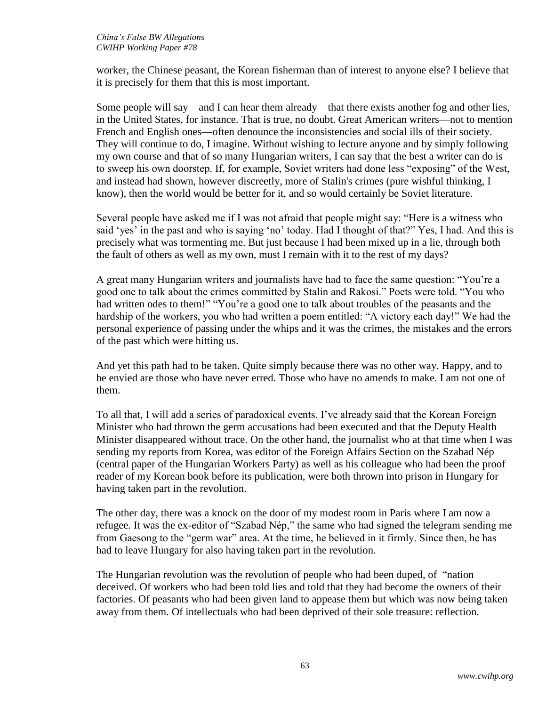worker, the Chinese peasant, the Korean fisherman than of interest to anyone else? I believe that it is precisely for them that this is most important.

Some people will say—and I can hear them already—that there exists another fog and other lies, in the United States, for instance. That is true, no doubt. Great American writers—not to mention French and English ones—often denounce the inconsistencies and social ills of their society. They will continue to do, I imagine. Without wishing to lecture anyone and by simply following my own course and that of so many Hungarian writers, I can say that the best a writer can do is to sweep his own doorstep. If, for example, Soviet writers had done less "exposing" of the West, and instead had shown, however discreetly, more of Stalin's crimes (pure wishful thinking, I know), then the world would be better for it, and so would certainly be Soviet literature.

Several people have asked me if I was not afraid that people might say: "Here is a witness who said 'yes' in the past and who is saying 'no' today. Had I thought of that?" Yes, I had. And this is precisely what was tormenting me. But just because I had been mixed up in a lie, through both the fault of others as well as my own, must I remain with it to the rest of my days?

A great many Hungarian writers and journalists have had to face the same question: "You're a good one to talk about the crimes committed by Stalin and Rakosi." Poets were told. "You who had written odes to them!" "You're a good one to talk about troubles of the peasants and the hardship of the workers, you who had written a poem entitled: "A victory each day!" We had the personal experience of passing under the whips and it was the crimes, the mistakes and the errors of the past which were hitting us.

And yet this path had to be taken. Quite simply because there was no other way. Happy, and to be envied are those who have never erred. Those who have no amends to make. I am not one of them.

To all that, I will add a series of paradoxical events. I've already said that the Korean Foreign Minister who had thrown the germ accusations had been executed and that the Deputy Health Minister disappeared without trace. On the other hand, the journalist who at that time when I was sending my reports from Korea, was editor of the Foreign Affairs Section on the Szabad Nép (central paper of the Hungarian Workers Party) as well as his colleague who had been the proof reader of my Korean book before its publication, were both thrown into prison in Hungary for having taken part in the revolution.

The other day, there was a knock on the door of my modest room in Paris where I am now a refugee. It was the ex-editor of "Szabad Nép," the same who had signed the telegram sending me from Gaesong to the "germ war" area. At the time, he believed in it firmly. Since then, he has had to leave Hungary for also having taken part in the revolution.

The Hungarian revolution was the revolution of people who had been duped, of "nation deceived. Of workers who had been told lies and told that they had become the owners of their factories. Of peasants who had been given land to appease them but which was now being taken away from them. Of intellectuals who had been deprived of their sole treasure: reflection.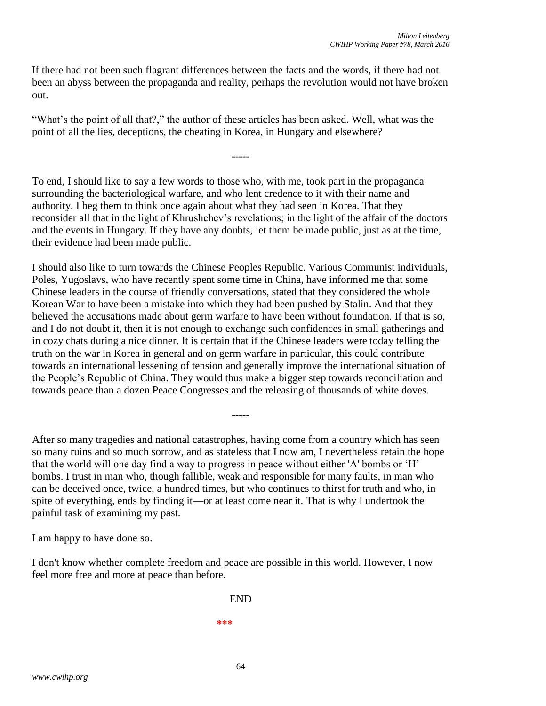If there had not been such flagrant differences between the facts and the words, if there had not been an abyss between the propaganda and reality, perhaps the revolution would not have broken out.

"What's the point of all that?," the author of these articles has been asked. Well, what was the point of all the lies, deceptions, the cheating in Korea, in Hungary and elsewhere?

To end, I should like to say a few words to those who, with me, took part in the propaganda surrounding the bacteriological warfare, and who lent credence to it with their name and authority. I beg them to think once again about what they had seen in Korea. That they reconsider all that in the light of Khrushchev's revelations; in the light of the affair of the doctors and the events in Hungary. If they have any doubts, let them be made public, just as at the time, their evidence had been made public.

-----

I should also like to turn towards the Chinese Peoples Republic. Various Communist individuals, Poles, Yugoslavs, who have recently spent some time in China, have informed me that some Chinese leaders in the course of friendly conversations, stated that they considered the whole Korean War to have been a mistake into which they had been pushed by Stalin. And that they believed the accusations made about germ warfare to have been without foundation. If that is so, and I do not doubt it, then it is not enough to exchange such confidences in small gatherings and in cozy chats during a nice dinner. It is certain that if the Chinese leaders were today telling the truth on the war in Korea in general and on germ warfare in particular, this could contribute towards an international lessening of tension and generally improve the international situation of the People's Republic of China. They would thus make a bigger step towards reconciliation and towards peace than a dozen Peace Congresses and the releasing of thousands of white doves.

After so many tragedies and national catastrophes, having come from a country which has seen so many ruins and so much sorrow, and as stateless that I now am, I nevertheless retain the hope that the world will one day find a way to progress in peace without either 'A' bombs or 'H' bombs. I trust in man who, though fallible, weak and responsible for many faults, in man who can be deceived once, twice, a hundred times, but who continues to thirst for truth and who, in spite of everything, ends by finding it—or at least come near it. That is why I undertook the painful task of examining my past.

-----

I am happy to have done so.

I don't know whether complete freedom and peace are possible in this world. However, I now feel more free and more at peace than before.

END

**\*\*\***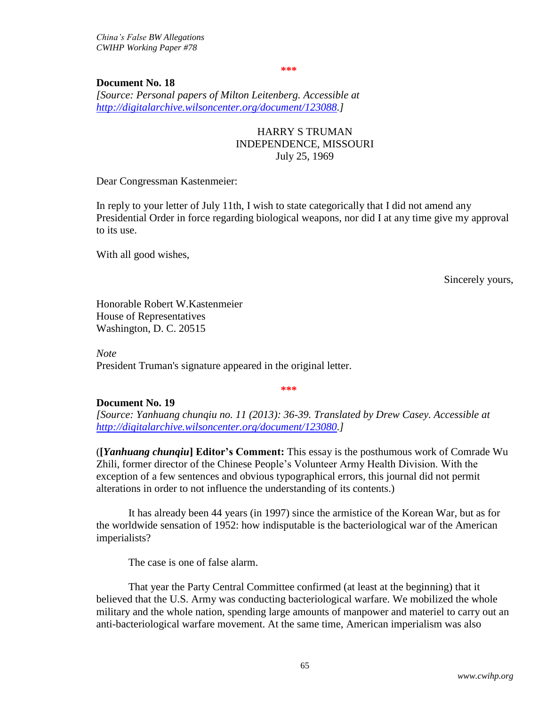*China's False BW Allegations CWIHP Working Paper #78*

**\*\*\***

**Document No. 18** *[Source: Personal papers of Milton Leitenberg. Accessible at [http://digitalarchive.wilsoncenter.org/document/123088.](http://digitalarchive.wilsoncenter.org/document/123088)]*

## HARRY S TRUMAN INDEPENDENCE, MISSOURI July 25, 1969

Dear Congressman Kastenmeier:

In reply to your letter of July 11th, I wish to state categorically that I did not amend any Presidential Order in force regarding biological weapons, nor did I at any time give my approval to its use.

With all good wishes,

Sincerely yours,

Honorable Robert W.Kastenmeier House of Representatives Washington, D. C. 20515

*Note* President Truman's signature appeared in the original letter.

**\*\*\***

## **Document No. 19**

*[Source: Yanhuang chunqiu no. 11 (2013): 36-39. Translated by Drew Casey. Accessible at [http://digitalarchive.wilsoncenter.org/document/123080.](http://digitalarchive.wilsoncenter.org/document/123080)]*

(**[***Yanhuang chunqiu***] Editor's Comment:** This essay is the posthumous work of Comrade Wu Zhili, former director of the Chinese People's Volunteer Army Health Division. With the exception of a few sentences and obvious typographical errors, this journal did not permit alterations in order to not influence the understanding of its contents.)

It has already been 44 years (in 1997) since the armistice of the Korean War, but as for the worldwide sensation of 1952: how indisputable is the bacteriological war of the American imperialists?

The case is one of false alarm.

That year the Party Central Committee confirmed (at least at the beginning) that it believed that the U.S. Army was conducting bacteriological warfare. We mobilized the whole military and the whole nation, spending large amounts of manpower and materiel to carry out an anti-bacteriological warfare movement. At the same time, American imperialism was also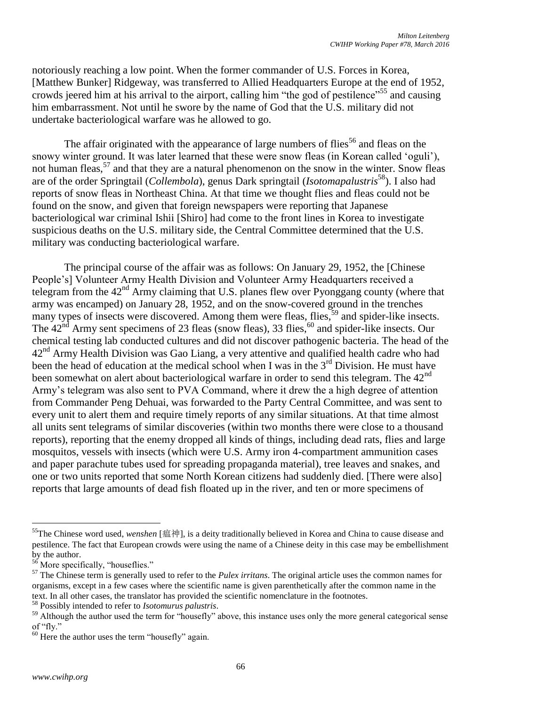notoriously reaching a low point. When the former commander of U.S. Forces in Korea, [Matthew Bunker] Ridgeway, was transferred to Allied Headquarters Europe at the end of 1952, crowds jeered him at his arrival to the airport, calling him "the god of pestilence"<sup>55</sup> and causing him embarrassment. Not until he swore by the name of God that the U.S. military did not undertake bacteriological warfare was he allowed to go.

The affair originated with the appearance of large numbers of flies<sup>56</sup> and fleas on the snowy winter ground. It was later learned that these were snow fleas (in Korean called 'oguli'), not human fleas,  $57$  and that they are a natural phenomenon on the snow in the winter. Snow fleas are of the order Springtail (*Collembola*), genus Dark springtail (*Isotomapalustris*<sup>58</sup>). I also had reports of snow fleas in Northeast China. At that time we thought flies and fleas could not be found on the snow, and given that foreign newspapers were reporting that Japanese bacteriological war criminal Ishii [Shiro] had come to the front lines in Korea to investigate suspicious deaths on the U.S. military side, the Central Committee determined that the U.S. military was conducting bacteriological warfare.

The principal course of the affair was as follows: On January 29, 1952, the [Chinese People's] Volunteer Army Health Division and Volunteer Army Headquarters received a telegram from the 42<sup>nd</sup> Army claiming that U.S. planes flew over Pyonggang county (where that army was encamped) on January 28, 1952, and on the snow-covered ground in the trenches many types of insects were discovered. Among them were fleas, flies,<sup>59</sup> and spider-like insects. The  $42<sup>nd</sup>$  Army sent specimens of 23 fleas (snow fleas), 33 flies,  $<sup>60</sup>$  and spider-like insects. Our</sup> chemical testing lab conducted cultures and did not discover pathogenic bacteria. The head of the 42<sup>nd</sup> Army Health Division was Gao Liang, a very attentive and qualified health cadre who had been the head of education at the medical school when I was in the  $3<sup>rd</sup>$  Division. He must have been somewhat on alert about bacteriological warfare in order to send this telegram. The  $42<sup>nd</sup>$ Army's telegram was also sent to PVA Command, where it drew the a high degree of attention from Commander Peng Dehuai, was forwarded to the Party Central Committee, and was sent to every unit to alert them and require timely reports of any similar situations. At that time almost all units sent telegrams of similar discoveries (within two months there were close to a thousand reports), reporting that the enemy dropped all kinds of things, including dead rats, flies and large mosquitos, vessels with insects (which were U.S. Army iron 4-compartment ammunition cases and paper parachute tubes used for spreading propaganda material), tree leaves and snakes, and one or two units reported that some North Korean citizens had suddenly died. [There were also] reports that large amounts of dead fish floated up in the river, and ten or more specimens of

<sup>55</sup>The Chinese word used, *wenshen* [瘟神], is a deity traditionally believed in Korea and China to cause disease and pestilence. The fact that European crowds were using the name of a Chinese deity in this case may be embellishment by the author.

 $56$  More specifically, "houseflies."

<sup>57</sup> The Chinese term is generally used to refer to the *Pulex irritans*. The original article uses the common names for organisms, except in a few cases where the scientific name is given parenthetically after the common name in the text. In all other cases, the translator has provided the scientific nomenclature in the footnotes.

<sup>58</sup> Possibly intended to refer to *Isotomurus palustris*.

<sup>&</sup>lt;sup>59</sup> Although the author used the term for "housefly" above, this instance uses only the more general categorical sense  $of "fly."$ 

 $60$  Here the author uses the term "housefly" again.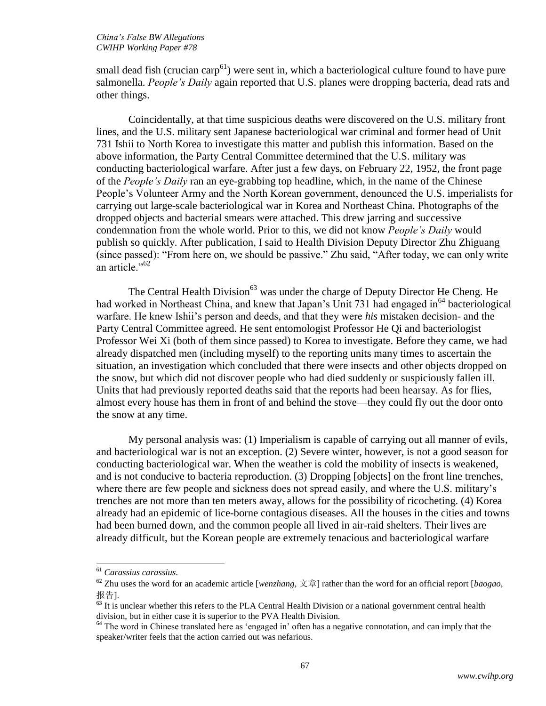small dead fish (crucian carp<sup>61</sup>) were sent in, which a bacteriological culture found to have pure salmonella. *People's Daily* again reported that U.S. planes were dropping bacteria, dead rats and other things.

Coincidentally, at that time suspicious deaths were discovered on the U.S. military front lines, and the U.S. military sent Japanese bacteriological war criminal and former head of Unit 731 Ishii to North Korea to investigate this matter and publish this information. Based on the above information, the Party Central Committee determined that the U.S. military was conducting bacteriological warfare. After just a few days, on February 22, 1952, the front page of the *People's Daily* ran an eye-grabbing top headline, which, in the name of the Chinese People's Volunteer Army and the North Korean government, denounced the U.S. imperialists for carrying out large-scale bacteriological war in Korea and Northeast China. Photographs of the dropped objects and bacterial smears were attached. This drew jarring and successive condemnation from the whole world. Prior to this, we did not know *People's Daily* would publish so quickly. After publication, I said to Health Division Deputy Director Zhu Zhiguang (since passed): "From here on, we should be passive." Zhu said, "After today, we can only write an article $^{5,62}$ 

The Central Health Division<sup>63</sup> was under the charge of Deputy Director He Cheng. He had worked in Northeast China, and knew that Japan's Unit 731 had engaged in<sup>64</sup> bacteriological warfare. He knew Ishii's person and deeds, and that they were *his* mistaken decision- and the Party Central Committee agreed. He sent entomologist Professor He Qi and bacteriologist Professor Wei Xi (both of them since passed) to Korea to investigate. Before they came, we had already dispatched men (including myself) to the reporting units many times to ascertain the situation, an investigation which concluded that there were insects and other objects dropped on the snow, but which did not discover people who had died suddenly or suspiciously fallen ill. Units that had previously reported deaths said that the reports had been hearsay. As for flies, almost every house has them in front of and behind the stove—they could fly out the door onto the snow at any time.

My personal analysis was: (1) Imperialism is capable of carrying out all manner of evils, and bacteriological war is not an exception. (2) Severe winter, however, is not a good season for conducting bacteriological war. When the weather is cold the mobility of insects is weakened, and is not conducive to bacteria reproduction. (3) Dropping [objects] on the front line trenches, where there are few people and sickness does not spread easily, and where the U.S. military's trenches are not more than ten meters away, allows for the possibility of ricocheting. (4) Korea already had an epidemic of lice-borne contagious diseases. All the houses in the cities and towns had been burned down, and the common people all lived in air-raid shelters. Their lives are already difficult, but the Korean people are extremely tenacious and bacteriological warfare

<sup>61</sup> *Carassius carassius*.

<sup>62</sup> Zhu uses the word for an academic article [*wenzhang*, 文章] rather than the word for an official report [*baogao,* 报告1.

 $63$  It is unclear whether this refers to the PLA Central Health Division or a national government central health division, but in either case it is superior to the PVA Health Division.

<sup>&</sup>lt;sup>64</sup> The word in Chinese translated here as 'engaged in' often has a negative connotation, and can imply that the speaker/writer feels that the action carried out was nefarious.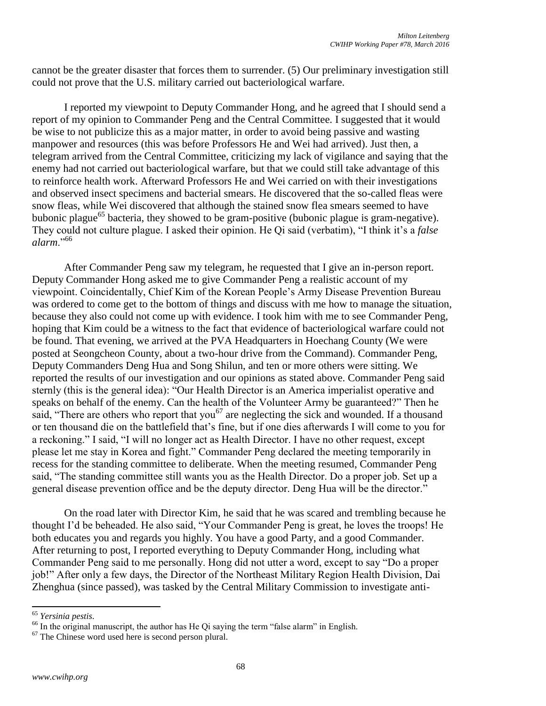cannot be the greater disaster that forces them to surrender. (5) Our preliminary investigation still could not prove that the U.S. military carried out bacteriological warfare.

I reported my viewpoint to Deputy Commander Hong, and he agreed that I should send a report of my opinion to Commander Peng and the Central Committee. I suggested that it would be wise to not publicize this as a major matter, in order to avoid being passive and wasting manpower and resources (this was before Professors He and Wei had arrived). Just then, a telegram arrived from the Central Committee, criticizing my lack of vigilance and saying that the enemy had not carried out bacteriological warfare, but that we could still take advantage of this to reinforce health work. Afterward Professors He and Wei carried on with their investigations and observed insect specimens and bacterial smears. He discovered that the so-called fleas were snow fleas, while Wei discovered that although the stained snow flea smears seemed to have bubonic plague<sup>65</sup> bacteria, they showed to be gram-positive (bubonic plague is gram-negative). They could not culture plague. I asked their opinion. He Qi said (verbatim), "I think it's a *false alarm*."<sup>66</sup>

After Commander Peng saw my telegram, he requested that I give an in-person report. Deputy Commander Hong asked me to give Commander Peng a realistic account of my viewpoint. Coincidentally, Chief Kim of the Korean People's Army Disease Prevention Bureau was ordered to come get to the bottom of things and discuss with me how to manage the situation, because they also could not come up with evidence. I took him with me to see Commander Peng, hoping that Kim could be a witness to the fact that evidence of bacteriological warfare could not be found. That evening, we arrived at the PVA Headquarters in Hoechang County (We were posted at Seongcheon County, about a two-hour drive from the Command). Commander Peng, Deputy Commanders Deng Hua and Song Shilun, and ten or more others were sitting. We reported the results of our investigation and our opinions as stated above. Commander Peng said sternly (this is the general idea): "Our Health Director is an America imperialist operative and speaks on behalf of the enemy. Can the health of the Volunteer Army be guaranteed?" Then he said, "There are others who report that you<sup>67</sup> are neglecting the sick and wounded. If a thousand or ten thousand die on the battlefield that's fine, but if one dies afterwards I will come to you for a reckoning." I said, "I will no longer act as Health Director. I have no other request, except please let me stay in Korea and fight." Commander Peng declared the meeting temporarily in recess for the standing committee to deliberate. When the meeting resumed, Commander Peng said, "The standing committee still wants you as the Health Director. Do a proper job. Set up a general disease prevention office and be the deputy director. Deng Hua will be the director."

On the road later with Director Kim, he said that he was scared and trembling because he thought I'd be beheaded. He also said, "Your Commander Peng is great, he loves the troops! He both educates you and regards you highly. You have a good Party, and a good Commander. After returning to post, I reported everything to Deputy Commander Hong, including what Commander Peng said to me personally. Hong did not utter a word, except to say "Do a proper job!" After only a few days, the Director of the Northeast Military Region Health Division, Dai Zhenghua (since passed), was tasked by the Central Military Commission to investigate anti-

 $\overline{a}$ <sup>65</sup> *Yersinia pestis*.

 $^{66}$  In the original manuscript, the author has He Qi saying the term "false alarm" in English.

<sup>&</sup>lt;sup>67</sup> The Chinese word used here is second person plural.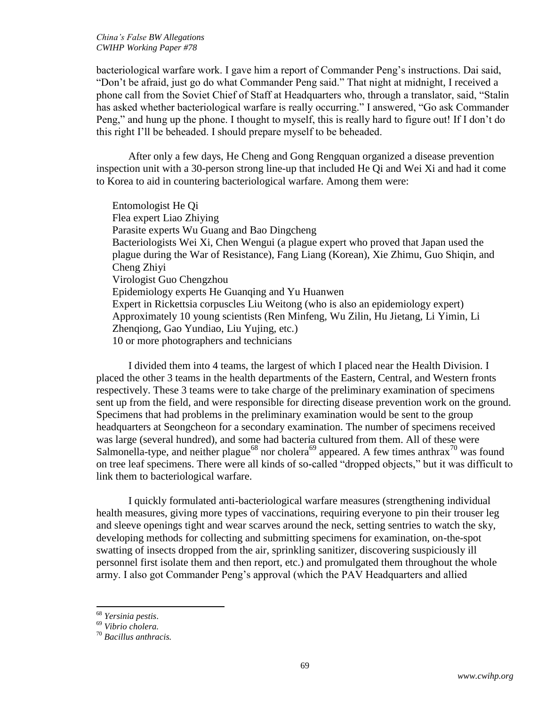bacteriological warfare work. I gave him a report of Commander Peng's instructions. Dai said, "Don't be afraid, just go do what Commander Peng said." That night at midnight, I received a phone call from the Soviet Chief of Staff at Headquarters who, through a translator, said, "Stalin has asked whether bacteriological warfare is really occurring." I answered, "Go ask Commander Peng," and hung up the phone. I thought to myself, this is really hard to figure out! If I don't do this right I'll be beheaded. I should prepare myself to be beheaded.

After only a few days, He Cheng and Gong Rengquan organized a disease prevention inspection unit with a 30-person strong line-up that included He Qi and Wei Xi and had it come to Korea to aid in countering bacteriological warfare. Among them were:

Entomologist He Qi Flea expert Liao Zhiying Parasite experts Wu Guang and Bao Dingcheng Bacteriologists Wei Xi, Chen Wengui (a plague expert who proved that Japan used the plague during the War of Resistance), Fang Liang (Korean), Xie Zhimu, Guo Shiqin, and Cheng Zhiyi Virologist Guo Chengzhou Epidemiology experts He Guanqing and Yu Huanwen Expert in Rickettsia corpuscles Liu Weitong (who is also an epidemiology expert) Approximately 10 young scientists (Ren Minfeng, Wu Zilin, Hu Jietang, Li Yimin, Li Zhenqiong, Gao Yundiao, Liu Yujing, etc.) 10 or more photographers and technicians

I divided them into 4 teams, the largest of which I placed near the Health Division. I placed the other 3 teams in the health departments of the Eastern, Central, and Western fronts respectively. These 3 teams were to take charge of the preliminary examination of specimens sent up from the field, and were responsible for directing disease prevention work on the ground. Specimens that had problems in the preliminary examination would be sent to the group headquarters at Seongcheon for a secondary examination. The number of specimens received was large (several hundred), and some had bacteria cultured from them. All of these were Salmonella-type, and neither plague<sup>68</sup> nor cholera<sup>69</sup> appeared. A few times anthrax<sup>70</sup> was found on tree leaf specimens. There were all kinds of so-called "dropped objects," but it was difficult to link them to bacteriological warfare.

I quickly formulated anti-bacteriological warfare measures (strengthening individual health measures, giving more types of vaccinations, requiring everyone to pin their trouser leg and sleeve openings tight and wear scarves around the neck, setting sentries to watch the sky, developing methods for collecting and submitting specimens for examination, on-the-spot swatting of insects dropped from the air, sprinkling sanitizer, discovering suspiciously ill personnel first isolate them and then report, etc.) and promulgated them throughout the whole army. I also got Commander Peng's approval (which the PAV Headquarters and allied

 $\overline{a}$ 

<sup>68</sup> *Yersinia pestis*.

<sup>69</sup> *Vibrio cholera.*

<sup>70</sup> *Bacillus anthracis.*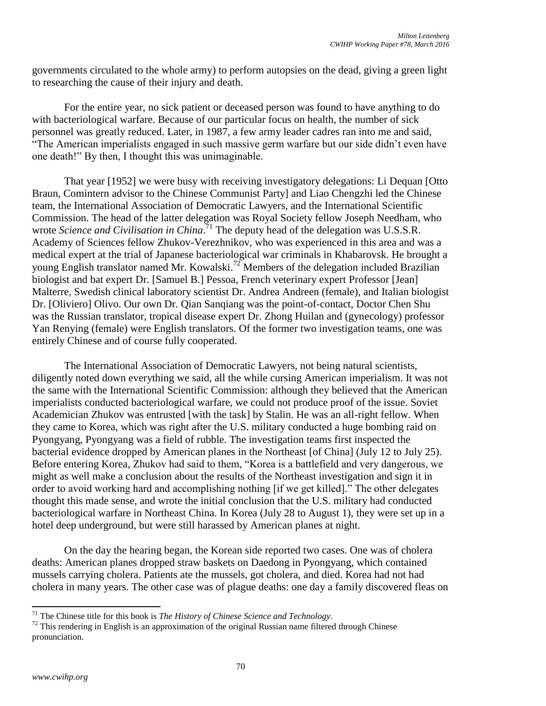governments circulated to the whole army) to perform autopsies on the dead, giving a green light to researching the cause of their injury and death.

For the entire year, no sick patient or deceased person was found to have anything to do with bacteriological warfare. Because of our particular focus on health, the number of sick personnel was greatly reduced. Later, in 1987, a few army leader cadres ran into me and said, "The American imperialists engaged in such massive germ warfare but our side didn't even have one death!" By then, I thought this was unimaginable.

That year [1952] we were busy with receiving investigatory delegations: Li Dequan [Otto Braun, Comintern advisor to the Chinese Communist Party] and Liao Chengzhi led the Chinese team, the International Association of Democratic Lawyers, and the International Scientific Commission. The head of the latter delegation was Royal Society fellow Joseph Needham, who wrote *Science and Civilisation in China*.<sup>71</sup> The deputy head of the delegation was U.S.S.R. Academy of Sciences fellow Zhukov-Verezhnikov, who was experienced in this area and was a medical expert at the trial of Japanese bacteriological war criminals in Khabarovsk. He brought a young English translator named Mr. Kowalski.<sup>72</sup> Members of the delegation included Brazilian biologist and bat expert Dr. [Samuel B.] Pessoa, French veterinary expert Professor [Jean] Malterre, Swedish clinical laboratory scientist Dr. Andrea Andreen (female), and Italian biologist Dr. [Oliviero] Olivo. Our own Dr. Qian Sanqiang was the point-of-contact, Doctor Chen Shu was the Russian translator, tropical disease expert Dr. Zhong Huilan and (gynecology) professor Yan Renying (female) were English translators. Of the former two investigation teams, one was entirely Chinese and of course fully cooperated.

The International Association of Democratic Lawyers, not being natural scientists, diligently noted down everything we said, all the while cursing American imperialism. It was not the same with the International Scientific Commission: although they believed that the American imperialists conducted bacteriological warfare, we could not produce proof of the issue. Soviet Academician Zhukov was entrusted [with the task] by Stalin. He was an all-right fellow. When they came to Korea, which was right after the U.S. military conducted a huge bombing raid on Pyongyang, Pyongyang was a field of rubble. The investigation teams first inspected the bacterial evidence dropped by American planes in the Northeast [of China] (July 12 to July 25). Before entering Korea, Zhukov had said to them, "Korea is a battlefield and very dangerous, we might as well make a conclusion about the results of the Northeast investigation and sign it in order to avoid working hard and accomplishing nothing [if we get killed]." The other delegates thought this made sense, and wrote the initial conclusion that the U.S. military had conducted bacteriological warfare in Northeast China. In Korea (July 28 to August 1), they were set up in a hotel deep underground, but were still harassed by American planes at night.

On the day the hearing began, the Korean side reported two cases. One was of cholera deaths: American planes dropped straw baskets on Daedong in Pyongyang, which contained mussels carrying cholera. Patients ate the mussels, got cholera, and died. Korea had not had cholera in many years. The other case was of plague deaths: one day a family discovered fleas on

 $\overline{a}$ <sup>71</sup> The Chinese title for this book is *The History of Chinese Science and Technology*.

 $72$  This rendering in English is an approximation of the original Russian name filtered through Chinese pronunciation.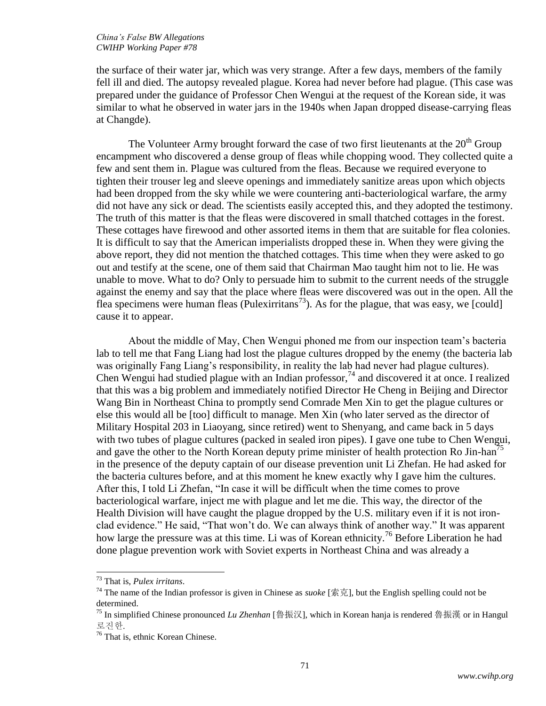the surface of their water jar, which was very strange. After a few days, members of the family fell ill and died. The autopsy revealed plague. Korea had never before had plague. (This case was prepared under the guidance of Professor Chen Wengui at the request of the Korean side, it was similar to what he observed in water jars in the 1940s when Japan dropped disease-carrying fleas at Changde).

The Volunteer Army brought forward the case of two first lieutenants at the  $20<sup>th</sup>$  Group encampment who discovered a dense group of fleas while chopping wood. They collected quite a few and sent them in. Plague was cultured from the fleas. Because we required everyone to tighten their trouser leg and sleeve openings and immediately sanitize areas upon which objects had been dropped from the sky while we were countering anti-bacteriological warfare, the army did not have any sick or dead. The scientists easily accepted this, and they adopted the testimony. The truth of this matter is that the fleas were discovered in small thatched cottages in the forest. These cottages have firewood and other assorted items in them that are suitable for flea colonies. It is difficult to say that the American imperialists dropped these in. When they were giving the above report, they did not mention the thatched cottages. This time when they were asked to go out and testify at the scene, one of them said that Chairman Mao taught him not to lie. He was unable to move. What to do? Only to persuade him to submit to the current needs of the struggle against the enemy and say that the place where fleas were discovered was out in the open. All the flea specimens were human fleas (Pulexirritans<sup>73</sup>). As for the plague, that was easy, we [could] cause it to appear.

About the middle of May, Chen Wengui phoned me from our inspection team's bacteria lab to tell me that Fang Liang had lost the plague cultures dropped by the enemy (the bacteria lab was originally Fang Liang's responsibility, in reality the lab had never had plague cultures). Chen Wengui had studied plague with an Indian professor,  $74$  and discovered it at once. I realized that this was a big problem and immediately notified Director He Cheng in Beijing and Director Wang Bin in Northeast China to promptly send Comrade Men Xin to get the plague cultures or else this would all be [too] difficult to manage. Men Xin (who later served as the director of Military Hospital 203 in Liaoyang, since retired) went to Shenyang, and came back in 5 days with two tubes of plague cultures (packed in sealed iron pipes). I gave one tube to Chen Wengui, and gave the other to the North Korean deputy prime minister of health protection Ro Jin-han<sup>75</sup> in the presence of the deputy captain of our disease prevention unit Li Zhefan. He had asked for the bacteria cultures before, and at this moment he knew exactly why I gave him the cultures. After this, I told Li Zhefan, "In case it will be difficult when the time comes to prove bacteriological warfare, inject me with plague and let me die. This way, the director of the Health Division will have caught the plague dropped by the U.S. military even if it is not ironclad evidence." He said, "That won't do. We can always think of another way." It was apparent how large the pressure was at this time. Li was of Korean ethnicity.<sup>76</sup> Before Liberation he had done plague prevention work with Soviet experts in Northeast China and was already a

<sup>73</sup> That is, *Pulex irritans*.

<sup>74</sup> The name of the Indian professor is given in Chinese as *suoke* [索克], but the English spelling could not be determined.

<sup>75</sup> In simplified Chinese pronounced *Lu Zhenhan* [鲁振汉], which in Korean hanja is rendered 魯振漢 or in Hangul 로진한.

<sup>76</sup> That is, ethnic Korean Chinese.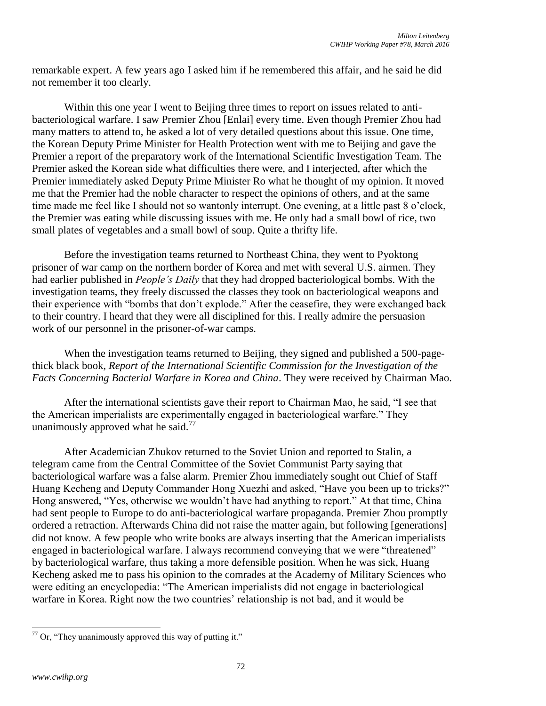remarkable expert. A few years ago I asked him if he remembered this affair, and he said he did not remember it too clearly.

Within this one year I went to Beijing three times to report on issues related to antibacteriological warfare. I saw Premier Zhou [Enlai] every time. Even though Premier Zhou had many matters to attend to, he asked a lot of very detailed questions about this issue. One time, the Korean Deputy Prime Minister for Health Protection went with me to Beijing and gave the Premier a report of the preparatory work of the International Scientific Investigation Team. The Premier asked the Korean side what difficulties there were, and I interjected, after which the Premier immediately asked Deputy Prime Minister Ro what he thought of my opinion. It moved me that the Premier had the noble character to respect the opinions of others, and at the same time made me feel like I should not so wantonly interrupt. One evening, at a little past 8 o'clock, the Premier was eating while discussing issues with me. He only had a small bowl of rice, two small plates of vegetables and a small bowl of soup. Quite a thrifty life.

Before the investigation teams returned to Northeast China, they went to Pyoktong prisoner of war camp on the northern border of Korea and met with several U.S. airmen. They had earlier published in *People's Daily* that they had dropped bacteriological bombs. With the investigation teams, they freely discussed the classes they took on bacteriological weapons and their experience with "bombs that don't explode." After the ceasefire, they were exchanged back to their country. I heard that they were all disciplined for this. I really admire the persuasion work of our personnel in the prisoner-of-war camps.

When the investigation teams returned to Beijing, they signed and published a 500-pagethick black book, *Report of the International Scientific Commission for the Investigation of the Facts Concerning Bacterial Warfare in Korea and China*. They were received by Chairman Mao.

After the international scientists gave their report to Chairman Mao, he said, "I see that the American imperialists are experimentally engaged in bacteriological warfare." They unanimously approved what he said. $^{77}$ 

After Academician Zhukov returned to the Soviet Union and reported to Stalin, a telegram came from the Central Committee of the Soviet Communist Party saying that bacteriological warfare was a false alarm. Premier Zhou immediately sought out Chief of Staff Huang Kecheng and Deputy Commander Hong Xuezhi and asked, "Have you been up to tricks?" Hong answered, "Yes, otherwise we wouldn't have had anything to report." At that time, China had sent people to Europe to do anti-bacteriological warfare propaganda. Premier Zhou promptly ordered a retraction. Afterwards China did not raise the matter again, but following [generations] did not know. A few people who write books are always inserting that the American imperialists engaged in bacteriological warfare. I always recommend conveying that we were "threatened" by bacteriological warfare, thus taking a more defensible position. When he was sick, Huang Kecheng asked me to pass his opinion to the comrades at the Academy of Military Sciences who were editing an encyclopedia: "The American imperialists did not engage in bacteriological warfare in Korea. Right now the two countries' relationship is not bad, and it would be

  $77$  Or, "They unanimously approved this way of putting it."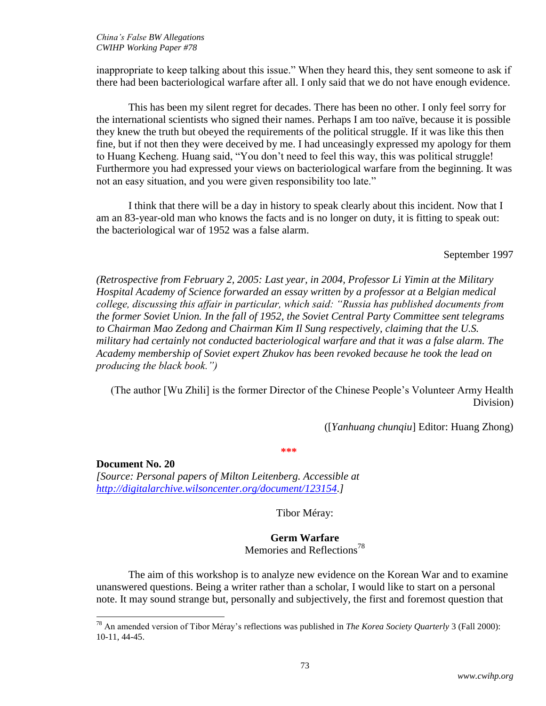inappropriate to keep talking about this issue." When they heard this, they sent someone to ask if there had been bacteriological warfare after all. I only said that we do not have enough evidence.

This has been my silent regret for decades. There has been no other. I only feel sorry for the international scientists who signed their names. Perhaps I am too naïve, because it is possible they knew the truth but obeyed the requirements of the political struggle. If it was like this then fine, but if not then they were deceived by me. I had unceasingly expressed my apology for them to Huang Kecheng. Huang said, "You don't need to feel this way, this was political struggle! Furthermore you had expressed your views on bacteriological warfare from the beginning. It was not an easy situation, and you were given responsibility too late."

I think that there will be a day in history to speak clearly about this incident. Now that I am an 83-year-old man who knows the facts and is no longer on duty, it is fitting to speak out: the bacteriological war of 1952 was a false alarm.

September 1997

*(Retrospective from February 2, 2005: Last year, in 2004, Professor Li Yimin at the Military Hospital Academy of Science forwarded an essay written by a professor at a Belgian medical college, discussing this affair in particular, which said: "Russia has published documents from the former Soviet Union. In the fall of 1952, the Soviet Central Party Committee sent telegrams to Chairman Mao Zedong and Chairman Kim Il Sung respectively, claiming that the U.S. military had certainly not conducted bacteriological warfare and that it was a false alarm. The Academy membership of Soviet expert Zhukov has been revoked because he took the lead on producing the black book.")*

(The author [Wu Zhili] is the former Director of the Chinese People's Volunteer Army Health Division)

([*Yanhuang chunqiu*] Editor: Huang Zhong)

**\*\*\***

**Document No. 20** *[Source: Personal papers of Milton Leitenberg. Accessible at [http://digitalarchive.wilsoncenter.org/document/123154.](http://digitalarchive.wilsoncenter.org/document/123154)]*

Tibor Méray:

## **Germ Warfare**

Memories and Reflections<sup>78</sup>

The aim of this workshop is to analyze new evidence on the Korean War and to examine unanswered questions. Being a writer rather than a scholar, I would like to start on a personal note. It may sound strange but, personally and subjectively, the first and foremost question that

 <sup>78</sup> An amended version of Tibor Méray's reflections was published in *The Korea Society Quarterly* 3 (Fall 2000): 10-11, 44-45.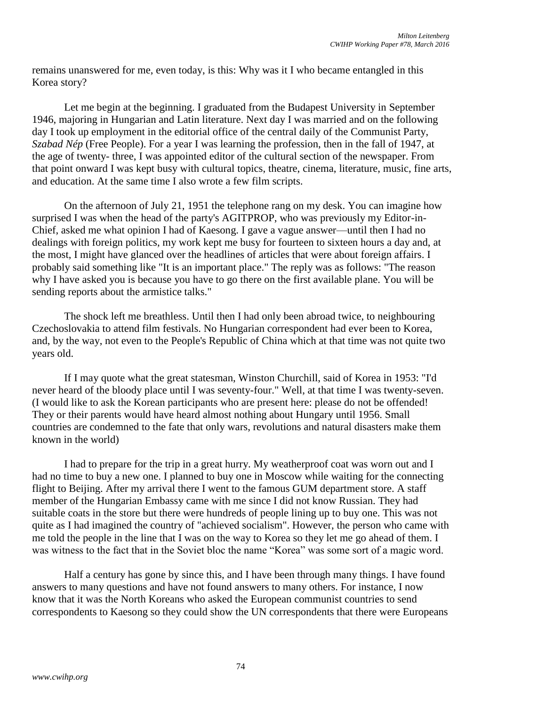remains unanswered for me, even today, is this: Why was it I who became entangled in this Korea story?

Let me begin at the beginning. I graduated from the Budapest University in September 1946, majoring in Hungarian and Latin literature. Next day I was married and on the following day I took up employment in the editorial office of the central daily of the Communist Party, *Szabad Nép* (Free People). For a year I was learning the profession, then in the fall of 1947, at the age of twenty- three, I was appointed editor of the cultural section of the newspaper. From that point onward I was kept busy with cultural topics, theatre, cinema, literature, music, fine arts, and education. At the same time I also wrote a few film scripts.

On the afternoon of July 21, 1951 the telephone rang on my desk. You can imagine how surprised I was when the head of the party's AGITPROP, who was previously my Editor-in-Chief, asked me what opinion I had of Kaesong. I gave a vague answer—until then I had no dealings with foreign politics, my work kept me busy for fourteen to sixteen hours a day and, at the most, I might have glanced over the headlines of articles that were about foreign affairs. I probably said something like "It is an important place." The reply was as follows: "The reason why I have asked you is because you have to go there on the first available plane. You will be sending reports about the armistice talks."

The shock left me breathless. Until then I had only been abroad twice, to neighbouring Czechoslovakia to attend film festivals. No Hungarian correspondent had ever been to Korea, and, by the way, not even to the People's Republic of China which at that time was not quite two years old.

If I may quote what the great statesman, Winston Churchill, said of Korea in 1953: "I'd never heard of the bloody place until I was seventy-four." Well, at that time I was twenty-seven. (I would like to ask the Korean participants who are present here: please do not be offended! They or their parents would have heard almost nothing about Hungary until 1956. Small countries are condemned to the fate that only wars, revolutions and natural disasters make them known in the world)

I had to prepare for the trip in a great hurry. My weatherproof coat was worn out and I had no time to buy a new one. I planned to buy one in Moscow while waiting for the connecting flight to Beijing. After my arrival there I went to the famous GUM department store. A staff member of the Hungarian Embassy came with me since I did not know Russian. They had suitable coats in the store but there were hundreds of people lining up to buy one. This was not quite as I had imagined the country of "achieved socialism". However, the person who came with me told the people in the line that I was on the way to Korea so they let me go ahead of them. I was witness to the fact that in the Soviet bloc the name "Korea" was some sort of a magic word.

Half a century has gone by since this, and I have been through many things. I have found answers to many questions and have not found answers to many others. For instance, I now know that it was the North Koreans who asked the European communist countries to send correspondents to Kaesong so they could show the UN correspondents that there were Europeans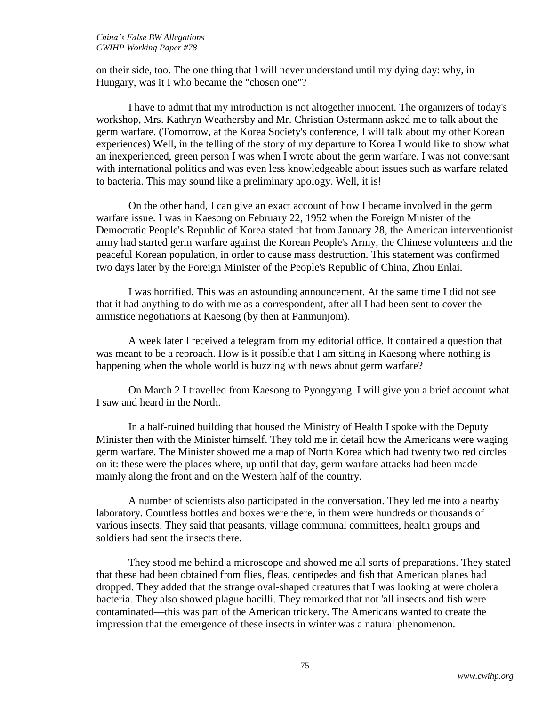on their side, too. The one thing that I will never understand until my dying day: why, in Hungary, was it I who became the "chosen one"?

I have to admit that my introduction is not altogether innocent. The organizers of today's workshop, Mrs. Kathryn Weathersby and Mr. Christian Ostermann asked me to talk about the germ warfare. (Tomorrow, at the Korea Society's conference, I will talk about my other Korean experiences) Well, in the telling of the story of my departure to Korea I would like to show what an inexperienced, green person I was when I wrote about the germ warfare. I was not conversant with international politics and was even less knowledgeable about issues such as warfare related to bacteria. This may sound like a preliminary apology. Well, it is!

On the other hand, I can give an exact account of how I became involved in the germ warfare issue. I was in Kaesong on February 22, 1952 when the Foreign Minister of the Democratic People's Republic of Korea stated that from January 28, the American interventionist army had started germ warfare against the Korean People's Army, the Chinese volunteers and the peaceful Korean population, in order to cause mass destruction. This statement was confirmed two days later by the Foreign Minister of the People's Republic of China, Zhou Enlai.

I was horrified. This was an astounding announcement. At the same time I did not see that it had anything to do with me as a correspondent, after all I had been sent to cover the armistice negotiations at Kaesong (by then at Panmunjom).

A week later I received a telegram from my editorial office. It contained a question that was meant to be a reproach. How is it possible that I am sitting in Kaesong where nothing is happening when the whole world is buzzing with news about germ warfare?

On March 2 I travelled from Kaesong to Pyongyang. I will give you a brief account what I saw and heard in the North.

In a half-ruined building that housed the Ministry of Health I spoke with the Deputy Minister then with the Minister himself. They told me in detail how the Americans were waging germ warfare. The Minister showed me a map of North Korea which had twenty two red circles on it: these were the places where, up until that day, germ warfare attacks had been made mainly along the front and on the Western half of the country.

A number of scientists also participated in the conversation. They led me into a nearby laboratory. Countless bottles and boxes were there, in them were hundreds or thousands of various insects. They said that peasants, village communal committees, health groups and soldiers had sent the insects there.

They stood me behind a microscope and showed me all sorts of preparations. They stated that these had been obtained from flies, fleas, centipedes and fish that American planes had dropped. They added that the strange oval-shaped creatures that I was looking at were cholera bacteria. They also showed plague bacilli. They remarked that not 'all insects and fish were contaminated—this was part of the American trickery. The Americans wanted to create the impression that the emergence of these insects in winter was a natural phenomenon.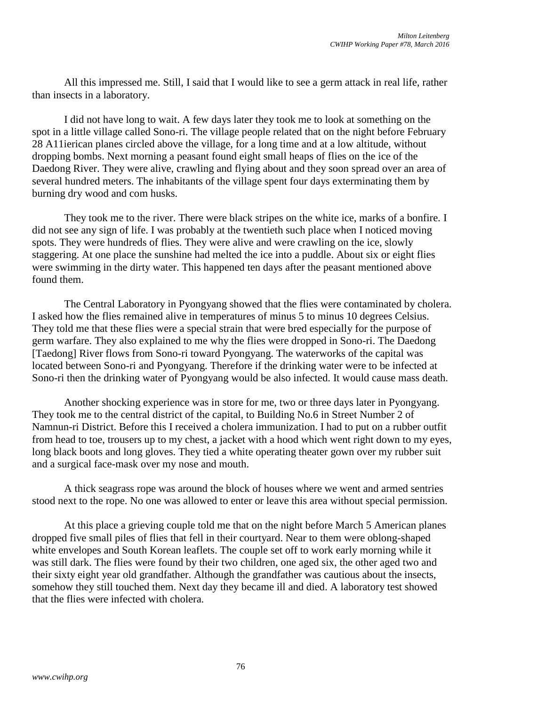All this impressed me. Still, I said that I would like to see a germ attack in real life, rather than insects in a laboratory.

I did not have long to wait. A few days later they took me to look at something on the spot in a little village called Sono-ri. The village people related that on the night before February 28 A11ierican planes circled above the village, for a long time and at a low altitude, without dropping bombs. Next morning a peasant found eight small heaps of flies on the ice of the Daedong River. They were alive, crawling and flying about and they soon spread over an area of several hundred meters. The inhabitants of the village spent four days exterminating them by burning dry wood and com husks.

They took me to the river. There were black stripes on the white ice, marks of a bonfire. I did not see any sign of life. I was probably at the twentieth such place when I noticed moving spots. They were hundreds of flies. They were alive and were crawling on the ice, slowly staggering. At one place the sunshine had melted the ice into a puddle. About six or eight flies were swimming in the dirty water. This happened ten days after the peasant mentioned above found them.

The Central Laboratory in Pyongyang showed that the flies were contaminated by cholera. I asked how the flies remained alive in temperatures of minus 5 to minus 10 degrees Celsius. They told me that these flies were a special strain that were bred especially for the purpose of germ warfare. They also explained to me why the flies were dropped in Sono-ri. The Daedong [Taedong] River flows from Sono-ri toward Pyongyang. The waterworks of the capital was located between Sono-ri and Pyongyang. Therefore if the drinking water were to be infected at Sono-ri then the drinking water of Pyongyang would be also infected. It would cause mass death.

Another shocking experience was in store for me, two or three days later in Pyongyang. They took me to the central district of the capital, to Building No.6 in Street Number 2 of Namnun-ri District. Before this I received a cholera immunization. I had to put on a rubber outfit from head to toe, trousers up to my chest, a jacket with a hood which went right down to my eyes, long black boots and long gloves. They tied a white operating theater gown over my rubber suit and a surgical face-mask over my nose and mouth.

A thick seagrass rope was around the block of houses where we went and armed sentries stood next to the rope. No one was allowed to enter or leave this area without special permission.

At this place a grieving couple told me that on the night before March 5 American planes dropped five small piles of flies that fell in their courtyard. Near to them were oblong-shaped white envelopes and South Korean leaflets. The couple set off to work early morning while it was still dark. The flies were found by their two children, one aged six, the other aged two and their sixty eight year old grandfather. Although the grandfather was cautious about the insects, somehow they still touched them. Next day they became ill and died. A laboratory test showed that the flies were infected with cholera.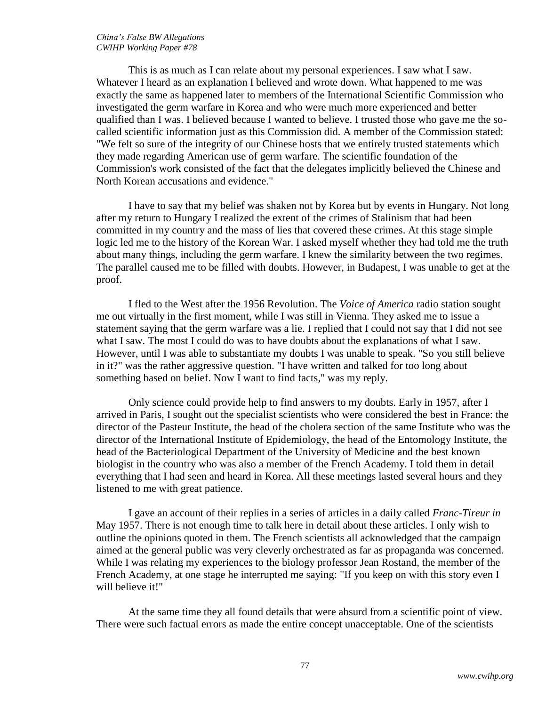This is as much as I can relate about my personal experiences. I saw what I saw. Whatever I heard as an explanation I believed and wrote down. What happened to me was exactly the same as happened later to members of the International Scientific Commission who investigated the germ warfare in Korea and who were much more experienced and better qualified than I was. I believed because I wanted to believe. I trusted those who gave me the socalled scientific information just as this Commission did. A member of the Commission stated: "We felt so sure of the integrity of our Chinese hosts that we entirely trusted statements which they made regarding American use of germ warfare. The scientific foundation of the Commission's work consisted of the fact that the delegates implicitly believed the Chinese and North Korean accusations and evidence."

I have to say that my belief was shaken not by Korea but by events in Hungary. Not long after my return to Hungary I realized the extent of the crimes of Stalinism that had been committed in my country and the mass of lies that covered these crimes. At this stage simple logic led me to the history of the Korean War. I asked myself whether they had told me the truth about many things, including the germ warfare. I knew the similarity between the two regimes. The parallel caused me to be filled with doubts. However, in Budapest, I was unable to get at the proof.

I fled to the West after the 1956 Revolution. The *Voice of America* radio station sought me out virtually in the first moment, while I was still in Vienna. They asked me to issue a statement saying that the germ warfare was a lie. I replied that I could not say that I did not see what I saw. The most I could do was to have doubts about the explanations of what I saw. However, until I was able to substantiate my doubts I was unable to speak. "So you still believe in it?" was the rather aggressive question. "I have written and talked for too long about something based on belief. Now I want to find facts," was my reply.

Only science could provide help to find answers to my doubts. Early in 1957, after I arrived in Paris, I sought out the specialist scientists who were considered the best in France: the director of the Pasteur Institute, the head of the cholera section of the same Institute who was the director of the International Institute of Epidemiology, the head of the Entomology Institute, the head of the Bacteriological Department of the University of Medicine and the best known biologist in the country who was also a member of the French Academy. I told them in detail everything that I had seen and heard in Korea. All these meetings lasted several hours and they listened to me with great patience.

I gave an account of their replies in a series of articles in a daily called *Franc-Tireur in*  May 1957. There is not enough time to talk here in detail about these articles. I only wish to outline the opinions quoted in them. The French scientists all acknowledged that the campaign aimed at the general public was very cleverly orchestrated as far as propaganda was concerned. While I was relating my experiences to the biology professor Jean Rostand, the member of the French Academy, at one stage he interrupted me saying: "If you keep on with this story even I will believe it!"

At the same time they all found details that were absurd from a scientific point of view. There were such factual errors as made the entire concept unacceptable. One of the scientists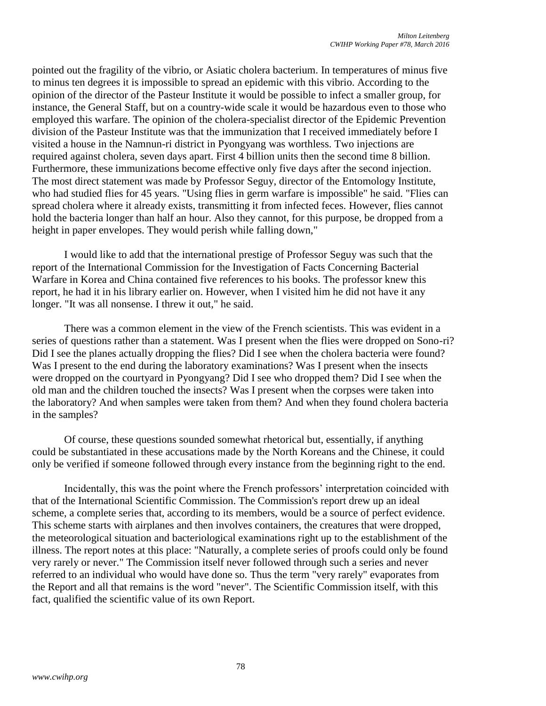pointed out the fragility of the vibrio, or Asiatic cholera bacterium. In temperatures of minus five to minus ten degrees it is impossible to spread an epidemic with this vibrio. According to the opinion of the director of the Pasteur Institute it would be possible to infect a smaller group, for instance, the General Staff, but on a country-wide scale it would be hazardous even to those who employed this warfare. The opinion of the cholera-specialist director of the Epidemic Prevention division of the Pasteur Institute was that the immunization that I received immediately before I visited a house in the Namnun-ri district in Pyongyang was worthless. Two injections are required against cholera, seven days apart. First 4 billion units then the second time 8 billion. Furthermore, these immunizations become effective only five days after the second injection. The most direct statement was made by Professor Seguy, director of the Entomology Institute, who had studied flies for 45 years. "Using flies in germ warfare is impossible" he said. "Flies can spread cholera where it already exists, transmitting it from infected feces. However, flies cannot hold the bacteria longer than half an hour. Also they cannot, for this purpose, be dropped from a height in paper envelopes. They would perish while falling down,"

I would like to add that the international prestige of Professor Seguy was such that the report of the International Commission for the Investigation of Facts Concerning Bacterial Warfare in Korea and China contained five references to his books. The professor knew this report, he had it in his library earlier on. However, when I visited him he did not have it any longer. "It was all nonsense. I threw it out," he said.

There was a common element in the view of the French scientists. This was evident in a series of questions rather than a statement. Was I present when the flies were dropped on Sono-ri? Did I see the planes actually dropping the flies? Did I see when the cholera bacteria were found? Was I present to the end during the laboratory examinations? Was I present when the insects were dropped on the courtyard in Pyongyang? Did I see who dropped them? Did I see when the old man and the children touched the insects? Was I present when the corpses were taken into the laboratory? And when samples were taken from them? And when they found cholera bacteria in the samples?

Of course, these questions sounded somewhat rhetorical but, essentially, if anything could be substantiated in these accusations made by the North Koreans and the Chinese, it could only be verified if someone followed through every instance from the beginning right to the end.

Incidentally, this was the point where the French professors' interpretation coincided with that of the International Scientific Commission. The Commission's report drew up an ideal scheme, a complete series that, according to its members, would be a source of perfect evidence. This scheme starts with airplanes and then involves containers, the creatures that were dropped, the meteorological situation and bacteriological examinations right up to the establishment of the illness. The report notes at this place: "Naturally, a complete series of proofs could only be found very rarely or never." The Commission itself never followed through such a series and never referred to an individual who would have done so. Thus the term "very rarely" evaporates from the Report and all that remains is the word "never". The Scientific Commission itself, with this fact, qualified the scientific value of its own Report.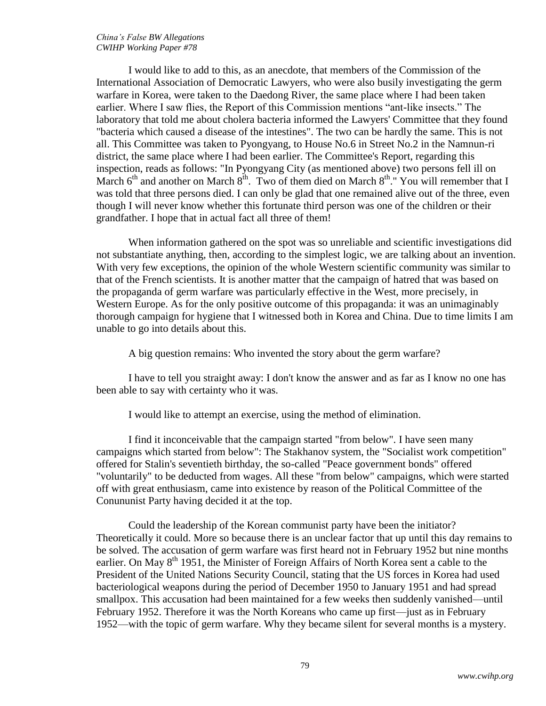## *China's False BW Allegations CWIHP Working Paper #78*

I would like to add to this, as an anecdote, that members of the Commission of the International Association of Democratic Lawyers, who were also busily investigating the germ warfare in Korea, were taken to the Daedong River, the same place where I had been taken earlier. Where I saw flies, the Report of this Commission mentions "ant-like insects." The laboratory that told me about cholera bacteria informed the Lawyers' Committee that they found "bacteria which caused a disease of the intestines". The two can be hardly the same. This is not all. This Committee was taken to Pyongyang, to House No.6 in Street No.2 in the Namnun-ri district, the same place where I had been earlier. The Committee's Report, regarding this inspection, reads as follows: "In Pyongyang City (as mentioned above) two persons fell ill on March  $6<sup>th</sup>$  and another on March  $8<sup>th</sup>$ . Two of them died on March  $8<sup>th</sup>$ ." You will remember that I was told that three persons died. I can only be glad that one remained alive out of the three, even though I will never know whether this fortunate third person was one of the children or their grandfather. I hope that in actual fact all three of them!

When information gathered on the spot was so unreliable and scientific investigations did not substantiate anything, then, according to the simplest logic, we are talking about an invention. With very few exceptions, the opinion of the whole Western scientific community was similar to that of the French scientists. It is another matter that the campaign of hatred that was based on the propaganda of germ warfare was particularly effective in the West, more precisely, in Western Europe. As for the only positive outcome of this propaganda: it was an unimaginably thorough campaign for hygiene that I witnessed both in Korea and China. Due to time limits I am unable to go into details about this.

A big question remains: Who invented the story about the germ warfare?

I have to tell you straight away: I don't know the answer and as far as I know no one has been able to say with certainty who it was.

I would like to attempt an exercise, using the method of elimination.

I find it inconceivable that the campaign started "from below". I have seen many campaigns which started from below": The Stakhanov system, the "Socialist work competition" offered for Stalin's seventieth birthday, the so-called "Peace government bonds" offered "voluntarily" to be deducted from wages. All these "from below" campaigns, which were started off with great enthusiasm, came into existence by reason of the Political Committee of the Conununist Party having decided it at the top.

Could the leadership of the Korean communist party have been the initiator? Theoretically it could. More so because there is an unclear factor that up until this day remains to be solved. The accusation of germ warfare was first heard not in February 1952 but nine months earlier. On May 8<sup>th</sup> 1951, the Minister of Foreign Affairs of North Korea sent a cable to the President of the United Nations Security Council, stating that the US forces in Korea had used bacteriological weapons during the period of December 1950 to January 1951 and had spread smallpox. This accusation had been maintained for a few weeks then suddenly vanished—until February 1952. Therefore it was the North Koreans who came up first—just as in February 1952—with the topic of germ warfare. Why they became silent for several months is a mystery.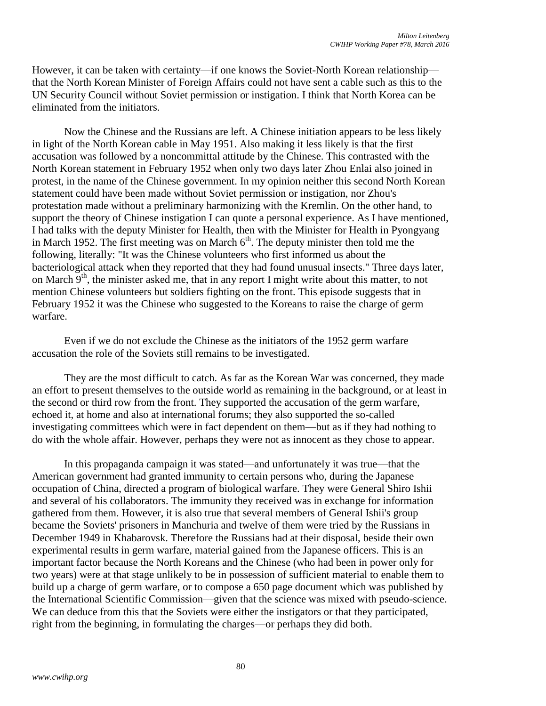However, it can be taken with certainty—if one knows the Soviet-North Korean relationship that the North Korean Minister of Foreign Affairs could not have sent a cable such as this to the UN Security Council without Soviet permission or instigation. I think that North Korea can be eliminated from the initiators.

Now the Chinese and the Russians are left. A Chinese initiation appears to be less likely in light of the North Korean cable in May 1951. Also making it less likely is that the first accusation was followed by a noncommittal attitude by the Chinese. This contrasted with the North Korean statement in February 1952 when only two days later Zhou Enlai also joined in protest, in the name of the Chinese government. In my opinion neither this second North Korean statement could have been made without Soviet permission or instigation, nor Zhou's protestation made without a preliminary harmonizing with the Kremlin. On the other hand, to support the theory of Chinese instigation I can quote a personal experience. As I have mentioned, I had talks with the deputy Minister for Health, then with the Minister for Health in Pyongyang in March 1952. The first meeting was on March  $6<sup>th</sup>$ . The deputy minister then told me the following, literally: "It was the Chinese volunteers who first informed us about the bacteriological attack when they reported that they had found unusual insects." Three days later, on March  $9<sup>th</sup>$ , the minister asked me, that in any report I might write about this matter, to not mention Chinese volunteers but soldiers fighting on the front. This episode suggests that in February 1952 it was the Chinese who suggested to the Koreans to raise the charge of germ warfare.

Even if we do not exclude the Chinese as the initiators of the 1952 germ warfare accusation the role of the Soviets still remains to be investigated.

They are the most difficult to catch. As far as the Korean War was concerned, they made an effort to present themselves to the outside world as remaining in the background, or at least in the second or third row from the front. They supported the accusation of the germ warfare, echoed it, at home and also at international forums; they also supported the so-called investigating committees which were in fact dependent on them—but as if they had nothing to do with the whole affair. However, perhaps they were not as innocent as they chose to appear.

In this propaganda campaign it was stated—and unfortunately it was true—that the American government had granted immunity to certain persons who, during the Japanese occupation of China, directed a program of biological warfare. They were General Shiro Ishii and several of his collaborators. The immunity they received was in exchange for information gathered from them. However, it is also true that several members of General Ishii's group became the Soviets' prisoners in Manchuria and twelve of them were tried by the Russians in December 1949 in Khabarovsk. Therefore the Russians had at their disposal, beside their own experimental results in germ warfare, material gained from the Japanese officers. This is an important factor because the North Koreans and the Chinese (who had been in power only for two years) were at that stage unlikely to be in possession of sufficient material to enable them to build up a charge of germ warfare, or to compose a 650 page document which was published by the International Scientific Commission—given that the science was mixed with pseudo-science. We can deduce from this that the Soviets were either the instigators or that they participated, right from the beginning, in formulating the charges—or perhaps they did both.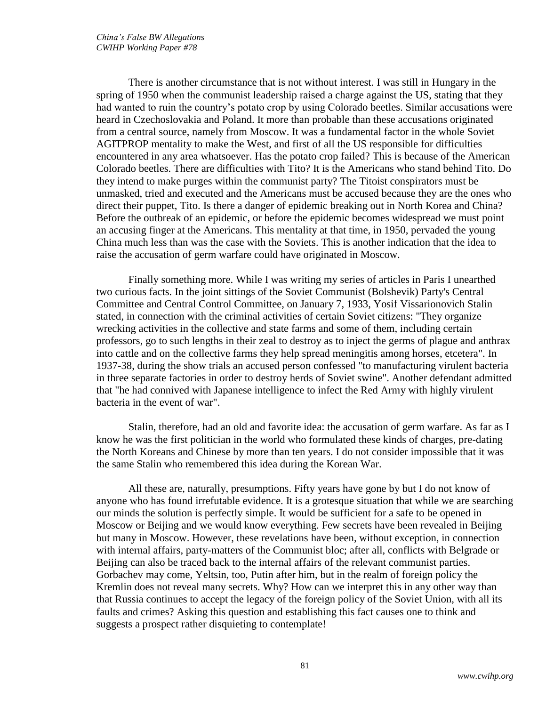There is another circumstance that is not without interest. I was still in Hungary in the spring of 1950 when the communist leadership raised a charge against the US, stating that they had wanted to ruin the country's potato crop by using Colorado beetles. Similar accusations were heard in Czechoslovakia and Poland. It more than probable than these accusations originated from a central source, namely from Moscow. It was a fundamental factor in the whole Soviet AGITPROP mentality to make the West, and first of all the US responsible for difficulties encountered in any area whatsoever. Has the potato crop failed? This is because of the American Colorado beetles. There are difficulties with Tito? It is the Americans who stand behind Tito. Do they intend to make purges within the communist party? The Titoist conspirators must be unmasked, tried and executed and the Americans must be accused because they are the ones who direct their puppet, Tito. Is there a danger of epidemic breaking out in North Korea and China? Before the outbreak of an epidemic, or before the epidemic becomes widespread we must point an accusing finger at the Americans. This mentality at that time, in 1950, pervaded the young China much less than was the case with the Soviets. This is another indication that the idea to raise the accusation of germ warfare could have originated in Moscow.

Finally something more. While I was writing my series of articles in Paris I unearthed two curious facts. In the joint sittings of the Soviet Communist (Bolshevik) Party's Central Committee and Central Control Committee, on January 7, 1933, Yosif Vissarionovich Stalin stated, in connection with the criminal activities of certain Soviet citizens: "They organize wrecking activities in the collective and state farms and some of them, including certain professors, go to such lengths in their zeal to destroy as to inject the germs of plague and anthrax into cattle and on the collective farms they help spread meningitis among horses, etcetera". In 1937-38, during the show trials an accused person confessed "to manufacturing virulent bacteria in three separate factories in order to destroy herds of Soviet swine". Another defendant admitted that "he had connived with Japanese intelligence to infect the Red Army with highly virulent bacteria in the event of war".

Stalin, therefore, had an old and favorite idea: the accusation of germ warfare. As far as I know he was the first politician in the world who formulated these kinds of charges, pre-dating the North Koreans and Chinese by more than ten years. I do not consider impossible that it was the same Stalin who remembered this idea during the Korean War.

All these are, naturally, presumptions. Fifty years have gone by but I do not know of anyone who has found irrefutable evidence. It is a grotesque situation that while we are searching our minds the solution is perfectly simple. It would be sufficient for a safe to be opened in Moscow or Beijing and we would know everything. Few secrets have been revealed in Beijing but many in Moscow. However, these revelations have been, without exception, in connection with internal affairs, party-matters of the Communist bloc; after all, conflicts with Belgrade or Beijing can also be traced back to the internal affairs of the relevant communist parties. Gorbachev may come, Yeltsin, too, Putin after him, but in the realm of foreign policy the Kremlin does not reveal many secrets. Why? How can we interpret this in any other way than that Russia continues to accept the legacy of the foreign policy of the Soviet Union, with all its faults and crimes? Asking this question and establishing this fact causes one to think and suggests a prospect rather disquieting to contemplate!